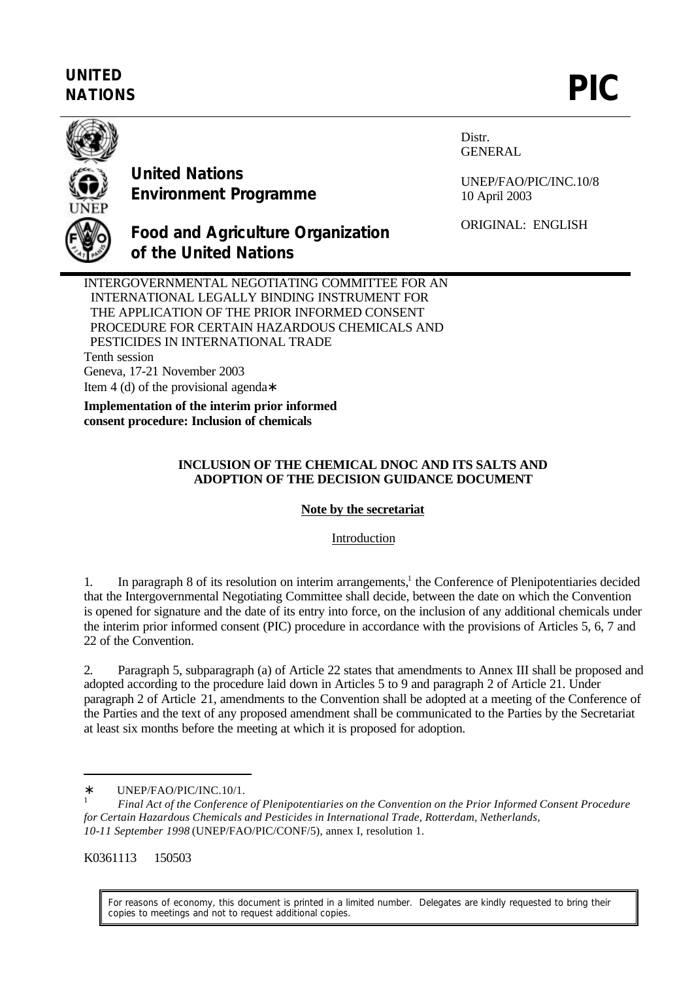## **UNITED** UNITED<br>NATIONS **PIC**



**United Nations Environment Programme** Distr. GENERAL

UNEP/FAO/PIC/INC.10/8 10 April 2003

ORIGINAL: ENGLISH

**Food and Agriculture Organization of the United Nations**

INTERGOVERNMENTAL NEGOTIATING COMMITTEE FOR AN INTERNATIONAL LEGALLY BINDING INSTRUMENT FOR THE APPLICATION OF THE PRIOR INFORMED CONSENT PROCEDURE FOR CERTAIN HAZARDOUS CHEMICALS AND PESTICIDES IN INTERNATIONAL TRADE Tenth session Geneva, 17-21 November 2003 Item 4 (d) of the provisional agenda∗

**Implementation of the interim prior informed consent procedure: Inclusion of chemicals**

#### **INCLUSION OF THE CHEMICAL DNOC AND ITS SALTS AND ADOPTION OF THE DECISION GUIDANCE DOCUMENT**

#### **Note by the secretariat**

### Introduction

1. In paragraph 8 of its resolution on interim arrangements,<sup>1</sup> the Conference of Plenipotentiaries decided that the Intergovernmental Negotiating Committee shall decide, between the date on which the Convention is opened for signature and the date of its entry into force, on the inclusion of any additional chemicals under the interim prior informed consent (PIC) procedure in accordance with the provisions of Articles 5, 6, 7 and 22 of the Convention.

2. Paragraph 5, subparagraph (a) of Article 22 states that amendments to Annex III shall be proposed and adopted according to the procedure laid down in Articles 5 to 9 and paragraph 2 of Article 21. Under paragraph 2 of Article 21, amendments to the Convention shall be adopted at a meeting of the Conference of the Parties and the text of any proposed amendment shall be communicated to the Parties by the Secretariat at least six months before the meeting at which it is proposed for adoption.

K0361113 150503

 $\overline{a}$ 

For reasons of economy, this document is printed in a limited number. Delegates are kindly requested to bring their copies to meetings and not to request additional copies.

<sup>∗</sup> UNEP/FAO/PIC/INC.10/1.

<sup>1</sup> *Final Act of the Conference of Plenipotentiaries on the Convention on the Prior Informed Consent Procedure for Certain Hazardous Chemicals and Pesticides in International Trade, Rotterdam, Netherlands, 10-11 September 1998* (UNEP/FAO/PIC/CONF/5), annex I, resolution 1.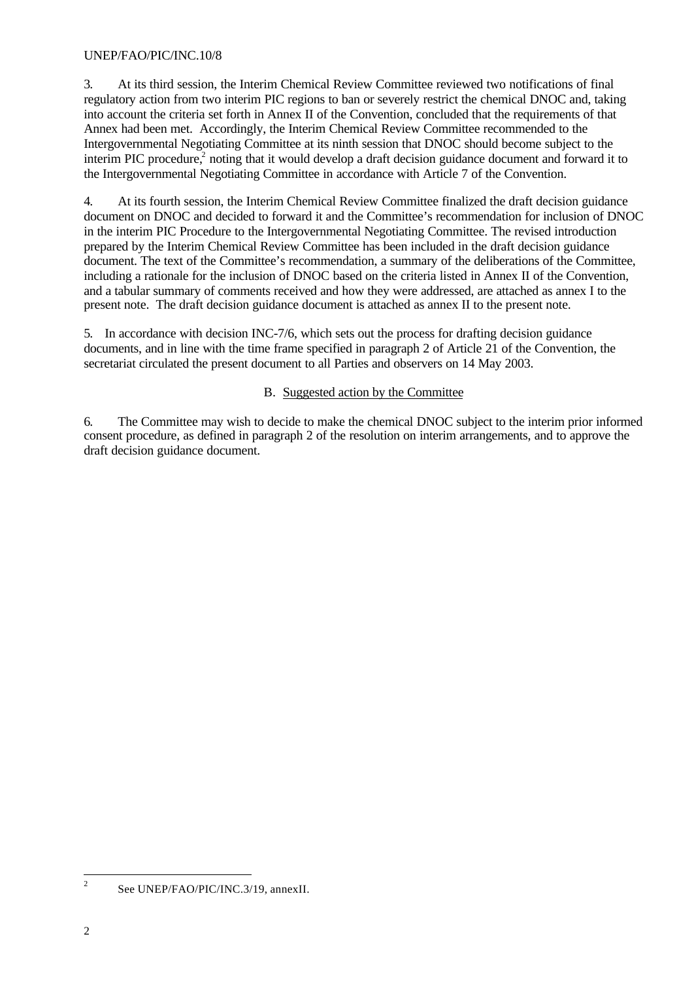#### UNEP/FAO/PIC/INC.10/8

3. At its third session, the Interim Chemical Review Committee reviewed two notifications of final regulatory action from two interim PIC regions to ban or severely restrict the chemical DNOC and, taking into account the criteria set forth in Annex II of the Convention, concluded that the requirements of that Annex had been met. Accordingly, the Interim Chemical Review Committee recommended to the Intergovernmental Negotiating Committee at its ninth session that DNOC should become subject to the interim PIC procedure,<sup>2</sup> noting that it would develop a draft decision guidance document and forward it to the Intergovernmental Negotiating Committee in accordance with Article 7 of the Convention.

4. At its fourth session, the Interim Chemical Review Committee finalized the draft decision guidance document on DNOC and decided to forward it and the Committee's recommendation for inclusion of DNOC in the interim PIC Procedure to the Intergovernmental Negotiating Committee. The revised introduction prepared by the Interim Chemical Review Committee has been included in the draft decision guidance document. The text of the Committee's recommendation, a summary of the deliberations of the Committee, including a rationale for the inclusion of DNOC based on the criteria listed in Annex II of the Convention, and a tabular summary of comments received and how they were addressed, are attached as annex I to the present note. The draft decision guidance document is attached as annex II to the present note.

5. In accordance with decision INC-7/6, which sets out the process for drafting decision guidance documents, and in line with the time frame specified in paragraph 2 of Article 21 of the Convention, the secretariat circulated the present document to all Parties and observers on 14 May 2003.

#### B. Suggested action by the Committee

6. The Committee may wish to decide to make the chemical DNOC subject to the interim prior informed consent procedure, as defined in paragraph 2 of the resolution on interim arrangements, and to approve the draft decision guidance document.

 $\frac{1}{2}$ See UNEP/FAO/PIC/INC.3/19, annexII.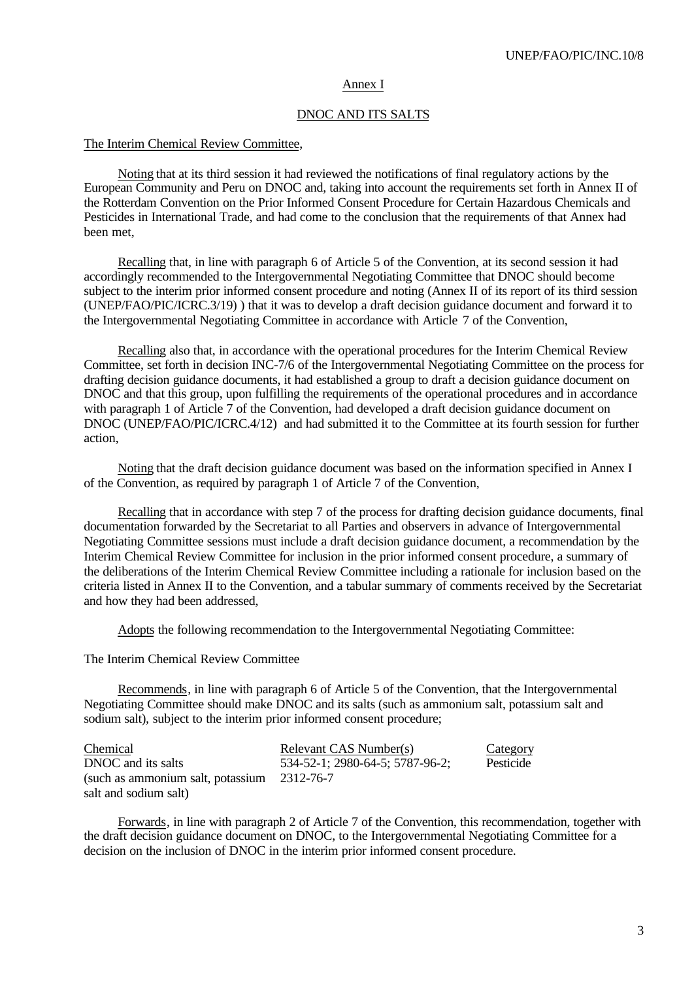#### Annex I

#### DNOC AND ITS SALTS

#### The Interim Chemical Review Committee,

Noting that at its third session it had reviewed the notifications of final regulatory actions by the European Community and Peru on DNOC and, taking into account the requirements set forth in Annex II of the Rotterdam Convention on the Prior Informed Consent Procedure for Certain Hazardous Chemicals and Pesticides in International Trade, and had come to the conclusion that the requirements of that Annex had been met,

Recalling that, in line with paragraph 6 of Article 5 of the Convention, at its second session it had accordingly recommended to the Intergovernmental Negotiating Committee that DNOC should become subject to the interim prior informed consent procedure and noting (Annex II of its report of its third session (UNEP/FAO/PIC/ICRC.3/19) ) that it was to develop a draft decision guidance document and forward it to the Intergovernmental Negotiating Committee in accordance with Article 7 of the Convention,

Recalling also that, in accordance with the operational procedures for the Interim Chemical Review Committee, set forth in decision INC-7/6 of the Intergovernmental Negotiating Committee on the process for drafting decision guidance documents, it had established a group to draft a decision guidance document on DNOC and that this group, upon fulfilling the requirements of the operational procedures and in accordance with paragraph 1 of Article 7 of the Convention, had developed a draft decision guidance document on DNOC (UNEP/FAO/PIC/ICRC.4/12) and had submitted it to the Committee at its fourth session for further action,

Noting that the draft decision guidance document was based on the information specified in Annex I of the Convention, as required by paragraph 1 of Article 7 of the Convention,

Recalling that in accordance with step 7 of the process for drafting decision guidance documents, final documentation forwarded by the Secretariat to all Parties and observers in advance of Intergovernmental Negotiating Committee sessions must include a draft decision guidance document, a recommendation by the Interim Chemical Review Committee for inclusion in the prior informed consent procedure, a summary of the deliberations of the Interim Chemical Review Committee including a rationale for inclusion based on the criteria listed in Annex II to the Convention, and a tabular summary of comments received by the Secretariat and how they had been addressed,

Adopts the following recommendation to the Intergovernmental Negotiating Committee:

#### The Interim Chemical Review Committee

Recommends, in line with paragraph 6 of Article 5 of the Convention, that the Intergovernmental Negotiating Committee should make DNOC and its salts (such as ammonium salt, potassium salt and sodium salt)*,* subject to the interim prior informed consent procedure;

| Chemical                                      | Relevant CAS Number(s)          | <b>Category</b> |
|-----------------------------------------------|---------------------------------|-----------------|
| DNOC and its salts                            | 534-52-1; 2980-64-5; 5787-96-2; | Pesticide       |
| (such as ammonium salt, potassium $2312-76-7$ |                                 |                 |
| salt and sodium salt)                         |                                 |                 |

Forwards, in line with paragraph 2 of Article 7 of the Convention, this recommendation, together with the draft decision guidance document on DNOC, to the Intergovernmental Negotiating Committee for a decision on the inclusion of DNOC in the interim prior informed consent procedure.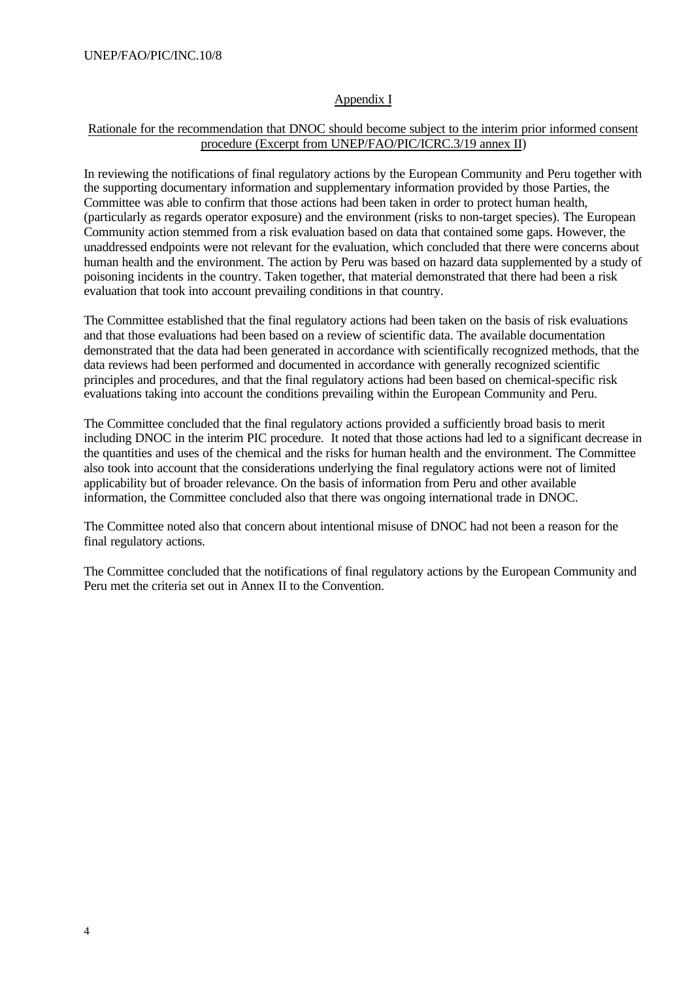#### Appendix I

#### Rationale for the recommendation that DNOC should become subject to the interim prior informed consent procedure (Excerpt from UNEP/FAO/PIC/ICRC.3/19 annex II)

In reviewing the notifications of final regulatory actions by the European Community and Peru together with the supporting documentary information and supplementary information provided by those Parties, the Committee was able to confirm that those actions had been taken in order to protect human health, (particularly as regards operator exposure) and the environment (risks to non-target species). The European Community action stemmed from a risk evaluation based on data that contained some gaps. However, the unaddressed endpoints were not relevant for the evaluation, which concluded that there were concerns about human health and the environment. The action by Peru was based on hazard data supplemented by a study of poisoning incidents in the country. Taken together, that material demonstrated that there had been a risk evaluation that took into account prevailing conditions in that country.

The Committee established that the final regulatory actions had been taken on the basis of risk evaluations and that those evaluations had been based on a review of scientific data. The available documentation demonstrated that the data had been generated in accordance with scientifically recognized methods, that the data reviews had been performed and documented in accordance with generally recognized scientific principles and procedures, and that the final regulatory actions had been based on chemical-specific risk evaluations taking into account the conditions prevailing within the European Community and Peru.

The Committee concluded that the final regulatory actions provided a sufficiently broad basis to merit including DNOC in the interim PIC procedure. It noted that those actions had led to a significant decrease in the quantities and uses of the chemical and the risks for human health and the environment. The Committee also took into account that the considerations underlying the final regulatory actions were not of limited applicability but of broader relevance. On the basis of information from Peru and other available information, the Committee concluded also that there was ongoing international trade in DNOC.

The Committee noted also that concern about intentional misuse of DNOC had not been a reason for the final regulatory actions.

The Committee concluded that the notifications of final regulatory actions by the European Community and Peru met the criteria set out in Annex II to the Convention.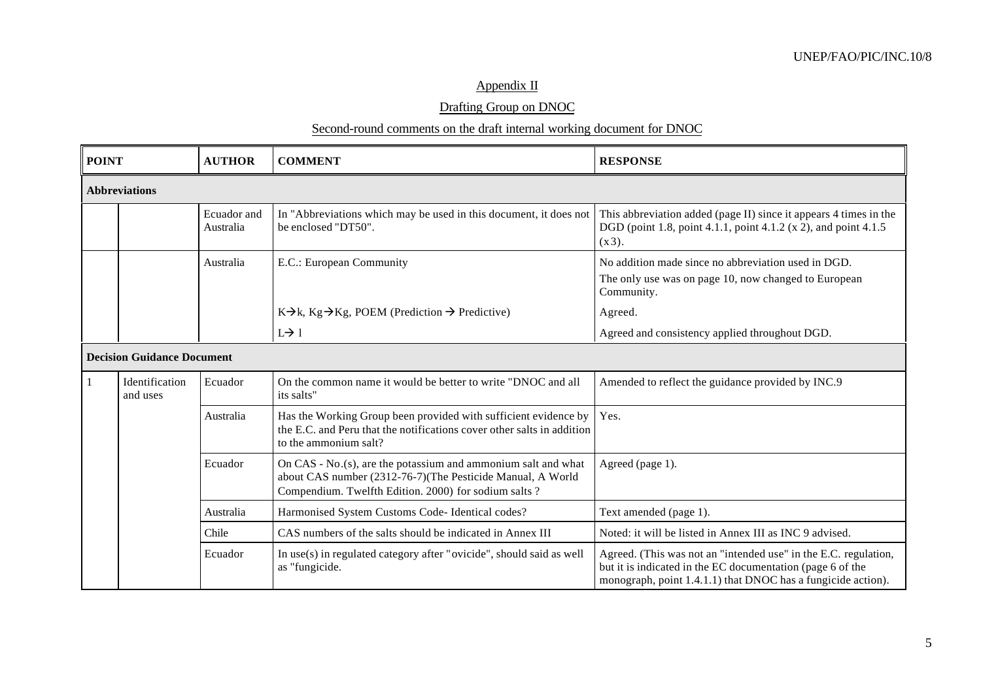## Appendix II

### Drafting Group on DNOC

#### Second-round comments on the draft internal working document for DNOC

| <b>POINT</b> |                                   | <b>AUTHOR</b> | <b>COMMENT</b>                                                                                                                                                                         | <b>RESPONSE</b>                                                                                                                                                                               |
|--------------|-----------------------------------|---------------|----------------------------------------------------------------------------------------------------------------------------------------------------------------------------------------|-----------------------------------------------------------------------------------------------------------------------------------------------------------------------------------------------|
|              | <b>Abbreviations</b>              |               |                                                                                                                                                                                        |                                                                                                                                                                                               |
|              | Ecuador and<br>Australia          |               | In "Abbreviations which may be used in this document, it does not<br>be enclosed "DT50".                                                                                               | This abbreviation added (page II) since it appears 4 times in the<br>DGD (point 1.8, point 4.1.1, point 4.1.2 (x 2), and point 4.1.5<br>$(x 3)$ .                                             |
| Australia    |                                   |               | E.C.: European Community                                                                                                                                                               | No addition made since no abbreviation used in DGD.<br>The only use was on page 10, now changed to European<br>Community.                                                                     |
|              |                                   |               | $K\rightarrow k$ , $Kg\rightarrow Kg$ , POEM (Prediction $\rightarrow$ Predictive)                                                                                                     | Agreed.                                                                                                                                                                                       |
|              |                                   |               | $L \rightarrow 1$                                                                                                                                                                      | Agreed and consistency applied throughout DGD.                                                                                                                                                |
|              | <b>Decision Guidance Document</b> |               |                                                                                                                                                                                        |                                                                                                                                                                                               |
|              | Identification<br>and uses        | Ecuador       | On the common name it would be better to write "DNOC and all<br>its salts"                                                                                                             | Amended to reflect the guidance provided by INC.9                                                                                                                                             |
|              |                                   | Australia     | Has the Working Group been provided with sufficient evidence by<br>the E.C. and Peru that the notifications cover other salts in addition<br>to the ammonium salt?                     | Yes.                                                                                                                                                                                          |
|              |                                   | Ecuador       | On CAS - $No.(s)$ , are the potassium and ammonium salt and what<br>about CAS number (2312-76-7)(The Pesticide Manual, A World<br>Compendium. Twelfth Edition. 2000) for sodium salts? | Agreed (page 1).                                                                                                                                                                              |
|              |                                   | Australia     | Harmonised System Customs Code- Identical codes?                                                                                                                                       | Text amended (page 1).                                                                                                                                                                        |
|              |                                   | Chile         | CAS numbers of the salts should be indicated in Annex III                                                                                                                              | Noted: it will be listed in Annex III as INC 9 advised.                                                                                                                                       |
|              |                                   | Ecuador       | In use(s) in regulated category after "ovicide", should said as well<br>as "fungicide.                                                                                                 | Agreed. (This was not an "intended use" in the E.C. regulation,<br>but it is indicated in the EC documentation (page 6 of the<br>monograph, point 1.4.1.1) that DNOC has a fungicide action). |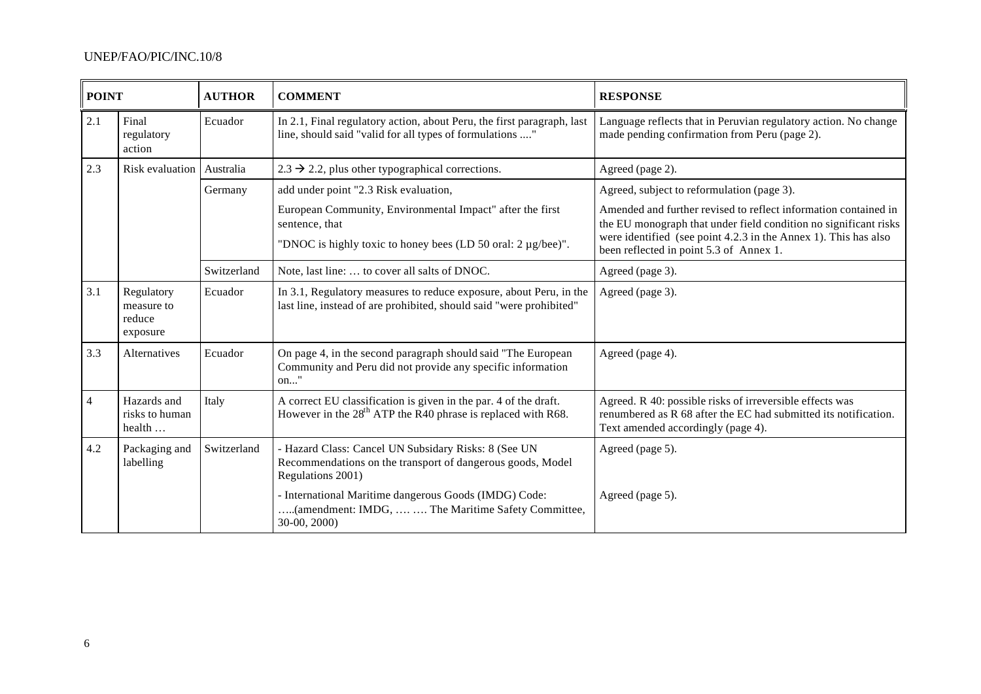### UNEP/FAO/PIC/INC.10/8

| <b>POINT</b>                                                                                                                 |                                                                                                                                                                                        | <b>AUTHOR</b> | <b>COMMENT</b>                                                                                                                            | <b>RESPONSE</b>                                                                                                                                                                                                                                   |
|------------------------------------------------------------------------------------------------------------------------------|----------------------------------------------------------------------------------------------------------------------------------------------------------------------------------------|---------------|-------------------------------------------------------------------------------------------------------------------------------------------|---------------------------------------------------------------------------------------------------------------------------------------------------------------------------------------------------------------------------------------------------|
| 2.1                                                                                                                          | Final<br>regulatory<br>action                                                                                                                                                          | Ecuador       | In 2.1, Final regulatory action, about Peru, the first paragraph, last<br>line, should said "valid for all types of formulations "        | Language reflects that in Peruvian regulatory action. No change<br>made pending confirmation from Peru (page 2).                                                                                                                                  |
| 2.3                                                                                                                          | Risk evaluation   Australia                                                                                                                                                            |               | $2.3 \rightarrow 2.2$ , plus other typographical corrections.                                                                             | Agreed (page 2).                                                                                                                                                                                                                                  |
|                                                                                                                              |                                                                                                                                                                                        | Germany       | add under point "2.3 Risk evaluation,                                                                                                     | Agreed, subject to reformulation (page 3).                                                                                                                                                                                                        |
|                                                                                                                              | European Community, Environmental Impact" after the first<br>sentence, that<br>"DNOC is highly toxic to honey bees (LD 50 oral: 2 µg/bee)".                                            |               |                                                                                                                                           | Amended and further revised to reflect information contained in<br>the EU monograph that under field condition no significant risks<br>were identified (see point 4.2.3 in the Annex 1). This has also<br>been reflected in point 5.3 of Annex 1. |
| Switzerland<br>Note, last line:  to cover all salts of DNOC.                                                                 |                                                                                                                                                                                        |               | Agreed (page 3).                                                                                                                          |                                                                                                                                                                                                                                                   |
| 3.1                                                                                                                          | Regulatory<br>measure to<br>reduce<br>exposure                                                                                                                                         | Ecuador       | In 3.1, Regulatory measures to reduce exposure, about Peru, in the<br>last line, instead of are prohibited, should said "were prohibited" | Agreed (page 3).                                                                                                                                                                                                                                  |
| 3.3                                                                                                                          | Alternatives                                                                                                                                                                           | Ecuador       | On page 4, in the second paragraph should said "The European<br>Community and Peru did not provide any specific information<br>on"        | Agreed (page 4).                                                                                                                                                                                                                                  |
| $\overline{4}$                                                                                                               | Hazards and<br>Italy<br>A correct EU classification is given in the par. 4 of the draft.<br>However in the $28th$ ATP the R40 phrase is replaced with R68.<br>risks to human<br>health |               |                                                                                                                                           | Agreed. R 40: possible risks of irreversible effects was<br>renumbered as R 68 after the EC had submitted its notification.<br>Text amended accordingly (page 4).                                                                                 |
| 4.2                                                                                                                          | Switzerland<br>Packaging and<br>- Hazard Class: Cancel UN Subsidary Risks: 8 (See UN<br>labelling<br>Recommendations on the transport of dangerous goods, Model<br>Regulations 2001)   |               |                                                                                                                                           | Agreed (page 5).                                                                                                                                                                                                                                  |
| - International Maritime dangerous Goods (IMDG) Code:<br>(amendment: IMDG,   The Maritime Safety Committee,<br>$30-00, 2000$ |                                                                                                                                                                                        |               | Agreed (page 5).                                                                                                                          |                                                                                                                                                                                                                                                   |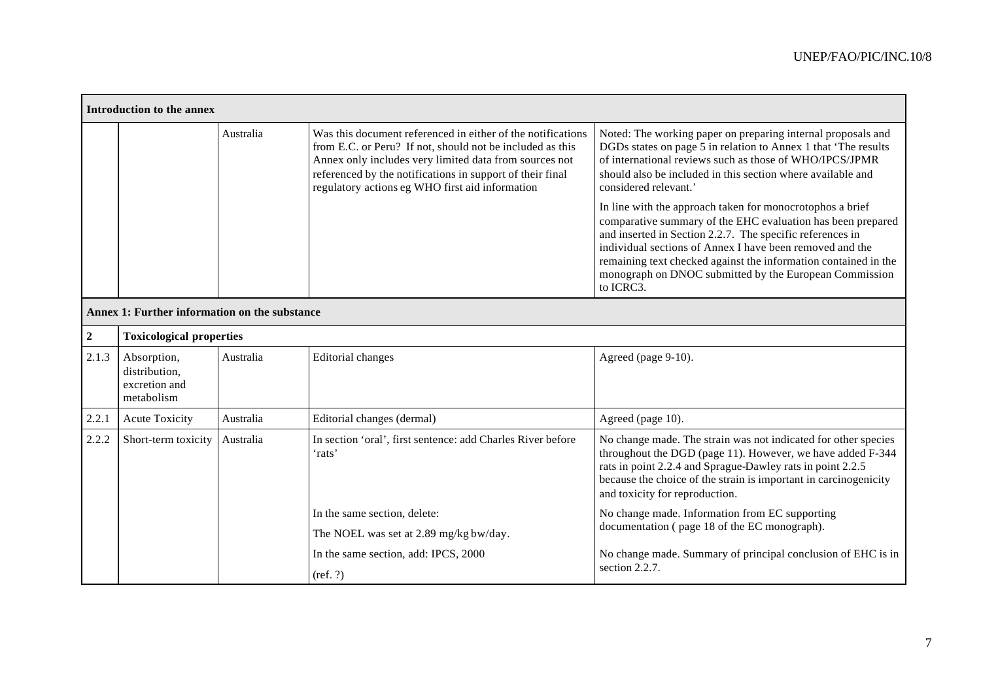|             | Introduction to the annex                                   |                                                                                                                                                                                                                                                                                                                                                                                             |                                                                                                                                                                                                                                                                                                    |                                                                                                                                                                                                                                                                                                  |  |  |
|-------------|-------------------------------------------------------------|---------------------------------------------------------------------------------------------------------------------------------------------------------------------------------------------------------------------------------------------------------------------------------------------------------------------------------------------------------------------------------------------|----------------------------------------------------------------------------------------------------------------------------------------------------------------------------------------------------------------------------------------------------------------------------------------------------|--------------------------------------------------------------------------------------------------------------------------------------------------------------------------------------------------------------------------------------------------------------------------------------------------|--|--|
|             | Australia                                                   |                                                                                                                                                                                                                                                                                                                                                                                             | Was this document referenced in either of the notifications<br>from E.C. or Peru? If not, should not be included as this<br>Annex only includes very limited data from sources not<br>referenced by the notifications in support of their final<br>regulatory actions eg WHO first aid information | Noted: The working paper on preparing internal proposals and<br>DGDs states on page 5 in relation to Annex 1 that 'The results<br>of international reviews such as those of WHO/IPCS/JPMR<br>should also be included in this section where available and<br>considered relevant.'                |  |  |
|             |                                                             | In line with the approach taken for monocrotophos a brief<br>comparative summary of the EHC evaluation has been prepared<br>and inserted in Section 2.2.7. The specific references in<br>individual sections of Annex I have been removed and the<br>remaining text checked against the information contained in the<br>monograph on DNOC submitted by the European Commission<br>to ICRC3. |                                                                                                                                                                                                                                                                                                    |                                                                                                                                                                                                                                                                                                  |  |  |
|             | Annex 1: Further information on the substance               |                                                                                                                                                                                                                                                                                                                                                                                             |                                                                                                                                                                                                                                                                                                    |                                                                                                                                                                                                                                                                                                  |  |  |
| $\mathbf 2$ | <b>Toxicological properties</b>                             |                                                                                                                                                                                                                                                                                                                                                                                             |                                                                                                                                                                                                                                                                                                    |                                                                                                                                                                                                                                                                                                  |  |  |
| 2.1.3       | Absorption,<br>distribution,<br>excretion and<br>metabolism | Australia                                                                                                                                                                                                                                                                                                                                                                                   | <b>Editorial</b> changes                                                                                                                                                                                                                                                                           | Agreed (page 9-10).                                                                                                                                                                                                                                                                              |  |  |
| 2.2.1       | <b>Acute Toxicity</b>                                       | Australia                                                                                                                                                                                                                                                                                                                                                                                   | Editorial changes (dermal)                                                                                                                                                                                                                                                                         | Agreed (page 10).                                                                                                                                                                                                                                                                                |  |  |
| 2.2.2       | Short-term toxicity                                         | Australia                                                                                                                                                                                                                                                                                                                                                                                   | In section 'oral', first sentence: add Charles River before<br>'rats'                                                                                                                                                                                                                              | No change made. The strain was not indicated for other species<br>throughout the DGD (page 11). However, we have added F-344<br>rats in point 2.2.4 and Sprague-Dawley rats in point 2.2.5<br>because the choice of the strain is important in carcinogenicity<br>and toxicity for reproduction. |  |  |
|             |                                                             |                                                                                                                                                                                                                                                                                                                                                                                             | In the same section, delete:                                                                                                                                                                                                                                                                       | No change made. Information from EC supporting                                                                                                                                                                                                                                                   |  |  |
|             |                                                             |                                                                                                                                                                                                                                                                                                                                                                                             | The NOEL was set at 2.89 mg/kg bw/day.                                                                                                                                                                                                                                                             | documentation (page 18 of the EC monograph).                                                                                                                                                                                                                                                     |  |  |
|             |                                                             |                                                                                                                                                                                                                                                                                                                                                                                             | In the same section, add: IPCS, 2000                                                                                                                                                                                                                                                               | No change made. Summary of principal conclusion of EHC is in                                                                                                                                                                                                                                     |  |  |
|             |                                                             |                                                                                                                                                                                                                                                                                                                                                                                             | $(\text{ref. }?)$                                                                                                                                                                                                                                                                                  | section 2.2.7.                                                                                                                                                                                                                                                                                   |  |  |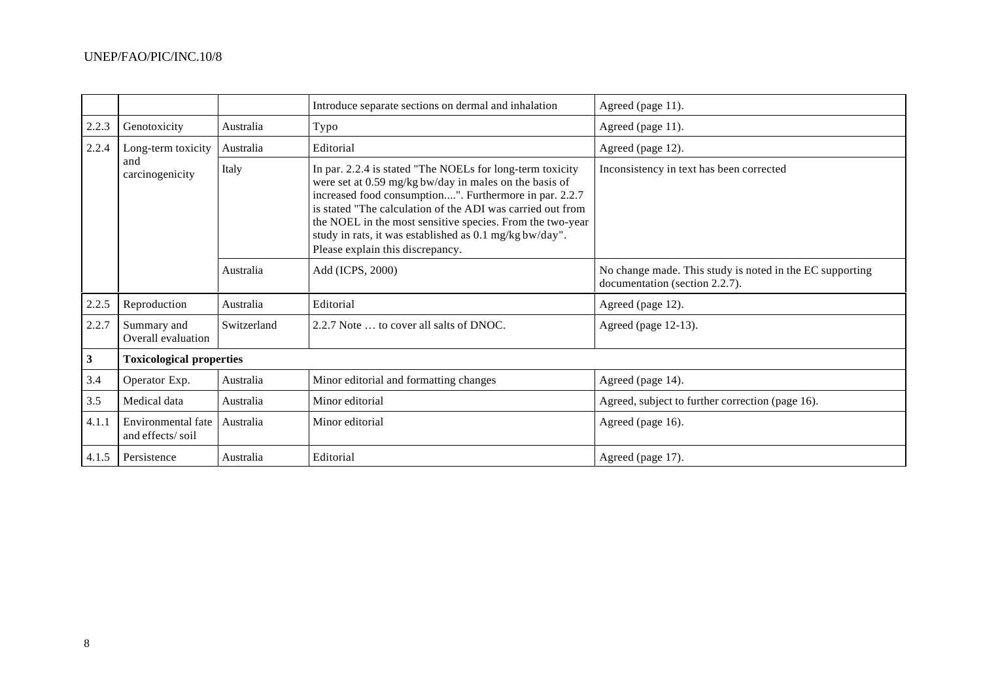|                                                                             |                                        |             | Introduce separate sections on dermal and inhalation                                                                                                                                                                                                                                                                                                                                                    | Agreed (page 11).                                                                          |
|-----------------------------------------------------------------------------|----------------------------------------|-------------|---------------------------------------------------------------------------------------------------------------------------------------------------------------------------------------------------------------------------------------------------------------------------------------------------------------------------------------------------------------------------------------------------------|--------------------------------------------------------------------------------------------|
| 2.2.3                                                                       | Genotoxicity                           | Australia   | Typo<br>Agreed (page 11).                                                                                                                                                                                                                                                                                                                                                                               |                                                                                            |
| 2.2.4<br>Long-term toxicity<br>Australia<br>and<br>Italy<br>carcinogenicity |                                        |             | Editorial                                                                                                                                                                                                                                                                                                                                                                                               | Agreed (page 12).                                                                          |
|                                                                             |                                        |             | In par. 2.2.4 is stated "The NOELs for long-term toxicity<br>were set at 0.59 mg/kg bw/day in males on the basis of<br>increased food consumption". Furthermore in par. 2.2.7<br>is stated "The calculation of the ADI was carried out from<br>the NOEL in the most sensitive species. From the two-year<br>study in rats, it was established as 0.1 mg/kg bw/day".<br>Please explain this discrepancy. | Inconsistency in text has been corrected                                                   |
|                                                                             |                                        | Australia   | Add (ICPS, 2000)                                                                                                                                                                                                                                                                                                                                                                                        | No change made. This study is noted in the EC supporting<br>documentation (section 2.2.7). |
| 2.2.5                                                                       | Reproduction                           | Australia   | Editorial                                                                                                                                                                                                                                                                                                                                                                                               | Agreed (page 12).                                                                          |
| 2.2.7                                                                       | Summary and<br>Overall evaluation      | Switzerland | 2.2.7 Note  to cover all salts of DNOC.                                                                                                                                                                                                                                                                                                                                                                 | Agreed (page 12-13).                                                                       |
| $\mathbf{3}$                                                                | <b>Toxicological properties</b>        |             |                                                                                                                                                                                                                                                                                                                                                                                                         |                                                                                            |
| 3.4                                                                         | Operator Exp.                          | Australia   | Minor editorial and formatting changes                                                                                                                                                                                                                                                                                                                                                                  | Agreed (page 14).                                                                          |
| 3.5                                                                         | Medical data                           | Australia   | Minor editorial                                                                                                                                                                                                                                                                                                                                                                                         | Agreed, subject to further correction (page 16).                                           |
| 4.1.1                                                                       | Environmental fate<br>and effects/soil | Australia   | Minor editorial                                                                                                                                                                                                                                                                                                                                                                                         | Agreed (page 16).                                                                          |
|                                                                             | 4.1.5 Persistence                      | Australia   | Editorial                                                                                                                                                                                                                                                                                                                                                                                               | Agreed (page 17).                                                                          |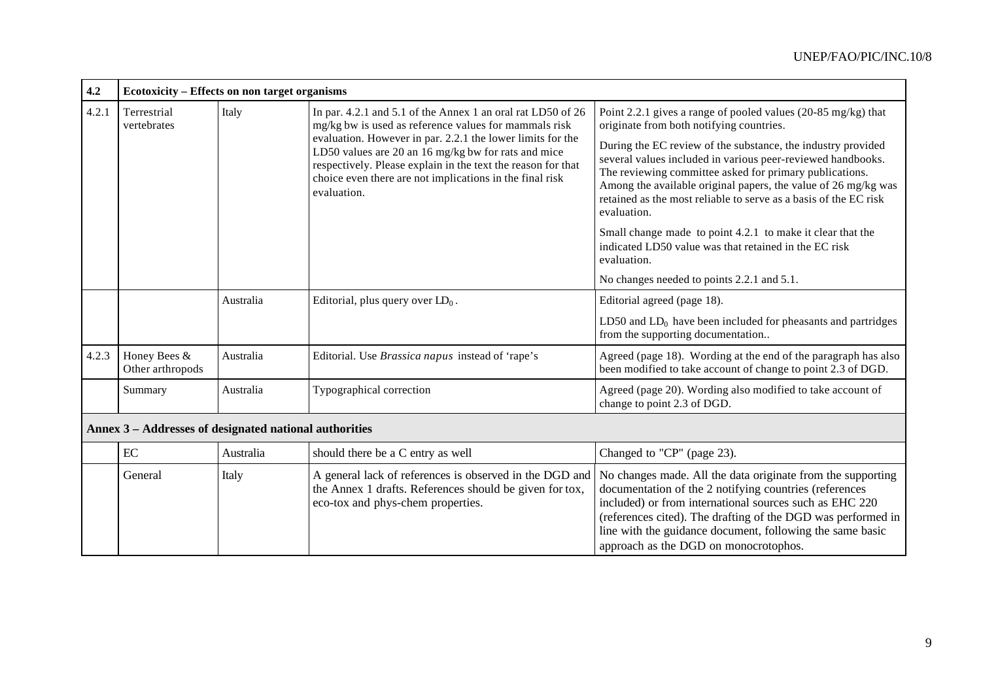| 4.2   |                                                        | Ecotoxicity – Effects on non target organisms                                                                                                                                                                                                                                                                                                                                                 |                                                                                                                                                         |                                                                                                                                                                                                                                                                                                                                                        |  |  |  |
|-------|--------------------------------------------------------|-----------------------------------------------------------------------------------------------------------------------------------------------------------------------------------------------------------------------------------------------------------------------------------------------------------------------------------------------------------------------------------------------|---------------------------------------------------------------------------------------------------------------------------------------------------------|--------------------------------------------------------------------------------------------------------------------------------------------------------------------------------------------------------------------------------------------------------------------------------------------------------------------------------------------------------|--|--|--|
| 4.2.1 | Terrestrial<br>vertebrates                             | Italy<br>In par. 4.2.1 and 5.1 of the Annex 1 an oral rat LD50 of 26<br>mg/kg bw is used as reference values for mammals risk<br>evaluation. However in par. 2.2.1 the lower limits for the<br>LD50 values are 20 an 16 mg/kg bw for rats and mice<br>respectively. Please explain in the text the reason for that<br>choice even there are not implications in the final risk<br>evaluation. |                                                                                                                                                         | Point 2.2.1 gives a range of pooled values (20-85 mg/kg) that<br>originate from both notifying countries.                                                                                                                                                                                                                                              |  |  |  |
|       |                                                        |                                                                                                                                                                                                                                                                                                                                                                                               |                                                                                                                                                         | During the EC review of the substance, the industry provided<br>several values included in various peer-reviewed handbooks.<br>The reviewing committee asked for primary publications.<br>Among the available original papers, the value of 26 mg/kg was<br>retained as the most reliable to serve as a basis of the EC risk<br>evaluation.            |  |  |  |
|       |                                                        |                                                                                                                                                                                                                                                                                                                                                                                               |                                                                                                                                                         | Small change made to point 4.2.1 to make it clear that the<br>indicated LD50 value was that retained in the EC risk<br>evaluation.                                                                                                                                                                                                                     |  |  |  |
|       |                                                        |                                                                                                                                                                                                                                                                                                                                                                                               |                                                                                                                                                         | No changes needed to points 2.2.1 and 5.1.                                                                                                                                                                                                                                                                                                             |  |  |  |
|       |                                                        | Australia                                                                                                                                                                                                                                                                                                                                                                                     | Editorial, plus query over $LD_0$ .                                                                                                                     | Editorial agreed (page 18).                                                                                                                                                                                                                                                                                                                            |  |  |  |
|       |                                                        |                                                                                                                                                                                                                                                                                                                                                                                               |                                                                                                                                                         | LD50 and $LD_0$ have been included for pheasants and partridges<br>from the supporting documentation                                                                                                                                                                                                                                                   |  |  |  |
| 4.2.3 | Honey Bees &<br>Other arthropods                       | Australia<br>Editorial. Use Brassica napus instead of 'rape's                                                                                                                                                                                                                                                                                                                                 |                                                                                                                                                         | Agreed (page 18). Wording at the end of the paragraph has also<br>been modified to take account of change to point 2.3 of DGD.                                                                                                                                                                                                                         |  |  |  |
|       | Summary                                                | Australia                                                                                                                                                                                                                                                                                                                                                                                     | Typographical correction                                                                                                                                | Agreed (page 20). Wording also modified to take account of<br>change to point 2.3 of DGD.                                                                                                                                                                                                                                                              |  |  |  |
|       | Annex 3 – Addresses of designated national authorities |                                                                                                                                                                                                                                                                                                                                                                                               |                                                                                                                                                         |                                                                                                                                                                                                                                                                                                                                                        |  |  |  |
|       | EC                                                     | Australia                                                                                                                                                                                                                                                                                                                                                                                     | should there be a C entry as well                                                                                                                       | Changed to "CP" (page 23).                                                                                                                                                                                                                                                                                                                             |  |  |  |
|       | General                                                | Italy                                                                                                                                                                                                                                                                                                                                                                                         | A general lack of references is observed in the DGD and<br>the Annex 1 drafts. References should be given for tox,<br>eco-tox and phys-chem properties. | No changes made. All the data originate from the supporting<br>documentation of the 2 notifying countries (references<br>included) or from international sources such as EHC 220<br>(references cited). The drafting of the DGD was performed in<br>line with the guidance document, following the same basic<br>approach as the DGD on monocrotophos. |  |  |  |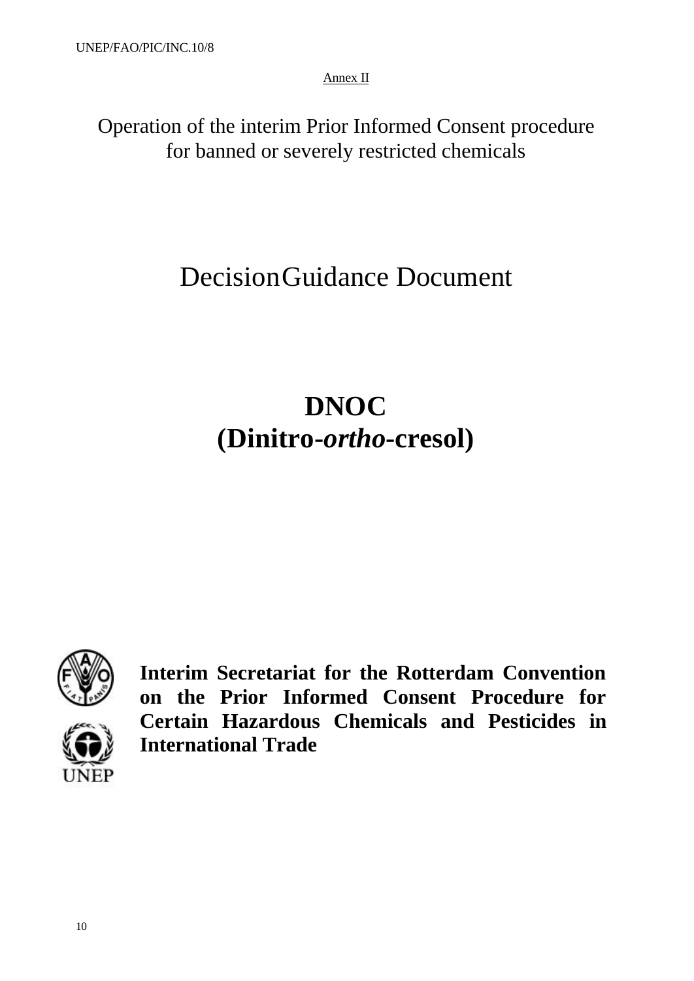Annex II

Operation of the interim Prior Informed Consent procedure for banned or severely restricted chemicals

# DecisionGuidance Document

# **DNOC (Dinitro-***ortho***-cresol)**



**Interim Secretariat for the Rotterdam Convention on the Prior Informed Consent Procedure for Certain Hazardous Chemicals and Pesticides in International Trade**

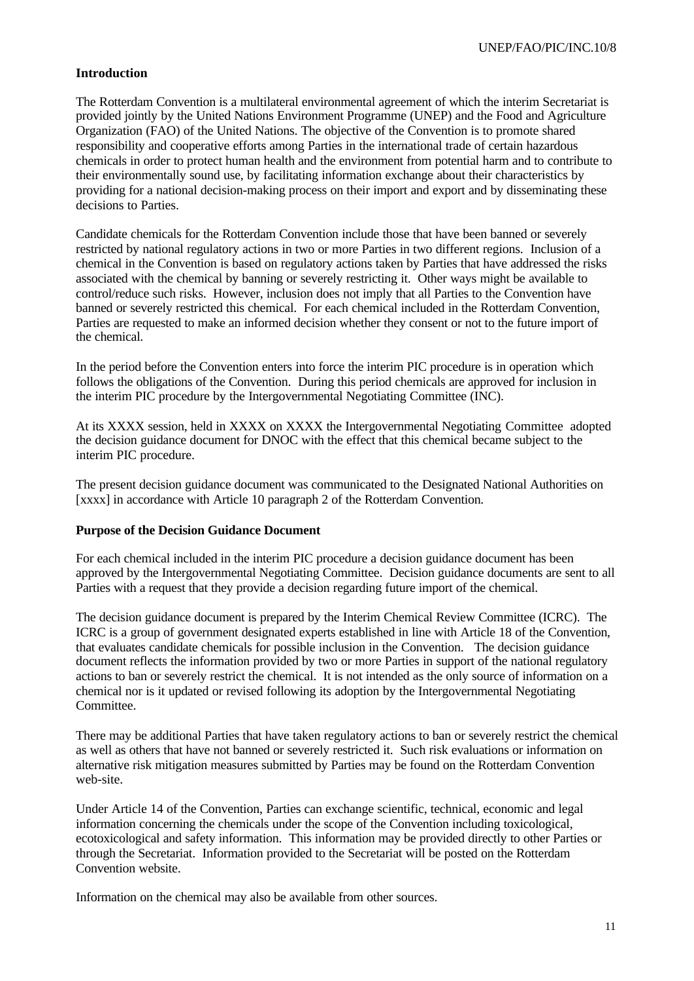#### **Introduction**

The Rotterdam Convention is a multilateral environmental agreement of which the interim Secretariat is provided jointly by the United Nations Environment Programme (UNEP) and the Food and Agriculture Organization (FAO) of the United Nations. The objective of the Convention is to promote shared responsibility and cooperative efforts among Parties in the international trade of certain hazardous chemicals in order to protect human health and the environment from potential harm and to contribute to their environmentally sound use, by facilitating information exchange about their characteristics by providing for a national decision-making process on their import and export and by disseminating these decisions to Parties.

Candidate chemicals for the Rotterdam Convention include those that have been banned or severely restricted by national regulatory actions in two or more Parties in two different regions. Inclusion of a chemical in the Convention is based on regulatory actions taken by Parties that have addressed the risks associated with the chemical by banning or severely restricting it. Other ways might be available to control/reduce such risks. However, inclusion does not imply that all Parties to the Convention have banned or severely restricted this chemical. For each chemical included in the Rotterdam Convention, Parties are requested to make an informed decision whether they consent or not to the future import of the chemical.

In the period before the Convention enters into force the interim PIC procedure is in operation which follows the obligations of the Convention. During this period chemicals are approved for inclusion in the interim PIC procedure by the Intergovernmental Negotiating Committee (INC).

At its XXXX session, held in XXXX on XXXX the Intergovernmental Negotiating Committee adopted the decision guidance document for DNOC with the effect that this chemical became subject to the interim PIC procedure.

The present decision guidance document was communicated to the Designated National Authorities on [xxxx] in accordance with Article 10 paragraph 2 of the Rotterdam Convention.

#### **Purpose of the Decision Guidance Document**

For each chemical included in the interim PIC procedure a decision guidance document has been approved by the Intergovernmental Negotiating Committee. Decision guidance documents are sent to all Parties with a request that they provide a decision regarding future import of the chemical.

The decision guidance document is prepared by the Interim Chemical Review Committee (ICRC). The ICRC is a group of government designated experts established in line with Article 18 of the Convention, that evaluates candidate chemicals for possible inclusion in the Convention. The decision guidance document reflects the information provided by two or more Parties in support of the national regulatory actions to ban or severely restrict the chemical. It is not intended as the only source of information on a chemical nor is it updated or revised following its adoption by the Intergovernmental Negotiating Committee.

There may be additional Parties that have taken regulatory actions to ban or severely restrict the chemical as well as others that have not banned or severely restricted it. Such risk evaluations or information on alternative risk mitigation measures submitted by Parties may be found on the Rotterdam Convention web-site.

Under Article 14 of the Convention, Parties can exchange scientific, technical, economic and legal information concerning the chemicals under the scope of the Convention including toxicological, ecotoxicological and safety information. This information may be provided directly to other Parties or through the Secretariat. Information provided to the Secretariat will be posted on the Rotterdam Convention website.

Information on the chemical may also be available from other sources.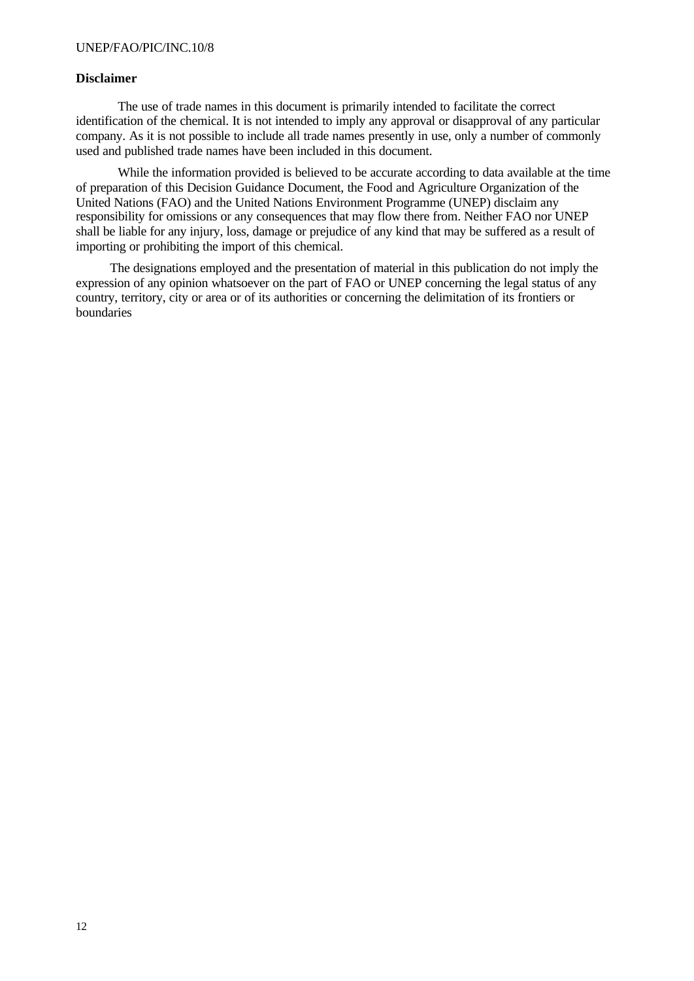#### **Disclaimer**

The use of trade names in this document is primarily intended to facilitate the correct identification of the chemical. It is not intended to imply any approval or disapproval of any particular company. As it is not possible to include all trade names presently in use, only a number of commonly used and published trade names have been included in this document.

While the information provided is believed to be accurate according to data available at the time of preparation of this Decision Guidance Document, the Food and Agriculture Organization of the United Nations (FAO) and the United Nations Environment Programme (UNEP) disclaim any responsibility for omissions or any consequences that may flow there from. Neither FAO nor UNEP shall be liable for any injury, loss, damage or prejudice of any kind that may be suffered as a result of importing or prohibiting the import of this chemical.

The designations employed and the presentation of material in this publication do not imply the expression of any opinion whatsoever on the part of FAO or UNEP concerning the legal status of any country, territory, city or area or of its authorities or concerning the delimitation of its frontiers or boundaries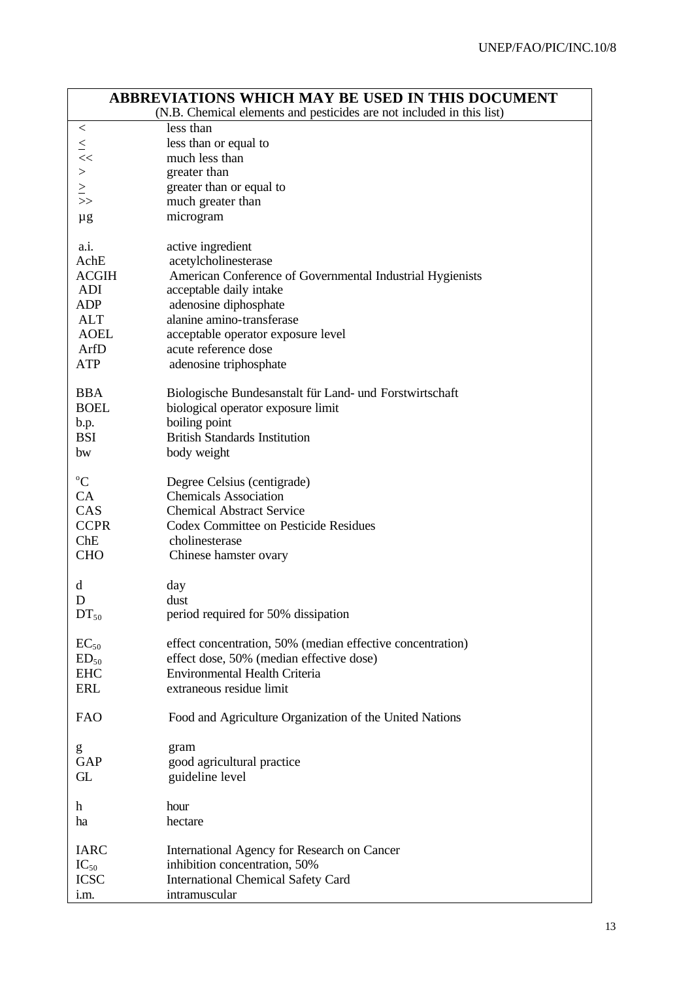|                                                                       | <b>ABBREVIATIONS WHICH MAY BE USED IN THIS DOCUMENT</b><br>(N.B. Chemical elements and pesticides are not included in this list) |
|-----------------------------------------------------------------------|----------------------------------------------------------------------------------------------------------------------------------|
| $\,<\,$                                                               | less than                                                                                                                        |
|                                                                       | less than or equal to                                                                                                            |
|                                                                       | much less than                                                                                                                   |
| $\frac{1}{2}$ $\frac{1}{2}$ $\frac{1}{2}$ $\frac{1}{2}$ $\frac{1}{2}$ | greater than                                                                                                                     |
|                                                                       | greater than or equal to                                                                                                         |
|                                                                       | much greater than                                                                                                                |
|                                                                       | microgram                                                                                                                        |
| $\mu$ g                                                               |                                                                                                                                  |
| a.i.                                                                  | active ingredient                                                                                                                |
| AchE                                                                  | acetylcholinesterase                                                                                                             |
| <b>ACGIH</b>                                                          | American Conference of Governmental Industrial Hygienists                                                                        |
| ADI                                                                   | acceptable daily intake                                                                                                          |
| ADP                                                                   | adenosine diphosphate                                                                                                            |
| ALT                                                                   | alanine amino-transferase                                                                                                        |
| <b>AOEL</b>                                                           | acceptable operator exposure level                                                                                               |
| ArfD                                                                  | acute reference dose                                                                                                             |
| ATP                                                                   | adenosine triphosphate                                                                                                           |
| <b>BBA</b>                                                            | Biologische Bundesanstalt für Land- und Forstwirtschaft                                                                          |
| <b>BOEL</b>                                                           | biological operator exposure limit                                                                                               |
| b.p.                                                                  | boiling point                                                                                                                    |
| <b>BSI</b>                                                            | <b>British Standards Institution</b>                                                                                             |
| bw                                                                    | body weight                                                                                                                      |
|                                                                       |                                                                                                                                  |
| $\rm ^{o}C$                                                           | Degree Celsius (centigrade)                                                                                                      |
| CA                                                                    | <b>Chemicals Association</b>                                                                                                     |
| CAS                                                                   | <b>Chemical Abstract Service</b>                                                                                                 |
| <b>CCPR</b>                                                           | Codex Committee on Pesticide Residues                                                                                            |
| Che                                                                   | cholinesterase                                                                                                                   |
| <b>CHO</b>                                                            | Chinese hamster ovary                                                                                                            |
| d                                                                     | day                                                                                                                              |
| D                                                                     | dust                                                                                                                             |
| $DT_{50}$                                                             | period required for 50% dissipation                                                                                              |
|                                                                       |                                                                                                                                  |
| $EC_{50}$                                                             | effect concentration, 50% (median effective concentration)                                                                       |
| $ED_{50}$                                                             | effect dose, 50% (median effective dose)                                                                                         |
| <b>EHC</b>                                                            | <b>Environmental Health Criteria</b>                                                                                             |
| ERL                                                                   | extraneous residue limit                                                                                                         |
| <b>FAO</b>                                                            | Food and Agriculture Organization of the United Nations                                                                          |
| g                                                                     | gram                                                                                                                             |
| GAP                                                                   | good agricultural practice                                                                                                       |
| GL                                                                    | guideline level                                                                                                                  |
|                                                                       |                                                                                                                                  |
| h                                                                     | hour                                                                                                                             |
| ha                                                                    | hectare                                                                                                                          |
| <b>IARC</b>                                                           | <b>International Agency for Research on Cancer</b>                                                                               |
| $IC_{50}$                                                             | inhibition concentration, 50%                                                                                                    |
| <b>ICSC</b>                                                           | <b>International Chemical Safety Card</b>                                                                                        |
| i.m.                                                                  | intramuscular                                                                                                                    |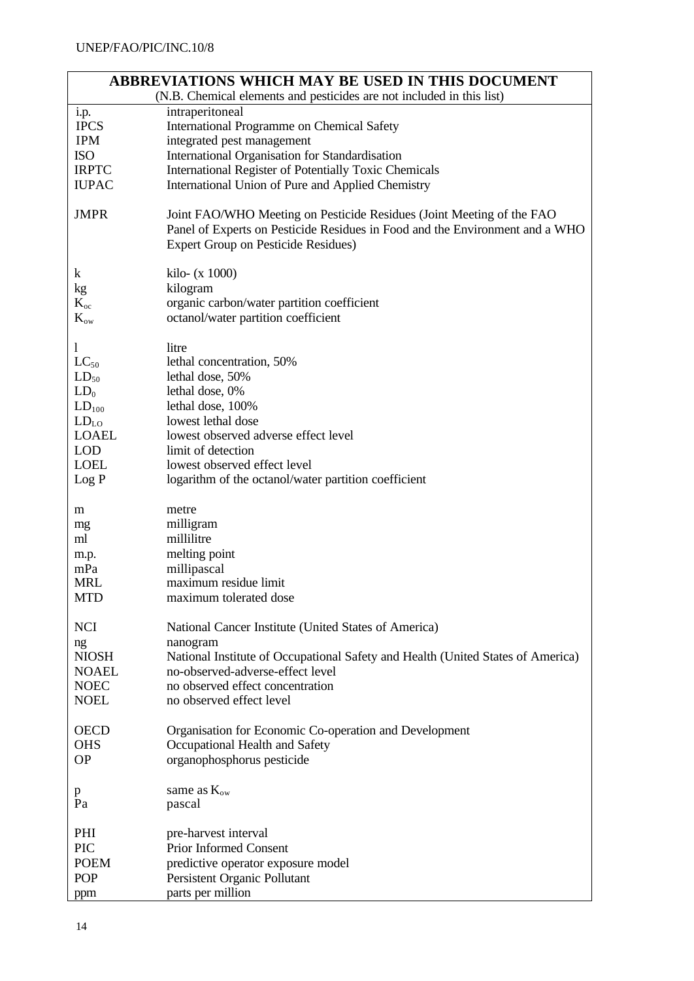| ABBREVIATIONS WHICH MAY BE USED IN THIS DOCUMENT<br>(N.B. Chemical elements and pesticides are not included in this list) |                                                                                                                                                                                                     |  |  |
|---------------------------------------------------------------------------------------------------------------------------|-----------------------------------------------------------------------------------------------------------------------------------------------------------------------------------------------------|--|--|
| i.p.                                                                                                                      | intraperitoneal                                                                                                                                                                                     |  |  |
| <b>IPCS</b>                                                                                                               | International Programme on Chemical Safety                                                                                                                                                          |  |  |
| <b>IPM</b>                                                                                                                | integrated pest management                                                                                                                                                                          |  |  |
| <b>ISO</b>                                                                                                                | International Organisation for Standardisation                                                                                                                                                      |  |  |
| <b>IRPTC</b>                                                                                                              | International Register of Potentially Toxic Chemicals                                                                                                                                               |  |  |
| <b>IUPAC</b>                                                                                                              | International Union of Pure and Applied Chemistry                                                                                                                                                   |  |  |
|                                                                                                                           |                                                                                                                                                                                                     |  |  |
| <b>JMPR</b>                                                                                                               | Joint FAO/WHO Meeting on Pesticide Residues (Joint Meeting of the FAO<br>Panel of Experts on Pesticide Residues in Food and the Environment and a WHO<br><b>Expert Group on Pesticide Residues)</b> |  |  |
| $\bf k$                                                                                                                   | kilo- $(x 1000)$                                                                                                                                                                                    |  |  |
| kg                                                                                                                        | kilogram                                                                                                                                                                                            |  |  |
| $K_{oc}$                                                                                                                  | organic carbon/water partition coefficient                                                                                                                                                          |  |  |
| $K_{\rm{ow}}$                                                                                                             | octanol/water partition coefficient                                                                                                                                                                 |  |  |
| 1                                                                                                                         | litre                                                                                                                                                                                               |  |  |
| $LC_{50}$                                                                                                                 | lethal concentration, 50%                                                                                                                                                                           |  |  |
| $LD_{50}$                                                                                                                 | lethal dose, 50%                                                                                                                                                                                    |  |  |
| $LD_0$                                                                                                                    | lethal dose, 0%                                                                                                                                                                                     |  |  |
| $LD_{100}$                                                                                                                | lethal dose, 100%                                                                                                                                                                                   |  |  |
| $LD_{LO}$                                                                                                                 | lowest lethal dose                                                                                                                                                                                  |  |  |
| <b>LOAEL</b>                                                                                                              | lowest observed adverse effect level                                                                                                                                                                |  |  |
| <b>LOD</b>                                                                                                                | limit of detection                                                                                                                                                                                  |  |  |
| <b>LOEL</b>                                                                                                               | lowest observed effect level                                                                                                                                                                        |  |  |
| Log P                                                                                                                     | logarithm of the octanol/water partition coefficient                                                                                                                                                |  |  |
|                                                                                                                           |                                                                                                                                                                                                     |  |  |
| m                                                                                                                         | metre                                                                                                                                                                                               |  |  |
| mg                                                                                                                        | milligram                                                                                                                                                                                           |  |  |
| ml                                                                                                                        | millilitre                                                                                                                                                                                          |  |  |
| m.p.                                                                                                                      | melting point                                                                                                                                                                                       |  |  |
| mPa                                                                                                                       | millipascal                                                                                                                                                                                         |  |  |
| MRL                                                                                                                       | maximum residue limit                                                                                                                                                                               |  |  |
| <b>MTD</b>                                                                                                                | maximum tolerated dose                                                                                                                                                                              |  |  |
|                                                                                                                           |                                                                                                                                                                                                     |  |  |
| <b>NCI</b>                                                                                                                | National Cancer Institute (United States of America)                                                                                                                                                |  |  |
| ng                                                                                                                        | nanogram                                                                                                                                                                                            |  |  |
| <b>NIOSH</b>                                                                                                              | National Institute of Occupational Safety and Health (United States of America)                                                                                                                     |  |  |
| <b>NOAEL</b>                                                                                                              | no-observed-adverse-effect level                                                                                                                                                                    |  |  |
| <b>NOEC</b>                                                                                                               | no observed effect concentration                                                                                                                                                                    |  |  |
| <b>NOEL</b>                                                                                                               | no observed effect level                                                                                                                                                                            |  |  |
| <b>OECD</b>                                                                                                               | Organisation for Economic Co-operation and Development                                                                                                                                              |  |  |
| <b>OHS</b>                                                                                                                | Occupational Health and Safety                                                                                                                                                                      |  |  |
| <b>OP</b>                                                                                                                 | organophosphorus pesticide                                                                                                                                                                          |  |  |
|                                                                                                                           |                                                                                                                                                                                                     |  |  |
| p                                                                                                                         | same as $K_{ow}$                                                                                                                                                                                    |  |  |
| Pa                                                                                                                        | pascal                                                                                                                                                                                              |  |  |
| PHI                                                                                                                       | pre-harvest interval                                                                                                                                                                                |  |  |
| PIC                                                                                                                       | <b>Prior Informed Consent</b>                                                                                                                                                                       |  |  |
| <b>POEM</b>                                                                                                               | predictive operator exposure model                                                                                                                                                                  |  |  |
| <b>POP</b>                                                                                                                | Persistent Organic Pollutant                                                                                                                                                                        |  |  |
| ppm                                                                                                                       | parts per million                                                                                                                                                                                   |  |  |
|                                                                                                                           |                                                                                                                                                                                                     |  |  |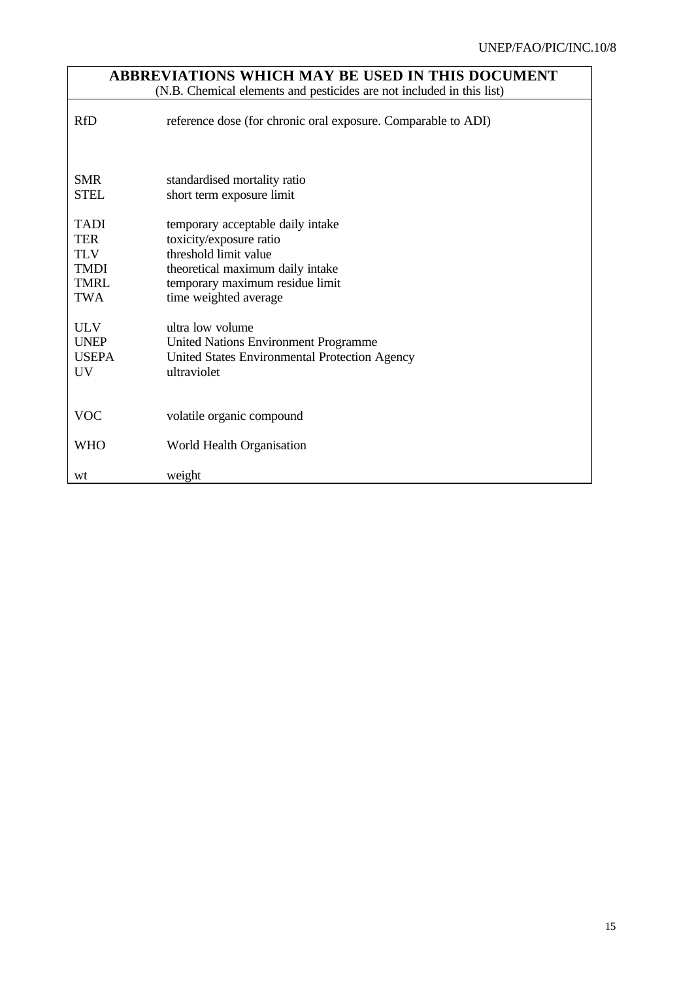| ABBREVIATIONS WHICH MAY BE USED IN THIS DOCUMENT<br>(N.B. Chemical elements and pesticides are not included in this list) |                                                                                                                                                                                       |  |  |
|---------------------------------------------------------------------------------------------------------------------------|---------------------------------------------------------------------------------------------------------------------------------------------------------------------------------------|--|--|
| <b>RfD</b>                                                                                                                | reference dose (for chronic oral exposure. Comparable to ADI)                                                                                                                         |  |  |
| <b>SMR</b><br><b>STEL</b>                                                                                                 | standardised mortality ratio<br>short term exposure limit                                                                                                                             |  |  |
| <b>TADI</b><br><b>TER</b><br><b>TLV</b><br><b>TMDI</b><br><b>TMRL</b><br><b>TWA</b>                                       | temporary acceptable daily intake<br>toxicity/exposure ratio<br>threshold limit value<br>theoretical maximum daily intake<br>temporary maximum residue limit<br>time weighted average |  |  |
| <b>ULV</b><br><b>UNEP</b><br><b>USEPA</b><br>UV <sub></sub>                                                               | ultra low volume<br><b>United Nations Environment Programme</b><br>United States Environmental Protection Agency<br>ultraviolet                                                       |  |  |
| <b>VOC</b>                                                                                                                | volatile organic compound                                                                                                                                                             |  |  |
| <b>WHO</b>                                                                                                                | World Health Organisation                                                                                                                                                             |  |  |
| wt                                                                                                                        | weight                                                                                                                                                                                |  |  |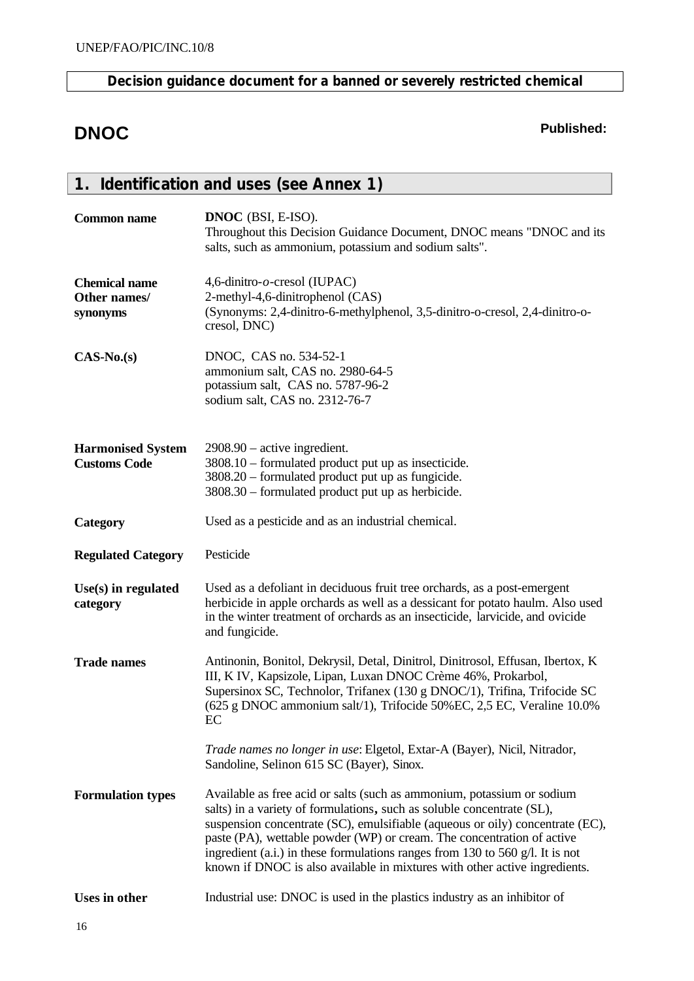## **Decision guidance document for a banned or severely restricted chemical**

## **DNOC Published:**

|                                                  | 1. Identification and uses (see Annex 1)                                                                                                                                                                                                                                                                                                                                                                                                                                   |
|--------------------------------------------------|----------------------------------------------------------------------------------------------------------------------------------------------------------------------------------------------------------------------------------------------------------------------------------------------------------------------------------------------------------------------------------------------------------------------------------------------------------------------------|
| <b>Common name</b>                               | DNOC (BSI, E-ISO).<br>Throughout this Decision Guidance Document, DNOC means "DNOC and its<br>salts, such as ammonium, potassium and sodium salts".                                                                                                                                                                                                                                                                                                                        |
| <b>Chemical name</b><br>Other names/<br>synonyms | 4,6-dinitro- $o$ -cresol (IUPAC)<br>2-methyl-4,6-dinitrophenol (CAS)<br>(Synonyms: 2,4-dinitro-6-methylphenol, 3,5-dinitro-o-cresol, 2,4-dinitro-o-<br>cresol, DNC)                                                                                                                                                                                                                                                                                                        |
| $CAS-No.(s)$                                     | DNOC, CAS no. 534-52-1<br>ammonium salt, CAS no. 2980-64-5<br>potassium salt, CAS no. 5787-96-2<br>sodium salt, CAS no. 2312-76-7                                                                                                                                                                                                                                                                                                                                          |
| <b>Harmonised System</b><br><b>Customs Code</b>  | $2908.90$ – active ingredient.<br>3808.10 – formulated product put up as insecticide.<br>3808.20 – formulated product put up as fungicide.<br>3808.30 – formulated product put up as herbicide.                                                                                                                                                                                                                                                                            |
| Category                                         | Used as a pesticide and as an industrial chemical.                                                                                                                                                                                                                                                                                                                                                                                                                         |
| <b>Regulated Category</b>                        | Pesticide                                                                                                                                                                                                                                                                                                                                                                                                                                                                  |
| $Use(s)$ in regulated<br>category                | Used as a defoliant in deciduous fruit tree orchards, as a post-emergent<br>herbicide in apple orchards as well as a dessicant for potato haulm. Also used<br>in the winter treatment of orchards as an insecticide, larvicide, and ovicide<br>and fungicide.                                                                                                                                                                                                              |
| <b>Trade names</b>                               | Antinonin, Bonitol, Dekrysil, Detal, Dinitrol, Dinitrosol, Effusan, Ibertox, K<br>III, K IV, Kapsizole, Lipan, Luxan DNOC Crème 46%, Prokarbol,<br>Supersinox SC, Technolor, Trifanex (130 g DNOC/1), Trifina, Trifocide SC<br>(625 g DNOC ammonium salt/1), Trifocide 50%EC, 2,5 EC, Veraline 10.0%<br>EC                                                                                                                                                                 |
|                                                  | Trade names no longer in use: Elgetol, Extar-A (Bayer), Nicil, Nitrador,<br>Sandoline, Selinon 615 SC (Bayer), Sinox.                                                                                                                                                                                                                                                                                                                                                      |
| <b>Formulation types</b>                         | Available as free acid or salts (such as ammonium, potassium or sodium<br>salts) in a variety of formulations, such as soluble concentrate (SL),<br>suspension concentrate (SC), emulsifiable (aqueous or oily) concentrate (EC),<br>paste (PA), wettable powder (WP) or cream. The concentration of active<br>ingredient (a.i.) in these formulations ranges from 130 to 560 g/l. It is not<br>known if DNOC is also available in mixtures with other active ingredients. |
| <b>Uses in other</b>                             | Industrial use: DNOC is used in the plastics industry as an inhibitor of                                                                                                                                                                                                                                                                                                                                                                                                   |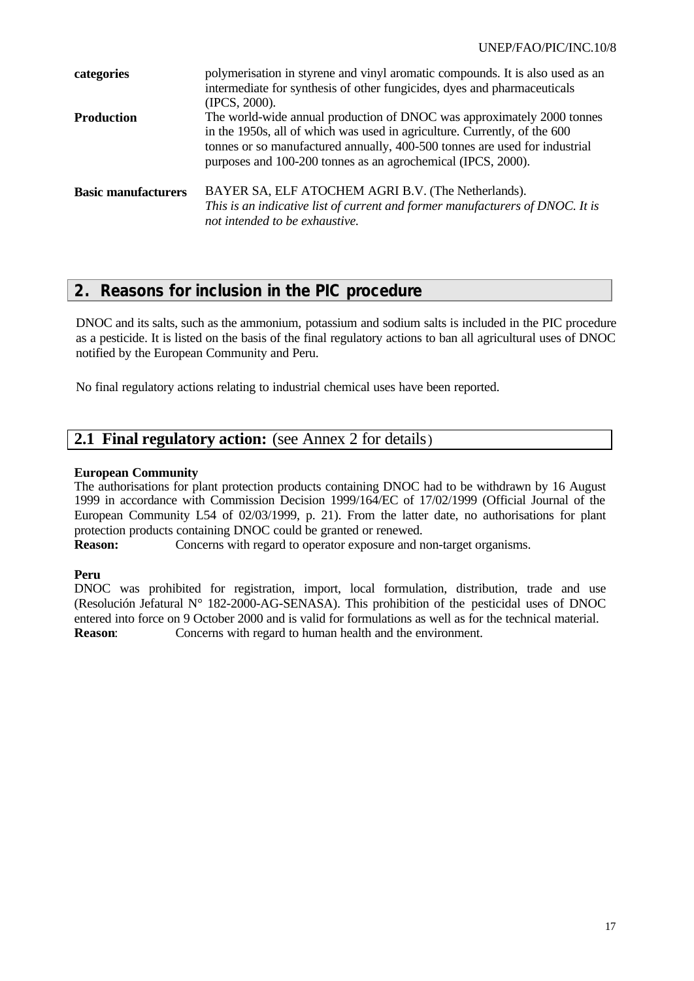| categories                 | polymerisation in styrene and vinyl aromatic compounds. It is also used as an<br>intermediate for synthesis of other fungicides, dyes and pharmaceuticals<br>(IPCS, 2000).                                                                                                                        |
|----------------------------|---------------------------------------------------------------------------------------------------------------------------------------------------------------------------------------------------------------------------------------------------------------------------------------------------|
| Production                 | The world-wide annual production of DNOC was approximately 2000 tonnes<br>in the 1950s, all of which was used in agriculture. Currently, of the 600<br>tonnes or so manufactured annually, 400-500 tonnes are used for industrial<br>purposes and 100-200 tonnes as an agrochemical (IPCS, 2000). |
| <b>Basic manufacturers</b> | BAYER SA, ELF ATOCHEM AGRI B.V. (The Netherlands).<br>This is an indicative list of current and former manufacturers of DNOC. It is<br>not intended to be exhaustive.                                                                                                                             |

## **2. Reasons for inclusion in the PIC procedure**

DNOC and its salts, such as the ammonium, potassium and sodium salts is included in the PIC procedure as a pesticide. It is listed on the basis of the final regulatory actions to ban all agricultural uses of DNOC notified by the European Community and Peru.

No final regulatory actions relating to industrial chemical uses have been reported.

## **2.1 Final regulatory action:** (see Annex 2 for details)

#### **European Community**

The authorisations for plant protection products containing DNOC had to be withdrawn by 16 August 1999 in accordance with Commission Decision 1999/164/EC of 17/02/1999 (Official Journal of the European Community L54 of 02/03/1999, p. 21). From the latter date, no authorisations for plant protection products containing DNOC could be granted or renewed.

**Reason:** Concerns with regard to operator exposure and non-target organisms.

#### **Peru**

DNOC was prohibited for registration, import, local formulation, distribution, trade and use (Resolución Jefatural N° 182-2000-AG-SENASA). This prohibition of the pesticidal uses of DNOC entered into force on 9 October 2000 and is valid for formulations as well as for the technical material. **Reason:** Concerns with regard to human health and the environment.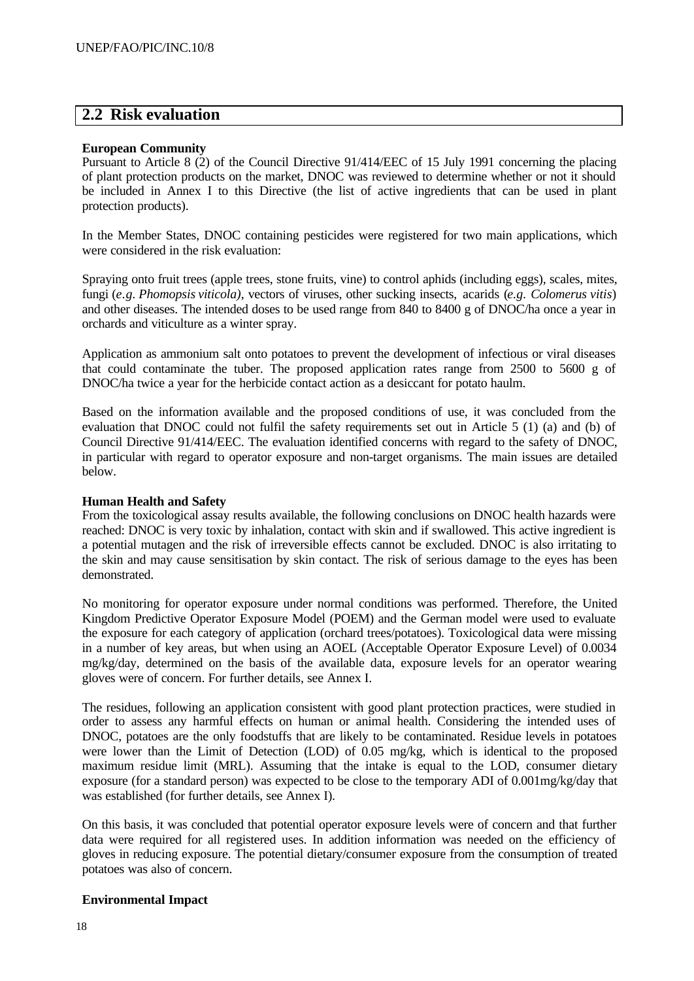## **2.2 Risk evaluation**

#### **European Community**

Pursuant to Article 8 (2) of the Council Directive 91/414/EEC of 15 July 1991 concerning the placing of plant protection products on the market, DNOC was reviewed to determine whether or not it should be included in Annex I to this Directive (the list of active ingredients that can be used in plant protection products).

In the Member States, DNOC containing pesticides were registered for two main applications, which were considered in the risk evaluation:

Spraying onto fruit trees (apple trees, stone fruits, vine) to control aphids (including eggs), scales, mites, fungi (*e.g. Phomopsis viticola)*, vectors of viruses, other sucking insects, acarids (*e.g. Colomerus vitis*) and other diseases. The intended doses to be used range from 840 to 8400 g of DNOC/ha once a year in orchards and viticulture as a winter spray.

Application as ammonium salt onto potatoes to prevent the development of infectious or viral diseases that could contaminate the tuber. The proposed application rates range from 2500 to 5600 g of DNOC/ha twice a year for the herbicide contact action as a desiccant for potato haulm.

Based on the information available and the proposed conditions of use, it was concluded from the evaluation that DNOC could not fulfil the safety requirements set out in Article 5 (1) (a) and (b) of Council Directive 91/414/EEC. The evaluation identified concerns with regard to the safety of DNOC, in particular with regard to operator exposure and non-target organisms. The main issues are detailed below.

#### **Human Health and Safety**

From the toxicological assay results available, the following conclusions on DNOC health hazards were reached: DNOC is very toxic by inhalation, contact with skin and if swallowed. This active ingredient is a potential mutagen and the risk of irreversible effects cannot be excluded. DNOC is also irritating to the skin and may cause sensitisation by skin contact. The risk of serious damage to the eyes has been demonstrated.

No monitoring for operator exposure under normal conditions was performed. Therefore, the United Kingdom Predictive Operator Exposure Model (POEM) and the German model were used to evaluate the exposure for each category of application (orchard trees/potatoes). Toxicological data were missing in a number of key areas, but when using an AOEL (Acceptable Operator Exposure Level) of 0.0034 mg/kg/day, determined on the basis of the available data, exposure levels for an operator wearing gloves were of concern. For further details, see Annex I.

The residues, following an application consistent with good plant protection practices, were studied in order to assess any harmful effects on human or animal health. Considering the intended uses of DNOC, potatoes are the only foodstuffs that are likely to be contaminated. Residue levels in potatoes were lower than the Limit of Detection (LOD) of 0.05 mg/kg, which is identical to the proposed maximum residue limit (MRL). Assuming that the intake is equal to the LOD, consumer dietary exposure (for a standard person) was expected to be close to the temporary ADI of 0.001mg/kg/day that was established (for further details, see Annex I).

On this basis, it was concluded that potential operator exposure levels were of concern and that further data were required for all registered uses. In addition information was needed on the efficiency of gloves in reducing exposure. The potential dietary/consumer exposure from the consumption of treated potatoes was also of concern.

#### **Environmental Impact**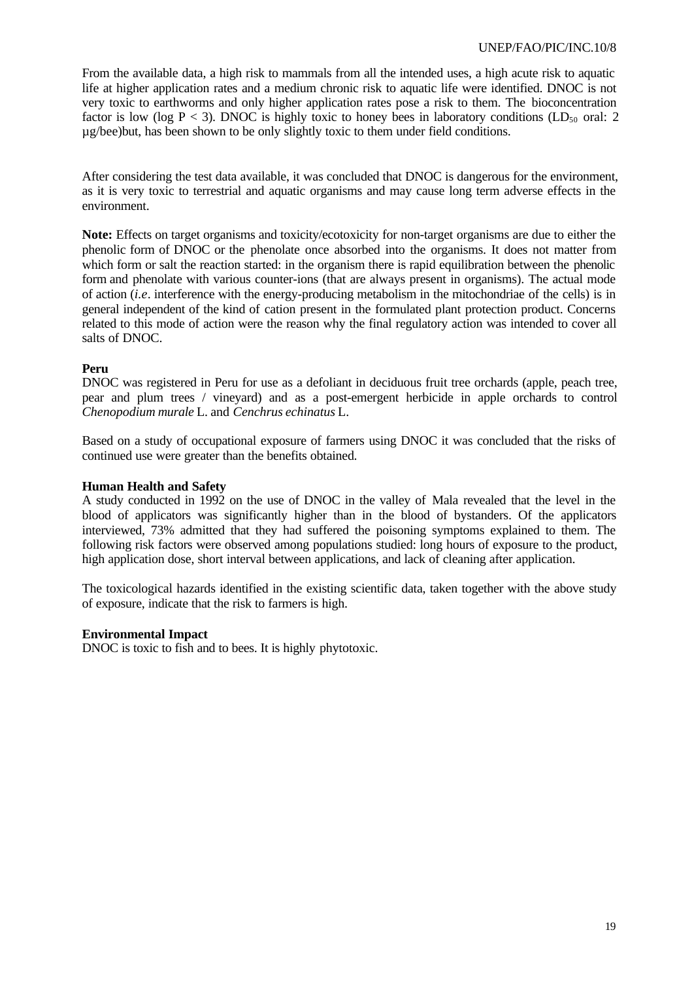From the available data, a high risk to mammals from all the intended uses, a high acute risk to aquatic life at higher application rates and a medium chronic risk to aquatic life were identified. DNOC is not very toxic to earthworms and only higher application rates pose a risk to them. The bioconcentration factor is low (log  $P < 3$ ). DNOC is highly toxic to honey bees in laboratory conditions (LD<sub>50</sub> oral: 2 µg/bee)but, has been shown to be only slightly toxic to them under field conditions.

After considering the test data available, it was concluded that DNOC is dangerous for the environment, as it is very toxic to terrestrial and aquatic organisms and may cause long term adverse effects in the environment.

**Note:** Effects on target organisms and toxicity/ecotoxicity for non-target organisms are due to either the phenolic form of DNOC or the phenolate once absorbed into the organisms. It does not matter from which form or salt the reaction started: in the organism there is rapid equilibration between the phenolic form and phenolate with various counter-ions (that are always present in organisms). The actual mode of action (*i.e*. interference with the energy-producing metabolism in the mitochondriae of the cells) is in general independent of the kind of cation present in the formulated plant protection product. Concerns related to this mode of action were the reason why the final regulatory action was intended to cover all salts of DNOC.

#### **Peru**

DNOC was registered in Peru for use as a defoliant in deciduous fruit tree orchards (apple, peach tree, pear and plum trees / vineyard) and as a post-emergent herbicide in apple orchards to control *Chenopodium murale* L. and *Cenchrus echinatus* L.

Based on a study of occupational exposure of farmers using DNOC it was concluded that the risks of continued use were greater than the benefits obtained.

#### **Human Health and Safety**

A study conducted in 1992 on the use of DNOC in the valley of Mala revealed that the level in the blood of applicators was significantly higher than in the blood of bystanders. Of the applicators interviewed, 73% admitted that they had suffered the poisoning symptoms explained to them. The following risk factors were observed among populations studied: long hours of exposure to the product, high application dose, short interval between applications, and lack of cleaning after application.

The toxicological hazards identified in the existing scientific data, taken together with the above study of exposure, indicate that the risk to farmers is high.

#### **Environmental Impact**

DNOC is toxic to fish and to bees. It is highly phytotoxic.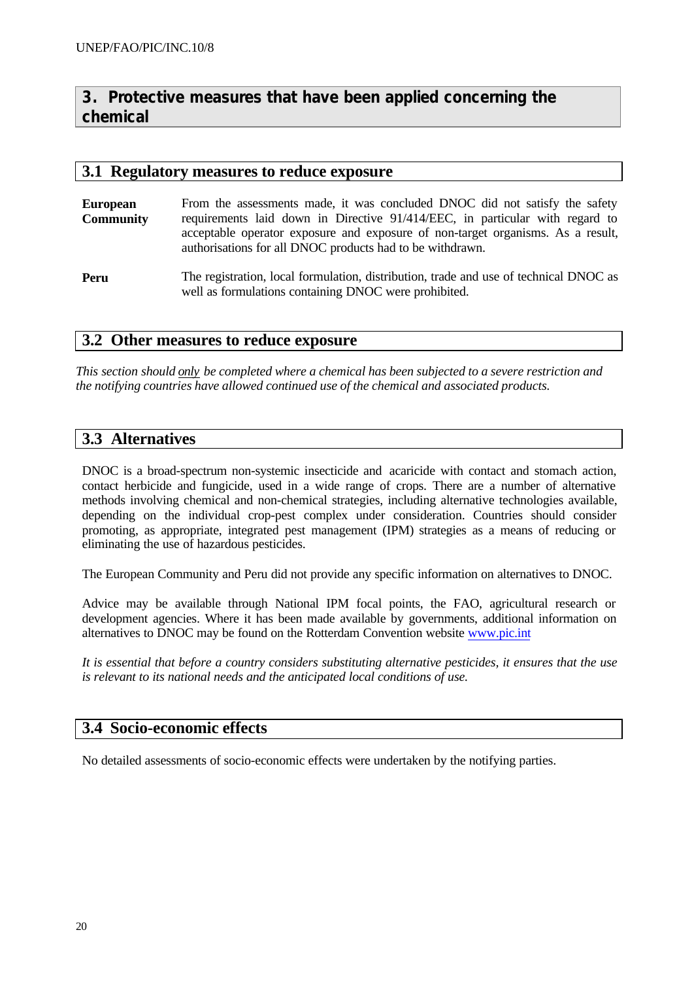## **3. Protective measures that have been applied concerning the chemical**

### **3.1 Regulatory measures to reduce exposure**

- **European Community** From the assessments made, it was concluded DNOC did not satisfy the safety requirements laid down in Directive 91/414/EEC, in particular with regard to acceptable operator exposure and exposure of non-target organisms. As a result, authorisations for all DNOC products had to be withdrawn.
- **Peru** The registration, local formulation, distribution, trade and use of technical DNOC as well as formulations containing DNOC were prohibited.

## **3.2 Other measures to reduce exposure**

*This section should only be completed where a chemical has been subjected to a severe restriction and the notifying countries have allowed continued use of the chemical and associated products.*

## **3.3 Alternatives**

DNOC is a broad-spectrum non-systemic insecticide and acaricide with contact and stomach action, contact herbicide and fungicide, used in a wide range of crops. There are a number of alternative methods involving chemical and non-chemical strategies, including alternative technologies available, depending on the individual crop-pest complex under consideration. Countries should consider promoting, as appropriate, integrated pest management (IPM) strategies as a means of reducing or eliminating the use of hazardous pesticides.

The European Community and Peru did not provide any specific information on alternatives to DNOC.

Advice may be available through National IPM focal points, the FAO, agricultural research or development agencies. Where it has been made available by governments, additional information on alternatives to DNOC may be found on the Rotterdam Convention website www.pic.int

*It is essential that before a country considers substituting alternative pesticides, it ensures that the use is relevant to its national needs and the anticipated local conditions of use.*

## **3.4 Socio-economic effects**

No detailed assessments of socio-economic effects were undertaken by the notifying parties.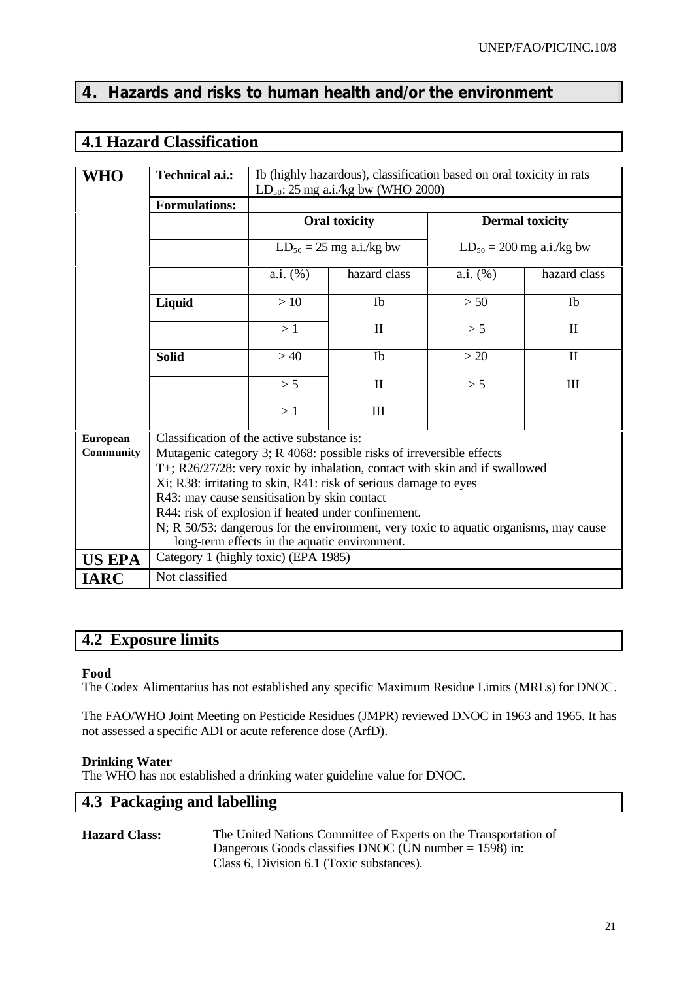## **4. Hazards and risks to human health and/or the environment**

## **4.1 Hazard Classification**

|                  | Ib (highly hazardous), classification based on oral toxicity in rats |                                                                                                                                        |                                                                             |                               |              |  |
|------------------|----------------------------------------------------------------------|----------------------------------------------------------------------------------------------------------------------------------------|-----------------------------------------------------------------------------|-------------------------------|--------------|--|
| WHO              | <b>Technical a.i.:</b>                                               | $LD_{50}$ : 25 mg a.i./kg bw (WHO 2000)                                                                                                |                                                                             |                               |              |  |
|                  | <b>Formulations:</b>                                                 |                                                                                                                                        |                                                                             |                               |              |  |
|                  |                                                                      | <b>Oral toxicity</b><br><b>Dermal toxicity</b>                                                                                         |                                                                             |                               |              |  |
|                  |                                                                      |                                                                                                                                        |                                                                             |                               |              |  |
|                  |                                                                      | $LD_{50} = 25$ mg a.i./kg bw                                                                                                           |                                                                             | $LD_{50} = 200$ mg a.i./kg bw |              |  |
|                  |                                                                      | a.i. (%)                                                                                                                               | hazard class                                                                | a.i. (%)                      | hazard class |  |
|                  | Liquid                                                               | >10                                                                                                                                    | Ib                                                                          | > 50                          | Ib           |  |
|                  |                                                                      | >1<br>$\mathbf{I}$<br>>40<br>Ib<br>> 5<br>$\rm II$                                                                                     |                                                                             | > 5                           | $\mathbf{I}$ |  |
|                  | <b>Solid</b>                                                         |                                                                                                                                        |                                                                             | >20                           | $\mathbf{I}$ |  |
|                  |                                                                      |                                                                                                                                        |                                                                             | > 5                           | III          |  |
|                  |                                                                      | >1                                                                                                                                     | III                                                                         |                               |              |  |
| <b>European</b>  | Classification of the active substance is:                           |                                                                                                                                        |                                                                             |                               |              |  |
| <b>Community</b> |                                                                      |                                                                                                                                        | Mutagenic category 3; R 4068: possible risks of irreversible effects        |                               |              |  |
|                  |                                                                      |                                                                                                                                        | T+; R26/27/28: very toxic by inhalation, contact with skin and if swallowed |                               |              |  |
|                  |                                                                      |                                                                                                                                        | Xi; R38: irritating to skin, R41: risk of serious damage to eyes            |                               |              |  |
|                  | R43: may cause sensitisation by skin contact                         |                                                                                                                                        |                                                                             |                               |              |  |
|                  | R44: risk of explosion if heated under confinement.                  |                                                                                                                                        |                                                                             |                               |              |  |
|                  |                                                                      | N; R 50/53: dangerous for the environment, very toxic to aquatic organisms, may cause<br>long-term effects in the aquatic environment. |                                                                             |                               |              |  |
| <b>US EPA</b>    | Category 1 (highly toxic) (EPA 1985)                                 |                                                                                                                                        |                                                                             |                               |              |  |
| <b>IARC</b>      | Not classified                                                       |                                                                                                                                        |                                                                             |                               |              |  |

## **4.2 Exposure limits**

#### **Food**

The Codex Alimentarius has not established any specific Maximum Residue Limits (MRLs) for DNOC.

The FAO/WHO Joint Meeting on Pesticide Residues (JMPR) reviewed DNOC in 1963 and 1965. It has not assessed a specific ADI or acute reference dose (ArfD).

#### **Drinking Water**

The WHO has not established a drinking water guideline value for DNOC.

## **4.3 Packaging and labelling**

#### **Hazard Class:** The United Nations Committee of Experts on the Transportation of Dangerous Goods classifies DNOC (UN number  $= 1598$ ) in: Class 6, Division 6.1 (Toxic substances).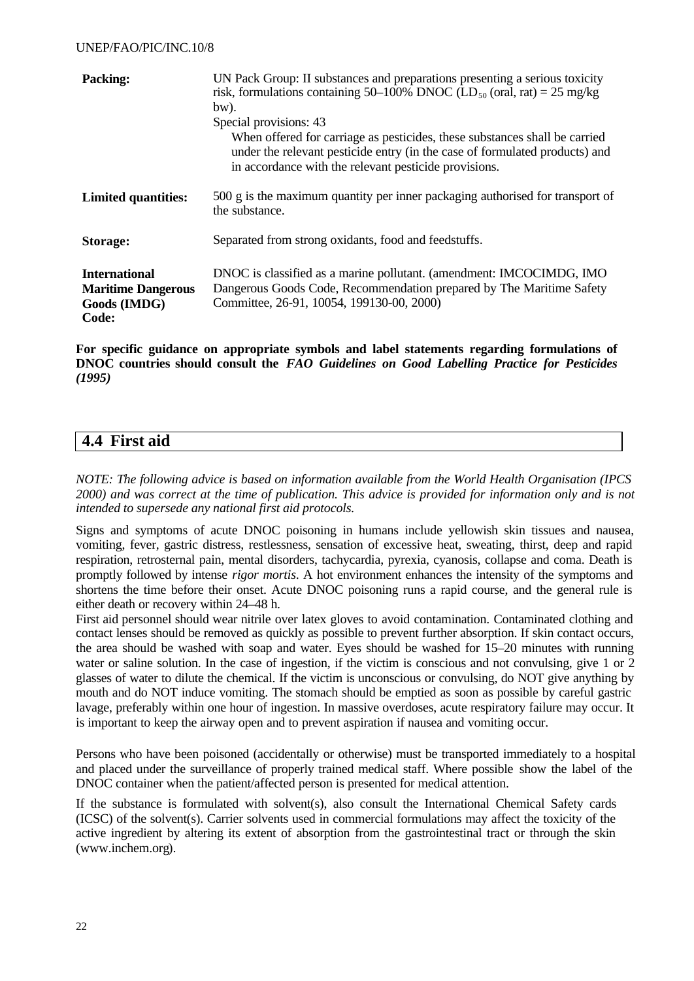| <b>Packing:</b>                                                            | UN Pack Group: II substances and preparations presenting a serious toxicity<br>risk, formulations containing 50–100% DNOC (LD <sub>50</sub> (oral, rat) = 25 mg/kg<br>bw).<br>Special provisions: 43<br>When offered for carriage as pesticides, these substances shall be carried<br>under the relevant pesticide entry (in the case of formulated products) and<br>in accordance with the relevant pesticide provisions. |
|----------------------------------------------------------------------------|----------------------------------------------------------------------------------------------------------------------------------------------------------------------------------------------------------------------------------------------------------------------------------------------------------------------------------------------------------------------------------------------------------------------------|
| <b>Limited quantities:</b>                                                 | 500 g is the maximum quantity per inner packaging authorised for transport of<br>the substance.                                                                                                                                                                                                                                                                                                                            |
| Storage:                                                                   | Separated from strong oxidants, food and feedstuffs.                                                                                                                                                                                                                                                                                                                                                                       |
| <b>International</b><br><b>Maritime Dangerous</b><br>Goods (IMDG)<br>Code: | DNOC is classified as a marine pollutant. (amendment: IMCOCIMDG, IMO<br>Dangerous Goods Code, Recommendation prepared by The Maritime Safety<br>Committee, 26-91, 10054, 199130-00, 2000)                                                                                                                                                                                                                                  |

**For specific guidance on appropriate symbols and label statements regarding formulations of DNOC countries should consult the** *FAO Guidelines on Good Labelling Practice for Pesticides (1995)*

## **4.4 First aid**

*NOTE: The following advice is based on information available from the World Health Organisation (IPCS 2000) and was correct at the time of publication. This advice is provided for information only and is not intended to supersede any national first aid protocols.*

Signs and symptoms of acute DNOC poisoning in humans include yellowish skin tissues and nausea, vomiting, fever, gastric distress, restlessness, sensation of excessive heat, sweating, thirst, deep and rapid respiration, retrosternal pain, mental disorders, tachycardia, pyrexia, cyanosis, collapse and coma. Death is promptly followed by intense *rigor mortis*. A hot environment enhances the intensity of the symptoms and shortens the time before their onset. Acute DNOC poisoning runs a rapid course, and the general rule is either death or recovery within 24–48 h.

First aid personnel should wear nitrile over latex gloves to avoid contamination. Contaminated clothing and contact lenses should be removed as quickly as possible to prevent further absorption. If skin contact occurs, the area should be washed with soap and water. Eyes should be washed for 15–20 minutes with running water or saline solution. In the case of ingestion, if the victim is conscious and not convulsing, give 1 or 2 glasses of water to dilute the chemical. If the victim is unconscious or convulsing, do NOT give anything by mouth and do NOT induce vomiting. The stomach should be emptied as soon as possible by careful gastric lavage, preferably within one hour of ingestion. In massive overdoses, acute respiratory failure may occur. It is important to keep the airway open and to prevent aspiration if nausea and vomiting occur.

Persons who have been poisoned (accidentally or otherwise) must be transported immediately to a hospital and placed under the surveillance of properly trained medical staff. Where possible show the label of the DNOC container when the patient/affected person is presented for medical attention.

If the substance is formulated with solvent(s), also consult the International Chemical Safety cards (ICSC) of the solvent(s). Carrier solvents used in commercial formulations may affect the toxicity of the active ingredient by altering its extent of absorption from the gastrointestinal tract or through the skin (www.inchem.org).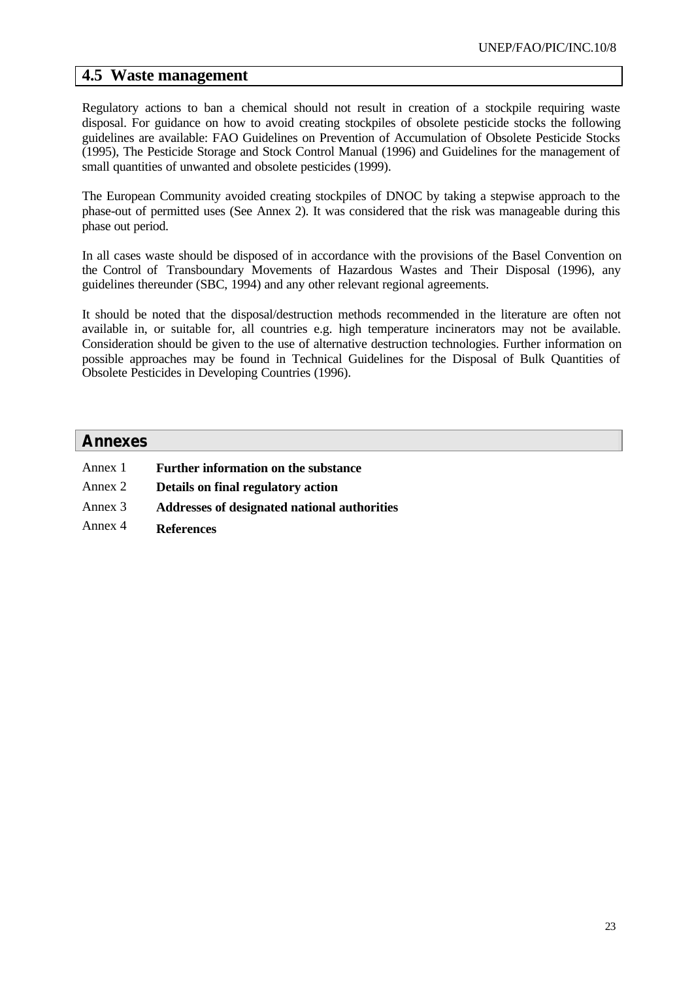### **4.5 Waste management**

Regulatory actions to ban a chemical should not result in creation of a stockpile requiring waste disposal. For guidance on how to avoid creating stockpiles of obsolete pesticide stocks the following guidelines are available: FAO Guidelines on Prevention of Accumulation of Obsolete Pesticide Stocks (1995), The Pesticide Storage and Stock Control Manual (1996) and Guidelines for the management of small quantities of unwanted and obsolete pesticides (1999).

The European Community avoided creating stockpiles of DNOC by taking a stepwise approach to the phase-out of permitted uses (See Annex 2). It was considered that the risk was manageable during this phase out period.

In all cases waste should be disposed of in accordance with the provisions of the Basel Convention on the Control of Transboundary Movements of Hazardous Wastes and Their Disposal (1996), any guidelines thereunder (SBC, 1994) and any other relevant regional agreements.

It should be noted that the disposal/destruction methods recommended in the literature are often not available in, or suitable for, all countries e.g. high temperature incinerators may not be available. Consideration should be given to the use of alternative destruction technologies. Further information on possible approaches may be found in Technical Guidelines for the Disposal of Bulk Quantities of Obsolete Pesticides in Developing Countries (1996).

#### **Annexes**

- Annex 1 **Further information on the substance** Annex 2 **Details on final regulatory action** Annex 3 **Addresses of designated national authorities**
- Annex 4 **References**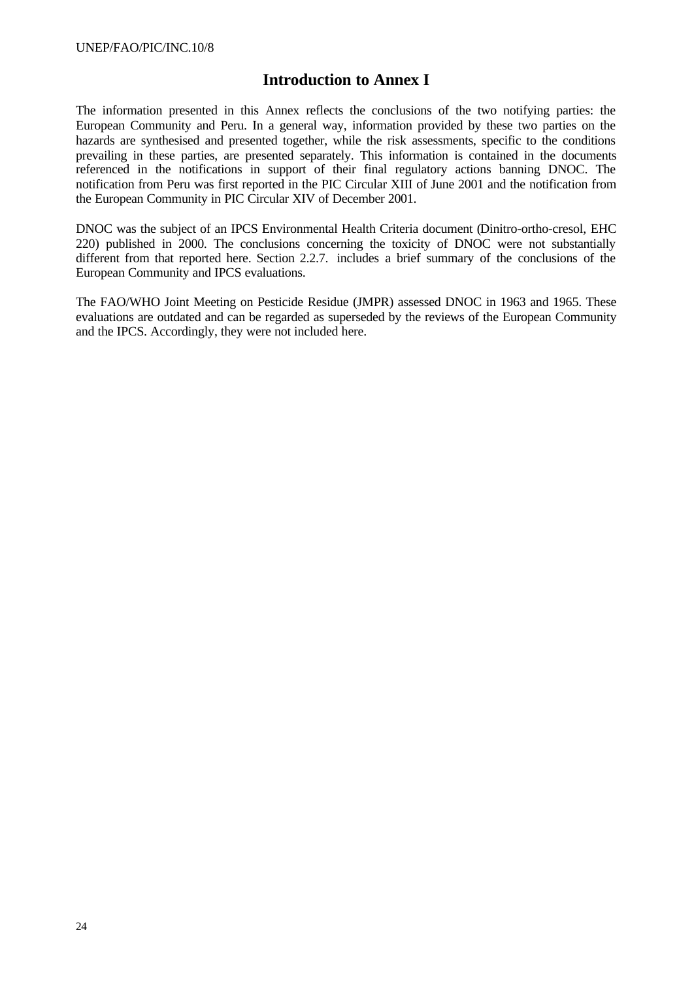## **Introduction to Annex I**

The information presented in this Annex reflects the conclusions of the two notifying parties: the European Community and Peru. In a general way, information provided by these two parties on the hazards are synthesised and presented together, while the risk assessments, specific to the conditions prevailing in these parties, are presented separately. This information is contained in the documents referenced in the notifications in support of their final regulatory actions banning DNOC. The notification from Peru was first reported in the PIC Circular XIII of June 2001 and the notification from the European Community in PIC Circular XIV of December 2001.

DNOC was the subject of an IPCS Environmental Health Criteria document (Dinitro-ortho-cresol, EHC 220) published in 2000. The conclusions concerning the toxicity of DNOC were not substantially different from that reported here. Section 2.2.7. includes a brief summary of the conclusions of the European Community and IPCS evaluations.

The FAO/WHO Joint Meeting on Pesticide Residue (JMPR) assessed DNOC in 1963 and 1965. These evaluations are outdated and can be regarded as superseded by the reviews of the European Community and the IPCS. Accordingly, they were not included here.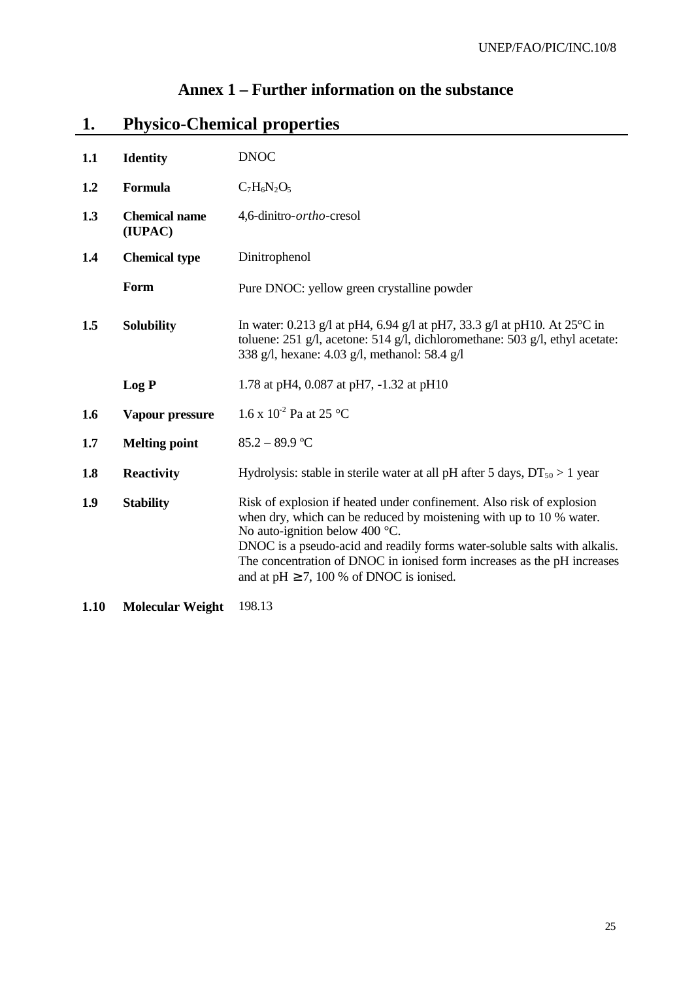## **Annex 1 – Further information on the substance**

## **1. Physico-Chemical properties**

| 1.1                      | <b>Identity</b>                 | <b>DNOC</b>                                                                                                                                                                                                                                                                                                                                                                                       |  |  |
|--------------------------|---------------------------------|---------------------------------------------------------------------------------------------------------------------------------------------------------------------------------------------------------------------------------------------------------------------------------------------------------------------------------------------------------------------------------------------------|--|--|
| 1.2                      | Formula                         | $C_7H_6N_2O_5$                                                                                                                                                                                                                                                                                                                                                                                    |  |  |
| 1.3                      | <b>Chemical name</b><br>(IUPAC) | 4,6-dinitro- <i>ortho</i> -cresol                                                                                                                                                                                                                                                                                                                                                                 |  |  |
| 1.4                      | <b>Chemical type</b>            | Dinitrophenol                                                                                                                                                                                                                                                                                                                                                                                     |  |  |
|                          | Form                            | Pure DNOC: yellow green crystalline powder                                                                                                                                                                                                                                                                                                                                                        |  |  |
| 1.5<br><b>Solubility</b> |                                 | In water: 0.213 g/l at pH4, 6.94 g/l at pH7, 33.3 g/l at pH10. At $25^{\circ}$ C in<br>toluene: 251 g/l, acetone: 514 g/l, dichloromethane: 503 g/l, ethyl acetate:<br>338 g/l, hexane: 4.03 g/l, methanol: 58.4 g/l                                                                                                                                                                              |  |  |
|                          | Log P                           | 1.78 at pH4, 0.087 at pH7, -1.32 at pH10                                                                                                                                                                                                                                                                                                                                                          |  |  |
| 1.6                      | Vapour pressure                 | 1.6 x $10^{-2}$ Pa at 25 °C                                                                                                                                                                                                                                                                                                                                                                       |  |  |
| 1.7                      | <b>Melting point</b>            | $85.2 - 89.9$ °C                                                                                                                                                                                                                                                                                                                                                                                  |  |  |
| 1.8                      | <b>Reactivity</b>               | Hydrolysis: stable in sterile water at all pH after 5 days, $DT_{50} > 1$ year                                                                                                                                                                                                                                                                                                                    |  |  |
| 1.9                      | <b>Stability</b>                | Risk of explosion if heated under confinement. Also risk of explosion<br>when dry, which can be reduced by moistening with up to 10 % water.<br>No auto-ignition below 400 $^{\circ}$ C.<br>DNOC is a pseudo-acid and readily forms water-soluble salts with alkalis.<br>The concentration of DNOC in ionised form increases as the pH increases<br>and at $pH \ge 7$ , 100 % of DNOC is ionised. |  |  |

**1.10 Molecular Weight** 198.13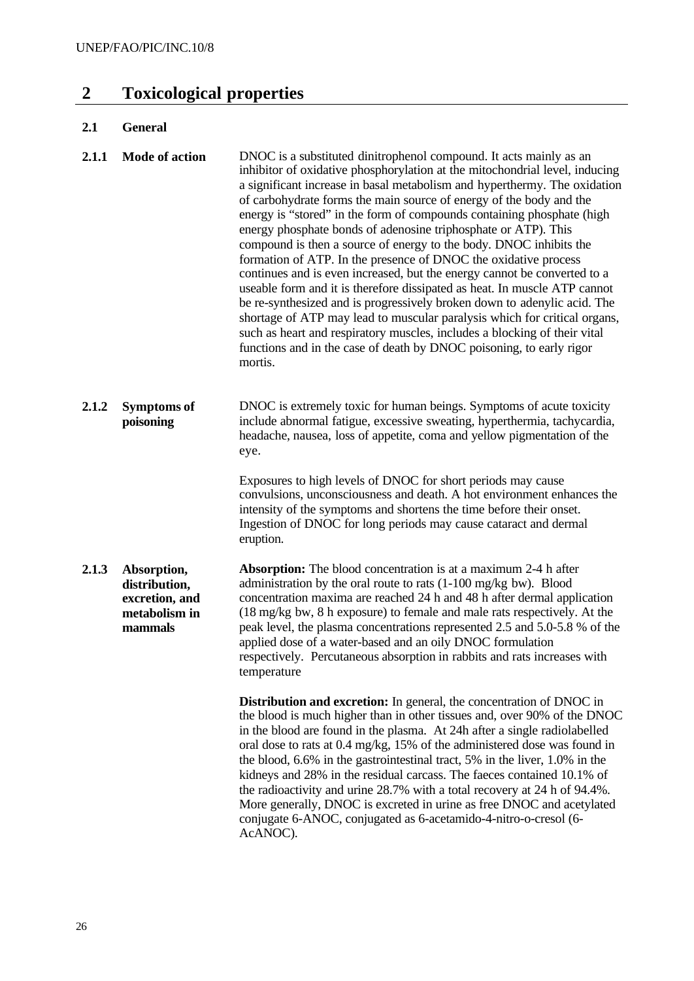## **2 Toxicological properties**

#### **2.1 General**

| 2.1.1 | <b>Mode of action</b> | DNOC is a substituted dinitrophenol compound. It acts mainly as an<br>inhibitor of oxidative phosphorylation at the mitochondrial level, inducing<br>a significant increase in basal metabolism and hyperthermy. The oxidation<br>of carbohydrate forms the main source of energy of the body and the<br>energy is "stored" in the form of compounds containing phosphate (high<br>energy phosphate bonds of adenosine triphosphate or ATP). This<br>compound is then a source of energy to the body. DNOC inhibits the<br>formation of ATP. In the presence of DNOC the oxidative process<br>continues and is even increased, but the energy cannot be converted to a<br>useable form and it is therefore dissipated as heat. In muscle ATP cannot<br>be re-synthesized and is progressively broken down to adenylic acid. The<br>shortage of ATP may lead to muscular paralysis which for critical organs,<br>such as heart and respiratory muscles, includes a blocking of their vital |
|-------|-----------------------|-------------------------------------------------------------------------------------------------------------------------------------------------------------------------------------------------------------------------------------------------------------------------------------------------------------------------------------------------------------------------------------------------------------------------------------------------------------------------------------------------------------------------------------------------------------------------------------------------------------------------------------------------------------------------------------------------------------------------------------------------------------------------------------------------------------------------------------------------------------------------------------------------------------------------------------------------------------------------------------------|
|       |                       | functions and in the case of death by DNOC poisoning, to early rigor<br>mortis.                                                                                                                                                                                                                                                                                                                                                                                                                                                                                                                                                                                                                                                                                                                                                                                                                                                                                                           |

**2.1.2 Symptoms of poisoning** DNOC is extremely toxic for human beings. Symptoms of acute toxicity include abnormal fatigue, excessive sweating, hyperthermia, tachycardia, headache, nausea, loss of appetite, coma and yellow pigmentation of the eye.

> Exposures to high levels of DNOC for short periods may cause convulsions, unconsciousness and death. A hot environment enhances the intensity of the symptoms and shortens the time before their onset. Ingestion of DNOC for long periods may cause cataract and dermal eruption.

**2.1.3 Absorption, distribution, excretion, and metabolism in mammals Absorption:** The blood concentration is at a maximum 2-4 h after administration by the oral route to rats (1-100 mg/kg bw). Blood concentration maxima are reached 24 h and 48 h after dermal application (18 mg/kg bw, 8 h exposure) to female and male rats respectively. At the peak level, the plasma concentrations represented 2.5 and 5.0-5.8 % of the applied dose of a water-based and an oily DNOC formulation respectively. Percutaneous absorption in rabbits and rats increases with temperature

> **Distribution and excretion:** In general, the concentration of DNOC in the blood is much higher than in other tissues and, over 90% of the DNOC in the blood are found in the plasma. At 24h after a single radiolabelled oral dose to rats at 0.4 mg/kg, 15% of the administered dose was found in the blood, 6.6% in the gastrointestinal tract, 5% in the liver, 1.0% in the kidneys and 28% in the residual carcass. The faeces contained 10.1% of the radioactivity and urine 28.7% with a total recovery at 24 h of 94.4%. More generally, DNOC is excreted in urine as free DNOC and acetylated conjugate 6-ANOC, conjugated as 6-acetamido-4-nitro-o-cresol (6- AcANOC).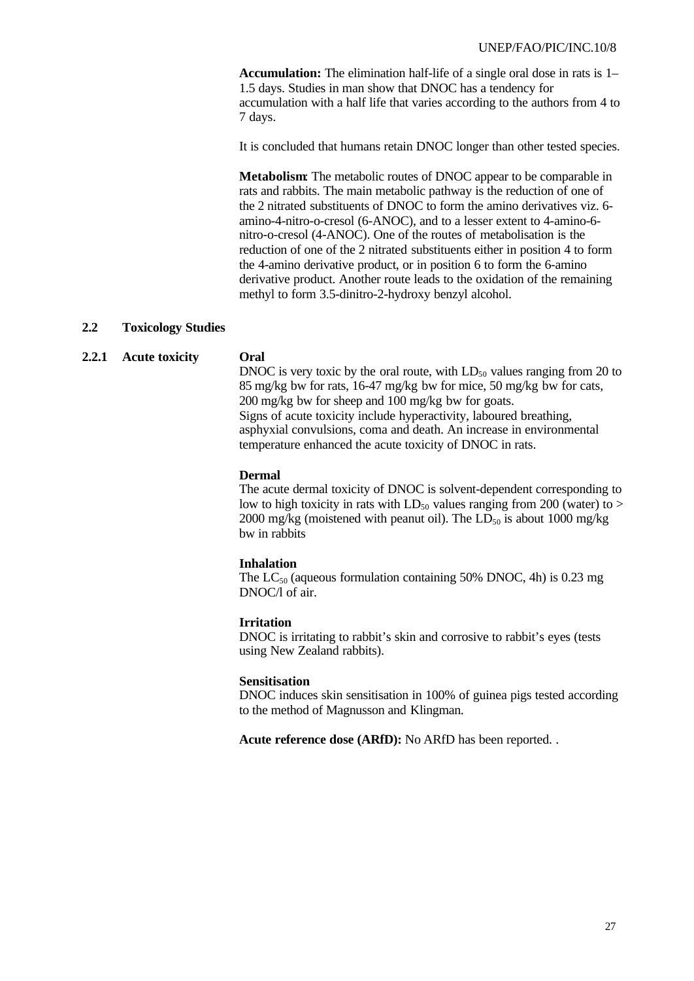**Accumulation:** The elimination half-life of a single oral dose in rats is 1– 1.5 days. Studies in man show that DNOC has a tendency for accumulation with a half life that varies according to the authors from 4 to 7 days.

It is concluded that humans retain DNOC longer than other tested species.

**Metabolism**: The metabolic routes of DNOC appear to be comparable in rats and rabbits. The main metabolic pathway is the reduction of one of the 2 nitrated substituents of DNOC to form the amino derivatives viz. 6 amino-4-nitro-o-cresol (6-ANOC), and to a lesser extent to 4-amino-6 nitro-o-cresol (4-ANOC). One of the routes of metabolisation is the reduction of one of the 2 nitrated substituents either in position 4 to form the 4-amino derivative product, or in position 6 to form the 6-amino derivative product. Another route leads to the oxidation of the remaining methyl to form 3.5-dinitro-2-hydroxy benzyl alcohol.

#### **2.2 Toxicology Studies**

#### **2.2.1 Acute toxicity Oral**

DNOC is very toxic by the oral route, with  $LD_{50}$  values ranging from 20 to 85 mg/kg bw for rats, 16-47 mg/kg bw for mice, 50 mg/kg bw for cats, 200 mg/kg bw for sheep and 100 mg/kg bw for goats. Signs of acute toxicity include hyperactivity, laboured breathing, asphyxial convulsions, coma and death. An increase in environmental temperature enhanced the acute toxicity of DNOC in rats.

#### **Dermal**

The acute dermal toxicity of DNOC is solvent-dependent corresponding to low to high toxicity in rats with  $LD_{50}$  values ranging from 200 (water) to > 2000 mg/kg (moistened with peanut oil). The  $LD_{50}$  is about 1000 mg/kg bw in rabbits

#### **Inhalation**

The  $LC_{50}$  (aqueous formulation containing 50% DNOC, 4h) is 0.23 mg DNOC/l of air.

#### **Irritation**

DNOC is irritating to rabbit's skin and corrosive to rabbit's eyes (tests using New Zealand rabbits).

#### **Sensitisation**

DNOC induces skin sensitisation in 100% of guinea pigs tested according to the method of Magnusson and Klingman.

**Acute reference dose (ARfD):** No ARfD has been reported. .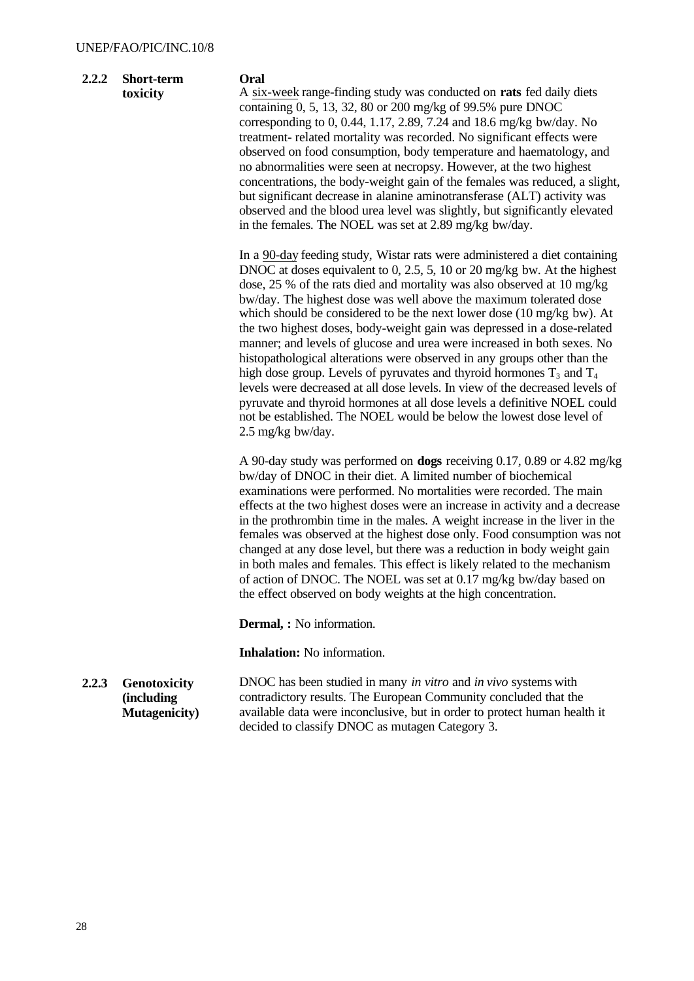| 2.2.2 | <b>Short-term</b> |
|-------|-------------------|
|       | toxicity          |

#### **Oral**

A six-week range-finding study was conducted on **rats** fed daily diets containing 0, 5, 13, 32, 80 or 200 mg/kg of 99.5% pure DNOC corresponding to 0, 0.44, 1.17, 2.89, 7.24 and 18.6 mg/kg bw/day. No treatment- related mortality was recorded. No significant effects were observed on food consumption, body temperature and haematology, and no abnormalities were seen at necropsy. However, at the two highest concentrations, the body-weight gain of the females was reduced, a slight, but significant decrease in alanine aminotransferase (ALT) activity was observed and the blood urea level was slightly, but significantly elevated in the females. The NOEL was set at 2.89 mg/kg bw/day.

In a 90-day feeding study, Wistar rats were administered a diet containing DNOC at doses equivalent to 0, 2.5, 5, 10 or 20 mg/kg bw. At the highest dose, 25 % of the rats died and mortality was also observed at 10 mg/kg bw/day. The highest dose was well above the maximum tolerated dose which should be considered to be the next lower dose (10 mg/kg bw). At the two highest doses, body-weight gain was depressed in a dose-related manner; and levels of glucose and urea were increased in both sexes. No histopathological alterations were observed in any groups other than the high dose group. Levels of pyruvates and thyroid hormones  $T_3$  and  $T_4$ levels were decreased at all dose levels. In view of the decreased levels of pyruvate and thyroid hormones at all dose levels a definitive NOEL could not be established. The NOEL would be below the lowest dose level of 2.5 mg/kg bw/day.

A 90-day study was performed on **dogs** receiving 0.17, 0.89 or 4.82 mg/kg bw/day of DNOC in their diet. A limited number of biochemical examinations were performed. No mortalities were recorded. The main effects at the two highest doses were an increase in activity and a decrease in the prothrombin time in the males. A weight increase in the liver in the females was observed at the highest dose only. Food consumption was not changed at any dose level, but there was a reduction in body weight gain in both males and females. This effect is likely related to the mechanism of action of DNOC. The NOEL was set at 0.17 mg/kg bw/day based on the effect observed on body weights at the high concentration.

**Dermal, :** No information.

**Inhalation:** No information.

**2.2.3 Genotoxicity (including Mutagenicity)** DNOC has been studied in many *in vitro* and *in vivo* systems with contradictory results. The European Community concluded that the available data were inconclusive, but in order to protect human health it decided to classify DNOC as mutagen Category 3.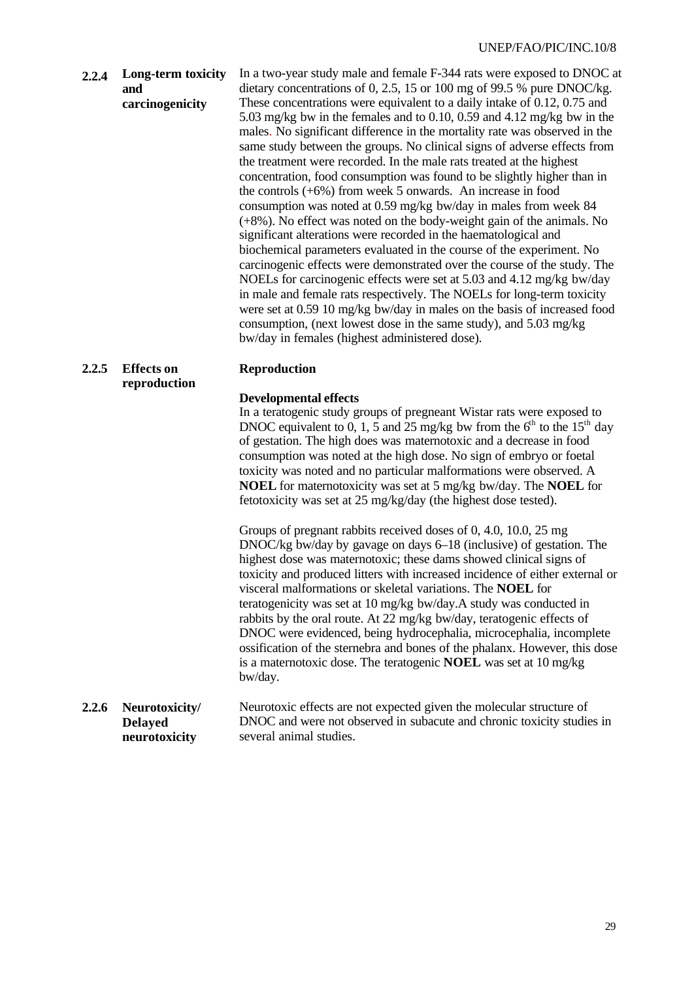**2.2.4 Long-term toxicity and carcinogenicity** In a two-year study male and female F-344 rats were exposed to DNOC at dietary concentrations of 0, 2.5, 15 or 100 mg of 99.5 % pure DNOC/kg. These concentrations were equivalent to a daily intake of 0.12, 0.75 and 5.03 mg/kg bw in the females and to 0.10, 0.59 and 4.12 mg/kg bw in the males. No significant difference in the mortality rate was observed in the same study between the groups. No clinical signs of adverse effects from the treatment were recorded. In the male rats treated at the highest concentration, food consumption was found to be slightly higher than in the controls (+6%) from week 5 onwards. An increase in food consumption was noted at 0.59 mg/kg bw/day in males from week 84 (+8%). No effect was noted on the body-weight gain of the animals. No significant alterations were recorded in the haematological and biochemical parameters evaluated in the course of the experiment. No carcinogenic effects were demonstrated over the course of the study. The NOELs for carcinogenic effects were set at 5.03 and 4.12 mg/kg bw/day in male and female rats respectively. The NOELs for long-term toxicity were set at 0.59 10 mg/kg bw/day in males on the basis of increased food consumption, (next lowest dose in the same study), and 5.03 mg/kg bw/day in females (highest administered dose).

#### **2.2.5 Effects on reproduction Reproduction Developmental effects** In a teratogenic study groups of pregneant Wistar rats were exposed to

DNOC equivalent to 0, 1, 5 and 25 mg/kg bw from the  $6<sup>th</sup>$  to the 15<sup>th</sup> day of gestation. The high does was maternotoxic and a decrease in food consumption was noted at the high dose. No sign of embryo or foetal toxicity was noted and no particular malformations were observed. A **NOEL** for maternotoxicity was set at 5 mg/kg bw/day. The **NOEL** for fetotoxicity was set at 25 mg/kg/day (the highest dose tested).

Groups of pregnant rabbits received doses of 0, 4.0, 10.0, 25 mg DNOC/kg bw/day by gavage on days 6–18 (inclusive) of gestation. The highest dose was maternotoxic; these dams showed clinical signs of toxicity and produced litters with increased incidence of either external or visceral malformations or skeletal variations. The **NOEL** for teratogenicity was set at 10 mg/kg bw/day.A study was conducted in rabbits by the oral route. At 22 mg/kg bw/day, teratogenic effects of DNOC were evidenced, being hydrocephalia, microcephalia, incomplete ossification of the sternebra and bones of the phalanx. However, this dose is a maternotoxic dose. The teratogenic **NOEL** was set at 10 mg/kg bw/day.

#### **2.2.6 Neurotoxicity/ Delayed neurotoxicity** Neurotoxic effects are not expected given the molecular structure of DNOC and were not observed in subacute and chronic toxicity studies in several animal studies.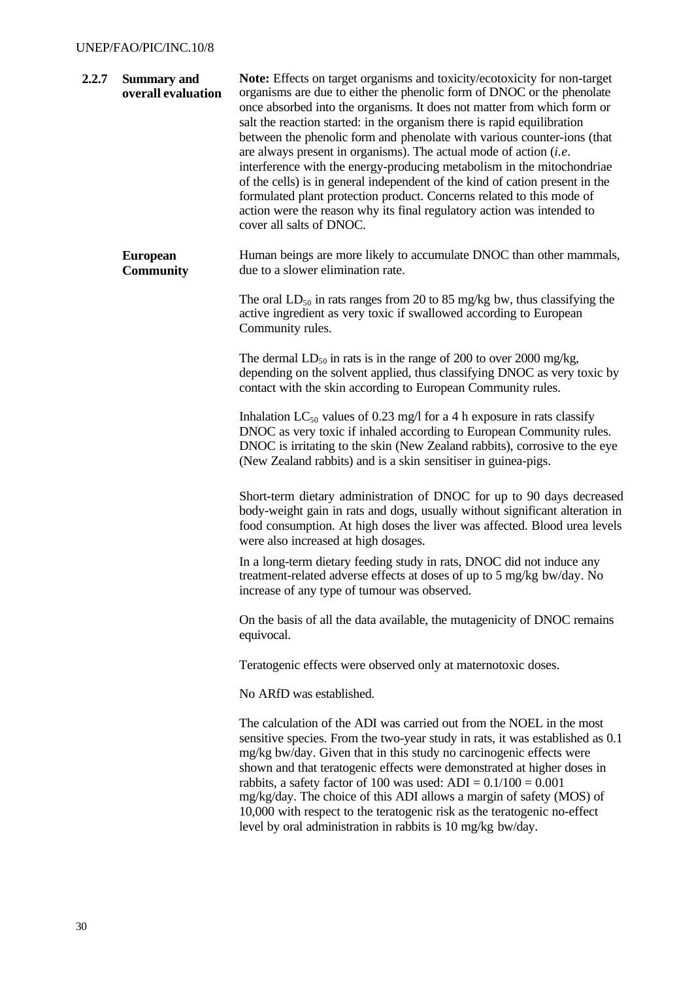#### UNEP/FAO/PIC/INC.10/8

| 2.2.7 | <b>Summary and</b><br>overall evaluation | Note: Effects on target organisms and toxicity/ecotoxicity for non-target<br>organisms are due to either the phenolic form of DNOC or the phenolate<br>once absorbed into the organisms. It does not matter from which form or<br>salt the reaction started: in the organism there is rapid equilibration<br>between the phenolic form and phenolate with various counter-ions (that<br>are always present in organisms). The actual mode of action $(i.e.$<br>interference with the energy-producing metabolism in the mitochondriae<br>of the cells) is in general independent of the kind of cation present in the<br>formulated plant protection product. Concerns related to this mode of<br>action were the reason why its final regulatory action was intended to<br>cover all salts of DNOC. |
|-------|------------------------------------------|------------------------------------------------------------------------------------------------------------------------------------------------------------------------------------------------------------------------------------------------------------------------------------------------------------------------------------------------------------------------------------------------------------------------------------------------------------------------------------------------------------------------------------------------------------------------------------------------------------------------------------------------------------------------------------------------------------------------------------------------------------------------------------------------------|
|       | <b>European</b><br><b>Community</b>      | Human beings are more likely to accumulate DNOC than other mammals,<br>due to a slower elimination rate.                                                                                                                                                                                                                                                                                                                                                                                                                                                                                                                                                                                                                                                                                             |
|       |                                          | The oral $LD_{50}$ in rats ranges from 20 to 85 mg/kg bw, thus classifying the<br>active ingredient as very toxic if swallowed according to European<br>Community rules.                                                                                                                                                                                                                                                                                                                                                                                                                                                                                                                                                                                                                             |
|       |                                          | The dermal $LD_{50}$ in rats is in the range of 200 to over 2000 mg/kg,<br>depending on the solvent applied, thus classifying DNOC as very toxic by<br>contact with the skin according to European Community rules.                                                                                                                                                                                                                                                                                                                                                                                                                                                                                                                                                                                  |
|       |                                          | Inhalation $LC_{50}$ values of 0.23 mg/l for a 4 h exposure in rats classify<br>DNOC as very toxic if inhaled according to European Community rules.<br>DNOC is irritating to the skin (New Zealand rabbits), corrosive to the eye<br>(New Zealand rabbits) and is a skin sensitiser in guinea-pigs.                                                                                                                                                                                                                                                                                                                                                                                                                                                                                                 |
|       |                                          | Short-term dietary administration of DNOC for up to 90 days decreased<br>body-weight gain in rats and dogs, usually without significant alteration in<br>food consumption. At high doses the liver was affected. Blood urea levels<br>were also increased at high dosages.                                                                                                                                                                                                                                                                                                                                                                                                                                                                                                                           |
|       |                                          | In a long-term dietary feeding study in rats, DNOC did not induce any<br>treatment-related adverse effects at doses of up to 5 mg/kg bw/day. No<br>increase of any type of tumour was observed.                                                                                                                                                                                                                                                                                                                                                                                                                                                                                                                                                                                                      |
|       |                                          | On the basis of all the data available, the mutagenicity of DNOC remains<br>equivocal.                                                                                                                                                                                                                                                                                                                                                                                                                                                                                                                                                                                                                                                                                                               |
|       |                                          | Teratogenic effects were observed only at maternotoxic doses.                                                                                                                                                                                                                                                                                                                                                                                                                                                                                                                                                                                                                                                                                                                                        |
|       |                                          | No ARfD was established.                                                                                                                                                                                                                                                                                                                                                                                                                                                                                                                                                                                                                                                                                                                                                                             |
|       |                                          | The calculation of the ADI was carried out from the NOEL in the most<br>sensitive species. From the two-year study in rats, it was established as 0.1<br>mg/kg bw/day. Given that in this study no carcinogenic effects were<br>shown and that teratogenic effects were demonstrated at higher doses in<br>rabbits, a safety factor of 100 was used: $ADI = 0.1/100 = 0.001$<br>mg/kg/day. The choice of this ADI allows a margin of safety (MOS) of<br>10,000 with respect to the teratogenic risk as the teratogenic no-effect<br>level by oral administration in rabbits is 10 mg/kg bw/day.                                                                                                                                                                                                      |
|       |                                          |                                                                                                                                                                                                                                                                                                                                                                                                                                                                                                                                                                                                                                                                                                                                                                                                      |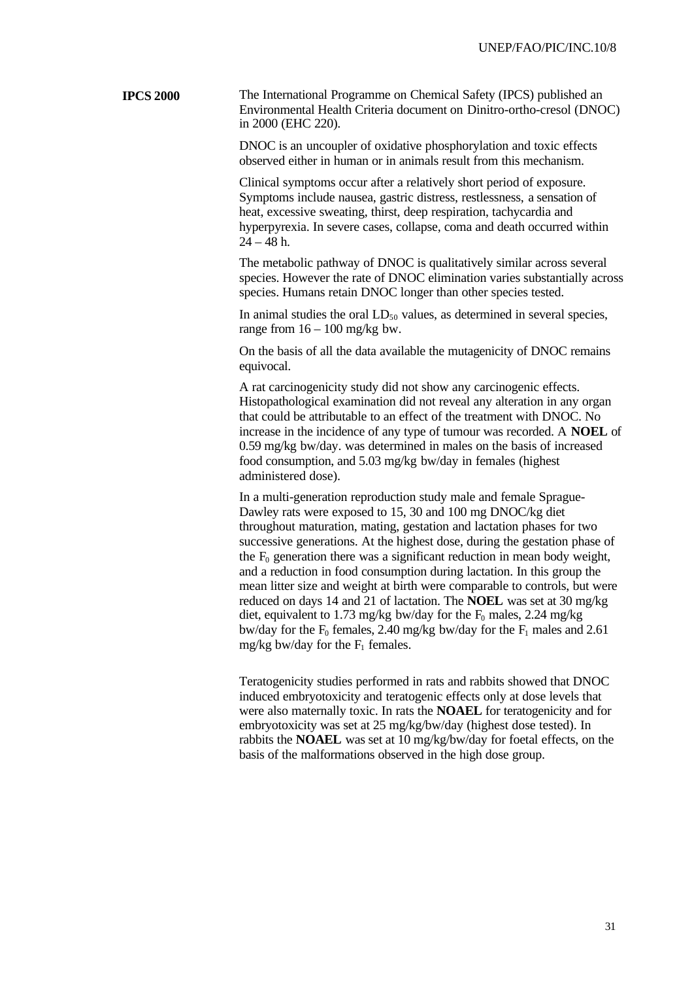**IPCS 2000** The International Programme on Chemical Safety (IPCS) published an Environmental Health Criteria document on Dinitro-ortho-cresol (DNOC) in 2000 (EHC 220).

> DNOC is an uncoupler of oxidative phosphorylation and toxic effects observed either in human or in animals result from this mechanism.

Clinical symptoms occur after a relatively short period of exposure. Symptoms include nausea, gastric distress, restlessness, a sensation of heat, excessive sweating, thirst, deep respiration, tachycardia and hyperpyrexia. In severe cases, collapse, coma and death occurred within  $24 - 48$  h.

The metabolic pathway of DNOC is qualitatively similar across several species. However the rate of DNOC elimination varies substantially across species. Humans retain DNOC longer than other species tested.

In animal studies the oral  $LD_{50}$  values, as determined in several species, range from  $16 - 100$  mg/kg bw.

On the basis of all the data available the mutagenicity of DNOC remains equivocal.

A rat carcinogenicity study did not show any carcinogenic effects. Histopathological examination did not reveal any alteration in any organ that could be attributable to an effect of the treatment with DNOC. No increase in the incidence of any type of tumour was recorded. A **NOEL** of 0.59 mg/kg bw/day. was determined in males on the basis of increased food consumption, and 5.03 mg/kg bw/day in females (highest administered dose).

In a multi-generation reproduction study male and female Sprague-Dawley rats were exposed to 15, 30 and 100 mg DNOC/kg diet throughout maturation, mating, gestation and lactation phases for two successive generations. At the highest dose, during the gestation phase of the  $F_0$  generation there was a significant reduction in mean body weight, and a reduction in food consumption during lactation. In this group the mean litter size and weight at birth were comparable to controls, but were reduced on days 14 and 21 of lactation. The **NOEL** was set at 30 mg/kg diet, equivalent to 1.73 mg/kg bw/day for the  $F_0$  males, 2.24 mg/kg bw/day for the  $F_0$  females, 2.40 mg/kg bw/day for the  $F_1$  males and 2.61 mg/kg bw/day for the  $F_1$  females.

Teratogenicity studies performed in rats and rabbits showed that DNOC induced embryotoxicity and teratogenic effects only at dose levels that were also maternally toxic. In rats the **NOAEL** for teratogenicity and for embryotoxicity was set at 25 mg/kg/bw/day (highest dose tested). In rabbits the **NOAEL** was set at 10 mg/kg/bw/day for foetal effects, on the basis of the malformations observed in the high dose group.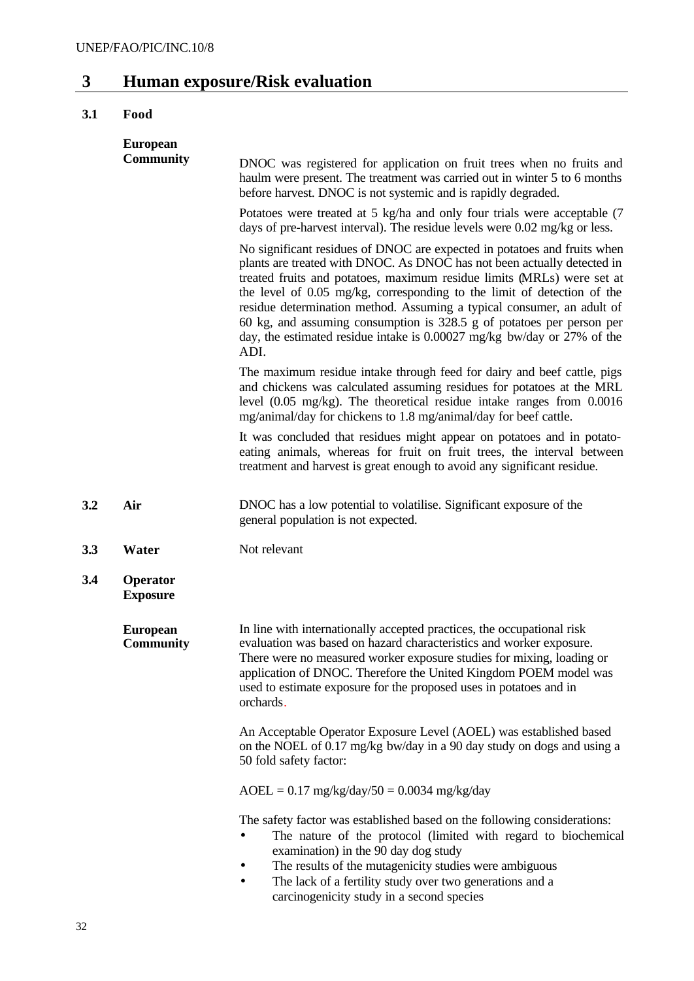## **3 Human exposure/Risk evaluation**

## **3.1 Food**

|     | <b>European</b>                     |                                                                                                                                                                                                                                                                                                                                                                                                                                                                                                                                                |
|-----|-------------------------------------|------------------------------------------------------------------------------------------------------------------------------------------------------------------------------------------------------------------------------------------------------------------------------------------------------------------------------------------------------------------------------------------------------------------------------------------------------------------------------------------------------------------------------------------------|
|     | <b>Community</b>                    | DNOC was registered for application on fruit trees when no fruits and<br>haulm were present. The treatment was carried out in winter 5 to 6 months<br>before harvest. DNOC is not systemic and is rapidly degraded.                                                                                                                                                                                                                                                                                                                            |
|     |                                     | Potatoes were treated at 5 kg/ha and only four trials were acceptable (7<br>days of pre-harvest interval). The residue levels were 0.02 mg/kg or less.                                                                                                                                                                                                                                                                                                                                                                                         |
|     |                                     | No significant residues of DNOC are expected in potatoes and fruits when<br>plants are treated with DNOC. As DNOC has not been actually detected in<br>treated fruits and potatoes, maximum residue limits (MRLs) were set at<br>the level of 0.05 mg/kg, corresponding to the limit of detection of the<br>residue determination method. Assuming a typical consumer, an adult of<br>60 kg, and assuming consumption is 328.5 g of potatoes per person per<br>day, the estimated residue intake is 0.00027 mg/kg bw/day or 27% of the<br>ADI. |
|     |                                     | The maximum residue intake through feed for dairy and beef cattle, pigs<br>and chickens was calculated assuming residues for potatoes at the MRL<br>level (0.05 mg/kg). The theoretical residue intake ranges from 0.0016<br>mg/animal/day for chickens to 1.8 mg/animal/day for beef cattle.                                                                                                                                                                                                                                                  |
|     |                                     | It was concluded that residues might appear on potatoes and in potato-<br>eating animals, whereas for fruit on fruit trees, the interval between<br>treatment and harvest is great enough to avoid any significant residue.                                                                                                                                                                                                                                                                                                                    |
| 3.2 | Air                                 | DNOC has a low potential to volatilise. Significant exposure of the<br>general population is not expected.                                                                                                                                                                                                                                                                                                                                                                                                                                     |
| 3.3 | Water                               | Not relevant                                                                                                                                                                                                                                                                                                                                                                                                                                                                                                                                   |
| 3.4 | Operator<br><b>Exposure</b>         |                                                                                                                                                                                                                                                                                                                                                                                                                                                                                                                                                |
|     | <b>European</b><br><b>Community</b> | In line with internationally accepted practices, the occupational risk<br>evaluation was based on hazard characteristics and worker exposure.<br>There were no measured worker exposure studies for mixing, loading or<br>application of DNOC. Therefore the United Kingdom POEM model was<br>used to estimate exposure for the proposed uses in potatoes and in<br>orchards.                                                                                                                                                                  |
|     |                                     | An Acceptable Operator Exposure Level (AOEL) was established based<br>on the NOEL of 0.17 mg/kg bw/day in a 90 day study on dogs and using a<br>50 fold safety factor:                                                                                                                                                                                                                                                                                                                                                                         |
|     |                                     | $AOEL = 0.17$ mg/kg/day/50 = 0.0034 mg/kg/day                                                                                                                                                                                                                                                                                                                                                                                                                                                                                                  |
|     |                                     | The safety factor was established based on the following considerations:<br>The nature of the protocol (limited with regard to biochemical<br>examination) in the 90 day dog study<br>The results of the mutagenicity studies were ambiguous<br>The lack of a fertility study over two generations and a<br>carcinogenicity study in a second species                                                                                                                                                                                          |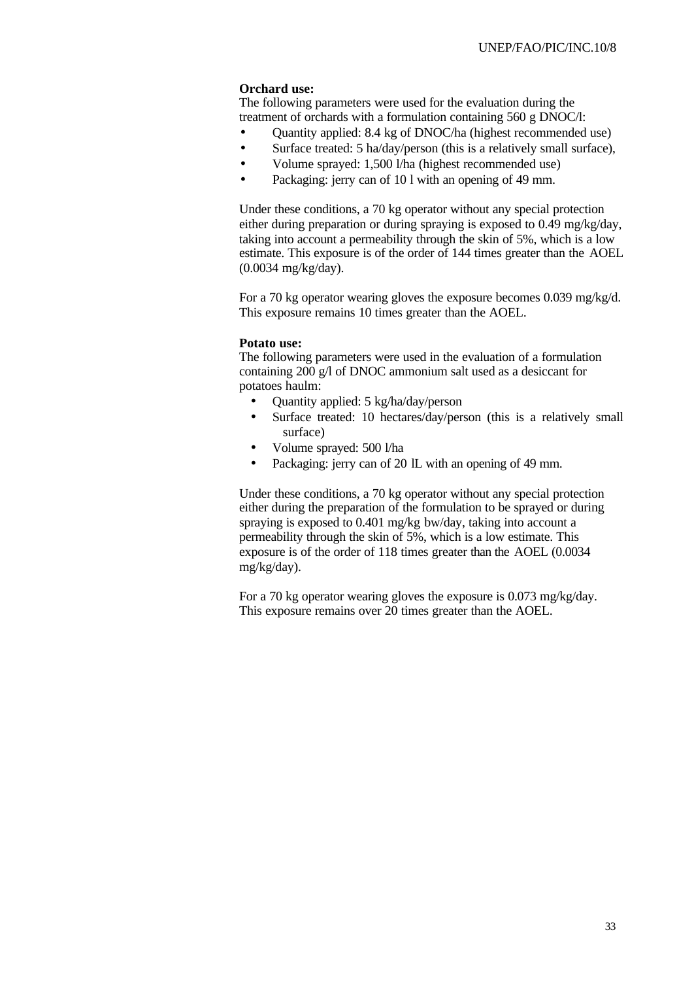#### **Orchard use:**

The following parameters were used for the evaluation during the treatment of orchards with a formulation containing 560 g DNOC/l:

- Quantity applied: 8.4 kg of DNOC/ha (highest recommended use)
- Surface treated: 5 ha/day/person (this is a relatively small surface),
- Volume sprayed: 1,500 l/ha (highest recommended use)
- Packaging: jerry can of 10 l with an opening of 49 mm.

Under these conditions, a 70 kg operator without any special protection either during preparation or during spraying is exposed to 0.49 mg/kg/day, taking into account a permeability through the skin of 5%, which is a low estimate. This exposure is of the order of 144 times greater than the AOEL (0.0034 mg/kg/day).

For a 70 kg operator wearing gloves the exposure becomes 0.039 mg/kg/d. This exposure remains 10 times greater than the AOEL.

#### **Potato use:**

The following parameters were used in the evaluation of a formulation containing 200 g/l of DNOC ammonium salt used as a desiccant for potatoes haulm:

- Quantity applied: 5 kg/ha/day/person
- Surface treated: 10 hectares/day/person (this is a relatively small surface)
- Volume sprayed: 500 l/ha
- Packaging: jerry can of 20 lL with an opening of 49 mm.

Under these conditions, a 70 kg operator without any special protection either during the preparation of the formulation to be sprayed or during spraying is exposed to 0.401 mg/kg bw/day, taking into account a permeability through the skin of 5%, which is a low estimate. This exposure is of the order of 118 times greater than the AOEL (0.0034 mg/kg/day).

For a 70 kg operator wearing gloves the exposure is 0.073 mg/kg/day. This exposure remains over 20 times greater than the AOEL.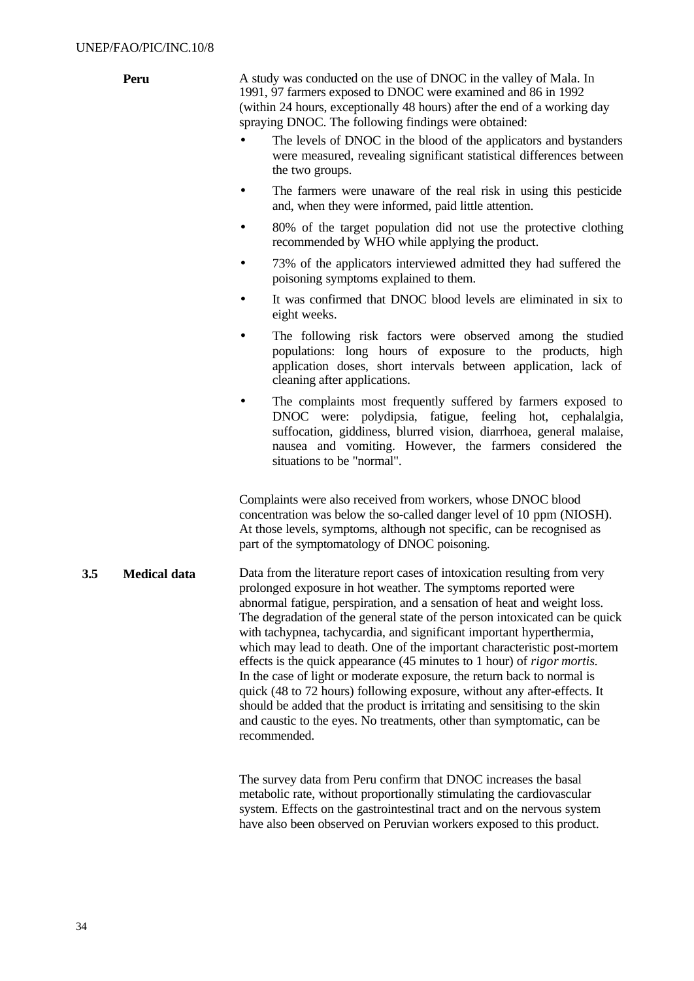|     | Peru                | A study was conducted on the use of DNOC in the valley of Mala. In<br>1991, 97 farmers exposed to DNOC were examined and 86 in 1992<br>(within 24 hours, exceptionally 48 hours) after the end of a working day<br>spraying DNOC. The following findings were obtained:<br>The levels of DNOC in the blood of the applicators and bystanders<br>$\bullet$<br>were measured, revealing significant statistical differences between                                                                                                                                                                                                                                                                                                                                                                                                                                           |
|-----|---------------------|-----------------------------------------------------------------------------------------------------------------------------------------------------------------------------------------------------------------------------------------------------------------------------------------------------------------------------------------------------------------------------------------------------------------------------------------------------------------------------------------------------------------------------------------------------------------------------------------------------------------------------------------------------------------------------------------------------------------------------------------------------------------------------------------------------------------------------------------------------------------------------|
|     |                     | the two groups.<br>The farmers were unaware of the real risk in using this pesticide<br>and, when they were informed, paid little attention.                                                                                                                                                                                                                                                                                                                                                                                                                                                                                                                                                                                                                                                                                                                                |
|     |                     | 80% of the target population did not use the protective clothing<br>recommended by WHO while applying the product.                                                                                                                                                                                                                                                                                                                                                                                                                                                                                                                                                                                                                                                                                                                                                          |
|     |                     | 73% of the applicators interviewed admitted they had suffered the<br>poisoning symptoms explained to them.                                                                                                                                                                                                                                                                                                                                                                                                                                                                                                                                                                                                                                                                                                                                                                  |
|     |                     | It was confirmed that DNOC blood levels are eliminated in six to<br>eight weeks.                                                                                                                                                                                                                                                                                                                                                                                                                                                                                                                                                                                                                                                                                                                                                                                            |
|     |                     | The following risk factors were observed among the studied<br>populations: long hours of exposure to the products, high<br>application doses, short intervals between application, lack of<br>cleaning after applications.                                                                                                                                                                                                                                                                                                                                                                                                                                                                                                                                                                                                                                                  |
|     |                     | The complaints most frequently suffered by farmers exposed to<br>DNOC were: polydipsia, fatigue, feeling hot, cephalalgia,<br>suffocation, giddiness, blurred vision, diarrhoea, general malaise,<br>nausea and vomiting. However, the farmers considered the<br>situations to be "normal".                                                                                                                                                                                                                                                                                                                                                                                                                                                                                                                                                                                 |
|     |                     | Complaints were also received from workers, whose DNOC blood<br>concentration was below the so-called danger level of 10 ppm (NIOSH).<br>At those levels, symptoms, although not specific, can be recognised as<br>part of the symptomatology of DNOC poisoning.                                                                                                                                                                                                                                                                                                                                                                                                                                                                                                                                                                                                            |
| 3.5 | <b>Medical data</b> | Data from the literature report cases of intoxication resulting from very<br>prolonged exposure in hot weather. The symptoms reported were<br>abnormal fatigue, perspiration, and a sensation of heat and weight loss.<br>The degradation of the general state of the person intoxicated can be quick<br>with tachypnea, tachycardia, and significant important hyperthermia,<br>which may lead to death. One of the important characteristic post-mortem<br>effects is the quick appearance (45 minutes to 1 hour) of <i>rigor mortis</i> .<br>In the case of light or moderate exposure, the return back to normal is<br>quick (48 to 72 hours) following exposure, without any after-effects. It<br>should be added that the product is irritating and sensitising to the skin<br>and caustic to the eyes. No treatments, other than symptomatic, can be<br>recommended. |
|     |                     | The survey data from Peru confirm that DNOC increases the basal<br>metabolic rate, without proportionally stimulating the cardiovascular                                                                                                                                                                                                                                                                                                                                                                                                                                                                                                                                                                                                                                                                                                                                    |

metabolic rate, without proportionally stimulating the cardiovascular system. Effects on the gastrointestinal tract and on the nervous system have also been observed on Peruvian workers exposed to this product.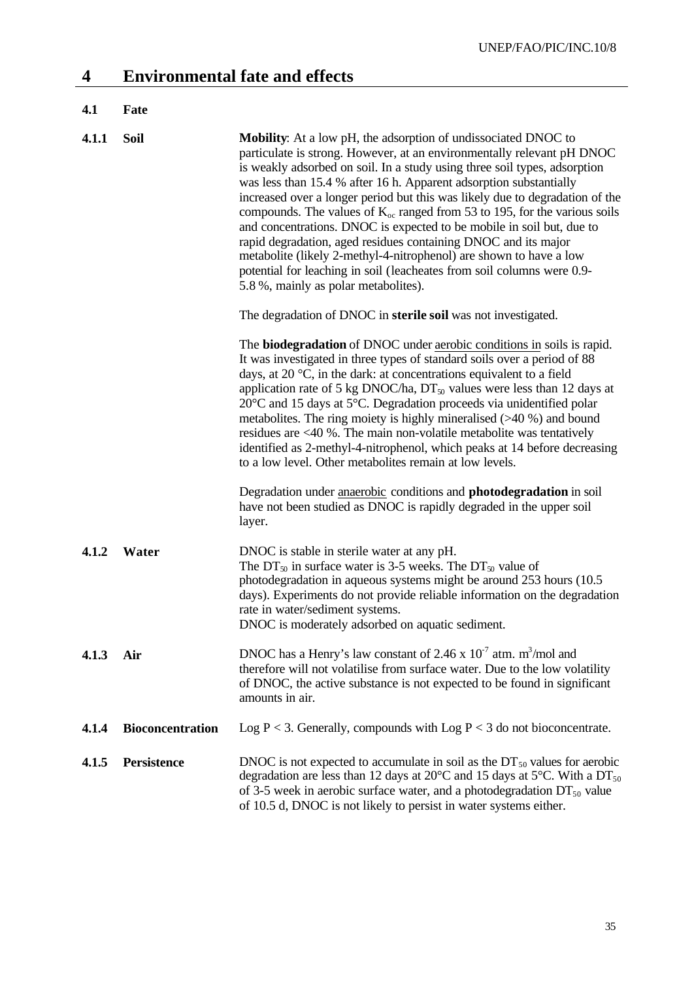| 4.1   | Fate                    |                                                                                                                                                                                                                                                                                                                                                                                                                                                                                                                                                                                                                                                                                                                                                                                                  |
|-------|-------------------------|--------------------------------------------------------------------------------------------------------------------------------------------------------------------------------------------------------------------------------------------------------------------------------------------------------------------------------------------------------------------------------------------------------------------------------------------------------------------------------------------------------------------------------------------------------------------------------------------------------------------------------------------------------------------------------------------------------------------------------------------------------------------------------------------------|
| 4.1.1 | Soil                    | Mobility: At a low pH, the adsorption of undissociated DNOC to<br>particulate is strong. However, at an environmentally relevant pH DNOC<br>is weakly adsorbed on soil. In a study using three soil types, adsorption<br>was less than 15.4 % after 16 h. Apparent adsorption substantially<br>increased over a longer period but this was likely due to degradation of the<br>compounds. The values of $K_{oc}$ ranged from 53 to 195, for the various soils<br>and concentrations. DNOC is expected to be mobile in soil but, due to<br>rapid degradation, aged residues containing DNOC and its major<br>metabolite (likely 2-methyl-4-nitrophenol) are shown to have a low<br>potential for leaching in soil (leacheates from soil columns were 0.9-<br>5.8 %, mainly as polar metabolites). |
|       |                         | The degradation of DNOC in sterile soil was not investigated.                                                                                                                                                                                                                                                                                                                                                                                                                                                                                                                                                                                                                                                                                                                                    |
|       |                         | The <b>biodegradation</b> of DNOC under <b>aerobic</b> conditions in soils is rapid.<br>It was investigated in three types of standard soils over a period of 88<br>days, at 20 $\degree$ C, in the dark: at concentrations equivalent to a field<br>application rate of 5 kg DNOC/ha, $DT_{50}$ values were less than 12 days at<br>$20^{\circ}$ C and 15 days at 5 $^{\circ}$ C. Degradation proceeds via unidentified polar<br>metabolites. The ring moiety is highly mineralised $($ >40 %) and bound<br>residues are $\langle 40 \rangle$ . The main non-volatile metabolite was tentatively<br>identified as 2-methyl-4-nitrophenol, which peaks at 14 before decreasing<br>to a low level. Other metabolites remain at low levels.                                                        |
|       |                         | Degradation under anaerobic conditions and <b>photodegradation</b> in soil<br>have not been studied as DNOC is rapidly degraded in the upper soil<br>layer.                                                                                                                                                                                                                                                                                                                                                                                                                                                                                                                                                                                                                                      |
| 4.1.2 | Water                   | DNOC is stable in sterile water at any pH.<br>The DT <sub>50</sub> in surface water is 3-5 weeks. The DT <sub>50</sub> value of<br>photodegradation in aqueous systems might be around 253 hours (10.5)<br>days). Experiments do not provide reliable information on the degradation<br>rate in water/sediment systems.<br>DNOC is moderately adsorbed on aquatic sediment.                                                                                                                                                                                                                                                                                                                                                                                                                      |
| 4.1.3 | Air                     | DNOC has a Henry's law constant of 2.46 x $10^{-7}$ atm. m <sup>3</sup> /mol and<br>therefore will not volatilise from surface water. Due to the low volatility<br>of DNOC, the active substance is not expected to be found in significant<br>amounts in air.                                                                                                                                                                                                                                                                                                                                                                                                                                                                                                                                   |
| 4.1.4 | <b>Bioconcentration</b> | Log $P < 3$ . Generally, compounds with Log $P < 3$ do not bioconcentrate.                                                                                                                                                                                                                                                                                                                                                                                                                                                                                                                                                                                                                                                                                                                       |
| 4.1.5 | <b>Persistence</b>      | DNOC is not expected to accumulate in soil as the $DT_{50}$ values for aerobic<br>degradation are less than 12 days at 20 $\rm ^{\circ}C$ and 15 days at 5 $\rm ^{\circ}C$ . With a DT <sub>50</sub><br>of 3-5 week in aerobic surface water, and a photodegradation $DT_{50}$ value<br>of 10.5 d, DNOC is not likely to persist in water systems either.                                                                                                                                                                                                                                                                                                                                                                                                                                        |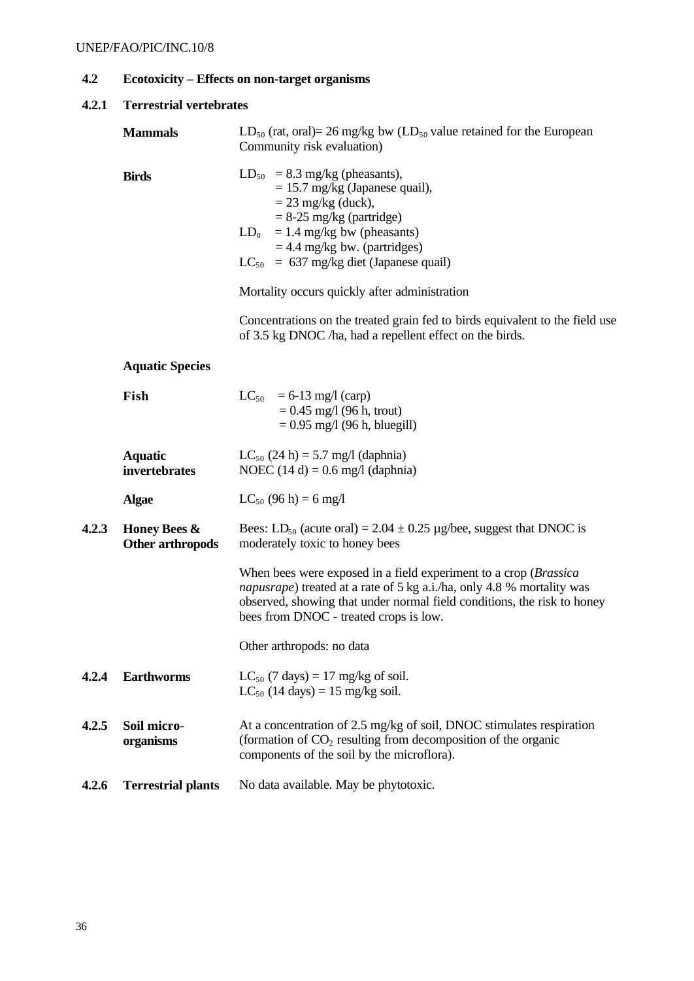## **4.2 Ecotoxicity – Effects on non-target organisms**

| 4.2.1 | <b>Terrestrial vertebrates</b>   |                                                                                                                                                                                                                                                                                                          |  |  |
|-------|----------------------------------|----------------------------------------------------------------------------------------------------------------------------------------------------------------------------------------------------------------------------------------------------------------------------------------------------------|--|--|
|       | <b>Mammals</b>                   | $LD_{50}$ (rat, oral)= 26 mg/kg bw ( $LD_{50}$ value retained for the European<br>Community risk evaluation)                                                                                                                                                                                             |  |  |
|       | <b>Birds</b>                     | $LD_{50}$ = 8.3 mg/kg (pheasants),<br>$= 15.7$ mg/kg (Japanese quail),<br>$=$ 23 mg/kg (duck),<br>$= 8-25$ mg/kg (partridge)<br>$= 1.4$ mg/kg bw (pheasants)<br>$LD_0$<br>$= 4.4$ mg/kg bw. (partridges)<br>$LC_{50}$ = 637 mg/kg diet (Japanese quail)<br>Mortality occurs quickly after administration |  |  |
|       |                                  | Concentrations on the treated grain fed to birds equivalent to the field use<br>of 3.5 kg DNOC /ha, had a repellent effect on the birds.                                                                                                                                                                 |  |  |
|       | <b>Aquatic Species</b>           |                                                                                                                                                                                                                                                                                                          |  |  |
|       | Fish                             | $LC_{50}$ = 6-13 mg/l (carp)<br>$= 0.45$ mg/l (96 h, trout)<br>$= 0.95$ mg/l (96 h, bluegill)                                                                                                                                                                                                            |  |  |
|       | <b>Aquatic</b><br>invertebrates  | $LC_{50}$ (24 h) = 5.7 mg/l (daphnia)<br>NOEC $(14 d) = 0.6$ mg/l (daphnia)                                                                                                                                                                                                                              |  |  |
|       | <b>Algae</b>                     | $LC_{50}$ (96 h) = 6 mg/l                                                                                                                                                                                                                                                                                |  |  |
| 4.2.3 | Honey Bees &<br>Other arthropods | Bees: LD <sub>50</sub> (acute oral) = 2.04 $\pm$ 0.25 µg/bee, suggest that DNOC is<br>moderately toxic to honey bees                                                                                                                                                                                     |  |  |
|       |                                  | When bees were exposed in a field experiment to a crop (Brassica<br><i>napusrape</i> ) treated at a rate of 5 kg a.i./ha, only 4.8 % mortality was<br>observed, showing that under normal field conditions, the risk to honey<br>bees from DNOC - treated crops is low.                                  |  |  |
|       |                                  | Other arthropods: no data                                                                                                                                                                                                                                                                                |  |  |
| 4.2.4 | <b>Earthworms</b>                | $LC_{50}$ (7 days) = 17 mg/kg of soil.<br>$LC_{50}$ (14 days) = 15 mg/kg soil.                                                                                                                                                                                                                           |  |  |
| 4.2.5 | Soil micro-<br>organisms         | At a concentration of 2.5 mg/kg of soil, DNOC stimulates respiration<br>(formation of $CO2$ resulting from decomposition of the organic<br>components of the soil by the microflora).                                                                                                                    |  |  |
| 4.2.6 | <b>Terrestrial plants</b>        | No data available. May be phytotoxic.                                                                                                                                                                                                                                                                    |  |  |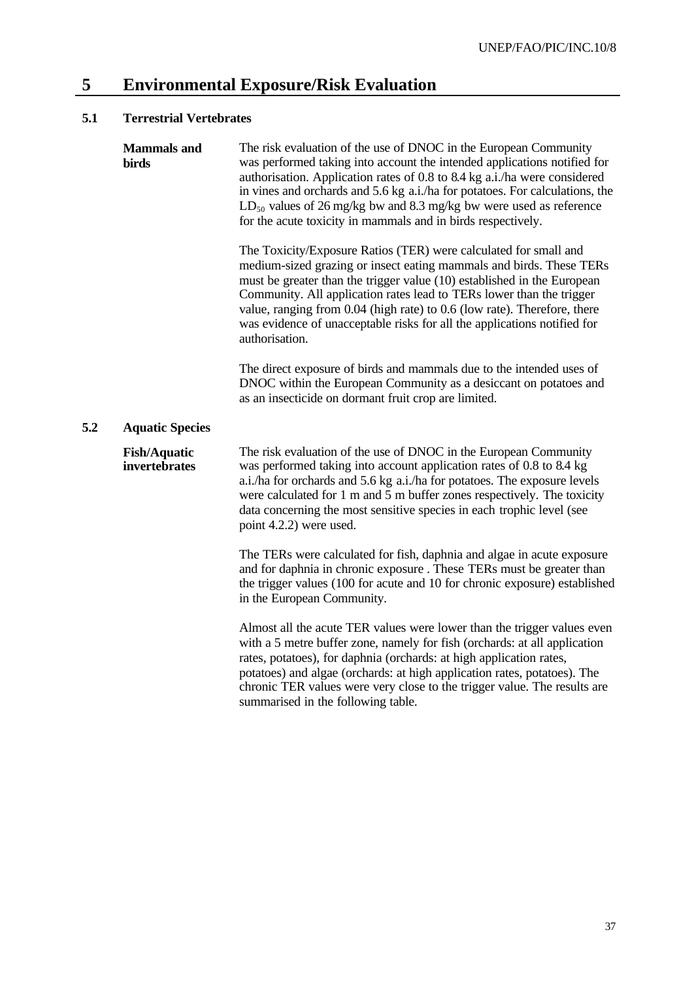## **5 Environmental Exposure/Risk Evaluation**

## **5.1 Terrestrial Vertebrates**

|     | <b>Mammals</b> and<br><b>birds</b>   | The risk evaluation of the use of DNOC in the European Community<br>was performed taking into account the intended applications notified for<br>authorisation. Application rates of 0.8 to 8.4 kg a.i./ha were considered<br>in vines and orchards and 5.6 kg a.i./ha for potatoes. For calculations, the<br>$LD_{50}$ values of 26 mg/kg bw and 8.3 mg/kg bw were used as reference<br>for the acute toxicity in mammals and in birds respectively.                 |  |  |  |  |
|-----|--------------------------------------|----------------------------------------------------------------------------------------------------------------------------------------------------------------------------------------------------------------------------------------------------------------------------------------------------------------------------------------------------------------------------------------------------------------------------------------------------------------------|--|--|--|--|
|     |                                      | The Toxicity/Exposure Ratios (TER) were calculated for small and<br>medium-sized grazing or insect eating mammals and birds. These TERs<br>must be greater than the trigger value (10) established in the European<br>Community. All application rates lead to TERs lower than the trigger<br>value, ranging from 0.04 (high rate) to 0.6 (low rate). Therefore, there<br>was evidence of unacceptable risks for all the applications notified for<br>authorisation. |  |  |  |  |
|     |                                      | The direct exposure of birds and mammals due to the intended uses of<br>DNOC within the European Community as a desiccant on potatoes and<br>as an insecticide on dormant fruit crop are limited.                                                                                                                                                                                                                                                                    |  |  |  |  |
| 5.2 | <b>Aquatic Species</b>               |                                                                                                                                                                                                                                                                                                                                                                                                                                                                      |  |  |  |  |
|     | <b>Fish/Aquatic</b><br>invertebrates | The risk evaluation of the use of DNOC in the European Community<br>was performed taking into account application rates of 0.8 to 8.4 kg<br>a.i./ha for orchards and 5.6 kg a.i./ha for potatoes. The exposure levels<br>were calculated for 1 m and 5 m buffer zones respectively. The toxicity<br>data concerning the most sensitive species in each trophic level (see<br>point 4.2.2) were used.                                                                 |  |  |  |  |
|     |                                      | The TERs were calculated for fish, daphnia and algae in acute exposure<br>and for daphnia in chronic exposure. These TERs must be greater than<br>the trigger values (100 for acute and 10 for chronic exposure) established<br>in the European Community.                                                                                                                                                                                                           |  |  |  |  |
|     |                                      | Almost all the acute TER values were lower than the trigger values even<br>with a 5 metre buffer zone, namely for fish (orchards: at all application<br>rates, potatoes), for daphnia (orchards: at high application rates,<br>potatoes) and algae (orchards: at high application rates, potatoes). The<br>chronic TER values were very close to the trigger value. The results are<br>summarised in the following table.                                            |  |  |  |  |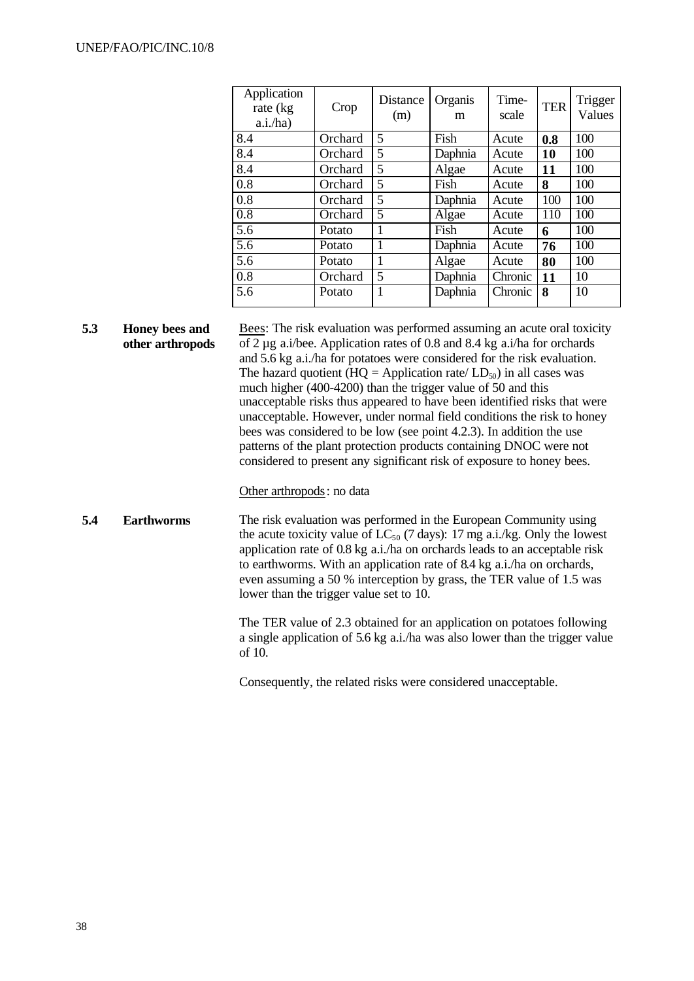| Application<br>rate (kg)<br>a.i/ha) | Crop    | Distance<br>(m) | Organis<br>m | Time-<br>scale | <b>TER</b> | Trigger<br>Values |
|-------------------------------------|---------|-----------------|--------------|----------------|------------|-------------------|
| 8.4                                 | Orchard | 5               | Fish         | Acute          | 0.8        | 100               |
| 8.4                                 | Orchard | 5               | Daphnia      | Acute          | <b>10</b>  | 100               |
| 8.4                                 | Orchard | 5               | Algae        | Acute          | 11         | 100               |
| 0.8                                 | Orchard | 5               | Fish         | Acute          | 8          | 100               |
| 0.8                                 | Orchard | 5               | Daphnia      | Acute          | 100        | 100               |
| 0.8                                 | Orchard | 5               | Algae        | Acute          | 110        | 100               |
| 5.6                                 | Potato  | 1               | Fish         | Acute          | 6          | 100               |
| $\overline{5.6}$                    | Potato  | 1               | Daphnia      | Acute          | 76         | 100               |
| 5.6                                 | Potato  | 1               | Algae        | Acute          | 80         | 100               |
| 0.8                                 | Orchard | 5               | Daphnia      | Chronic        | 11         | 10                |
| 5.6                                 | Potato  | 1               | Daphnia      | Chronic        | 8          | 10                |

**5.3 Honey bees and other arthropods** Bees: The risk evaluation was performed assuming an acute oral toxicity of 2 µg a.i/bee. Application rates of 0.8 and 8.4 kg a.i/ha for orchards and 5.6 kg a.i./ha for potatoes were considered for the risk evaluation. The hazard quotient (HQ = Application rate/  $LD_{50}$ ) in all cases was much higher (400-4200) than the trigger value of 50 and this unacceptable risks thus appeared to have been identified risks that were unacceptable. However, under normal field conditions the risk to honey bees was considered to be low (see point 4.2.3). In addition the use patterns of the plant protection products containing DNOC were not considered to present any significant risk of exposure to honey bees.

#### Other arthropods: no data

**5.4 Earthworms** The risk evaluation was performed in the European Community using the acute toxicity value of  $LC_{50}$  (7 days): 17 mg a.i./kg. Only the lowest application rate of 0.8 kg a.i./ha on orchards leads to an acceptable risk to earthworms. With an application rate of 8.4 kg a.i./ha on orchards, even assuming a 50 % interception by grass, the TER value of 1.5 was lower than the trigger value set to 10.

> The TER value of 2.3 obtained for an application on potatoes following a single application of 5.6 kg a.i./ha was also lower than the trigger value of 10.

Consequently, the related risks were considered unacceptable.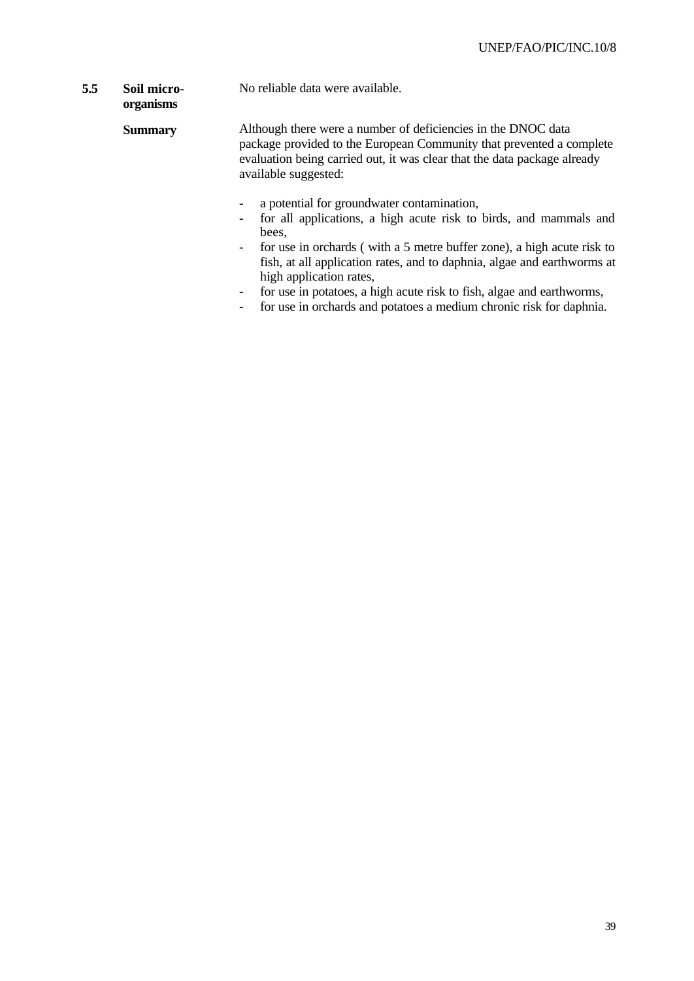#### **5.5 Soil micro-**No reliable data were available.

**organisms**

#### **Summary** Although there were a number of deficiencies in the DNOC data package provided to the European Community that prevented a complete evaluation being carried out, it was clear that the data package already available suggested:

- a potential for groundwater contamination,
- for all applications, a high acute risk to birds, and mammals and bees,
- for use in orchards ( with a 5 metre buffer zone), a high acute risk to fish, at all application rates, and to daphnia, algae and earthworms at high application rates,
- for use in potatoes, a high acute risk to fish, algae and earthworms,
- for use in orchards and potatoes a medium chronic risk for daphnia.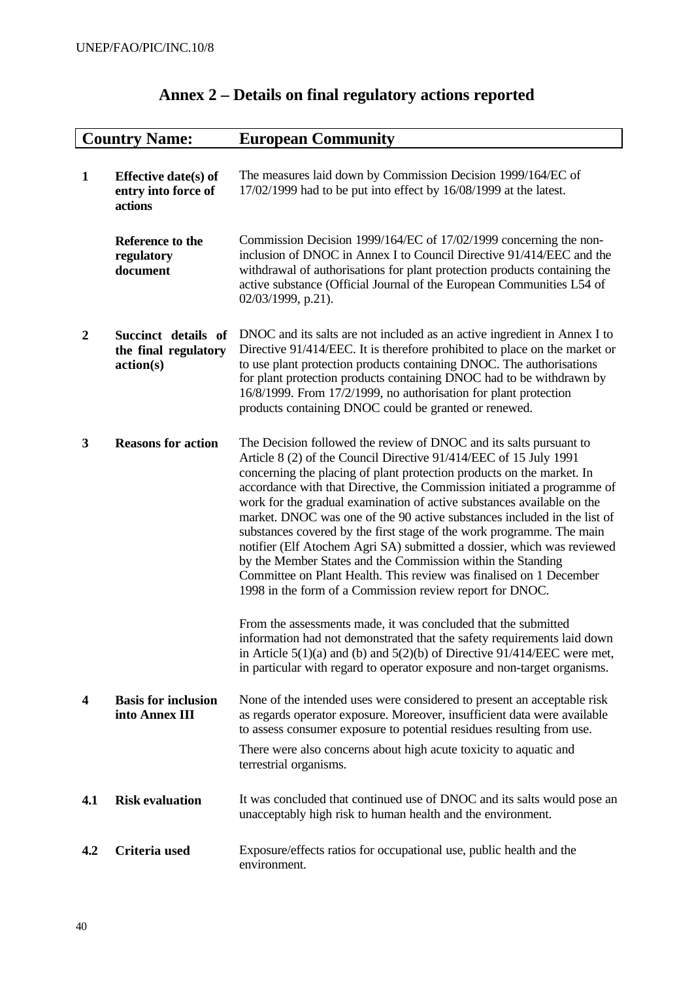|                  | <b>Country Name:</b>                                          | <b>European Community</b>                                                                                                                                                                                                                                                                                                                                                                                                                                                                                                                                                                                                                                                                                                                                                                             |
|------------------|---------------------------------------------------------------|-------------------------------------------------------------------------------------------------------------------------------------------------------------------------------------------------------------------------------------------------------------------------------------------------------------------------------------------------------------------------------------------------------------------------------------------------------------------------------------------------------------------------------------------------------------------------------------------------------------------------------------------------------------------------------------------------------------------------------------------------------------------------------------------------------|
| $\mathbf{1}$     | <b>Effective date(s) of</b><br>entry into force of<br>actions | The measures laid down by Commission Decision 1999/164/EC of<br>$17/02/1999$ had to be put into effect by $16/08/1999$ at the latest.                                                                                                                                                                                                                                                                                                                                                                                                                                                                                                                                                                                                                                                                 |
|                  | Reference to the<br>regulatory<br>document                    | Commission Decision 1999/164/EC of 17/02/1999 concerning the non-<br>inclusion of DNOC in Annex I to Council Directive 91/414/EEC and the<br>withdrawal of authorisations for plant protection products containing the<br>active substance (Official Journal of the European Communities L54 of<br>02/03/1999, p.21).                                                                                                                                                                                                                                                                                                                                                                                                                                                                                 |
| $\boldsymbol{2}$ | Succinct details of<br>the final regulatory<br>action(s)      | DNOC and its salts are not included as an active ingredient in Annex I to<br>Directive 91/414/EEC. It is therefore prohibited to place on the market or<br>to use plant protection products containing DNOC. The authorisations<br>for plant protection products containing DNOC had to be withdrawn by<br>16/8/1999. From 17/2/1999, no authorisation for plant protection<br>products containing DNOC could be granted or renewed.                                                                                                                                                                                                                                                                                                                                                                  |
| 3                | <b>Reasons for action</b>                                     | The Decision followed the review of DNOC and its salts pursuant to<br>Article 8 (2) of the Council Directive 91/414/EEC of 15 July 1991<br>concerning the placing of plant protection products on the market. In<br>accordance with that Directive, the Commission initiated a programme of<br>work for the gradual examination of active substances available on the<br>market. DNOC was one of the 90 active substances included in the list of<br>substances covered by the first stage of the work programme. The main<br>notifier (Elf Atochem Agri SA) submitted a dossier, which was reviewed<br>by the Member States and the Commission within the Standing<br>Committee on Plant Health. This review was finalised on 1 December<br>1998 in the form of a Commission review report for DNOC. |
|                  |                                                               | From the assessments made, it was concluded that the submitted<br>information had not demonstrated that the safety requirements laid down<br>in Article $5(1)(a)$ and (b) and $5(2)(b)$ of Directive 91/414/EEC were met,<br>in particular with regard to operator exposure and non-target organisms.                                                                                                                                                                                                                                                                                                                                                                                                                                                                                                 |
| 4                | <b>Basis for inclusion</b><br>into Annex III                  | None of the intended uses were considered to present an acceptable risk<br>as regards operator exposure. Moreover, insufficient data were available<br>to assess consumer exposure to potential residues resulting from use.                                                                                                                                                                                                                                                                                                                                                                                                                                                                                                                                                                          |
|                  |                                                               | There were also concerns about high acute toxicity to aquatic and<br>terrestrial organisms.                                                                                                                                                                                                                                                                                                                                                                                                                                                                                                                                                                                                                                                                                                           |
| 4.1              | <b>Risk evaluation</b>                                        | It was concluded that continued use of DNOC and its salts would pose an<br>unacceptably high risk to human health and the environment.                                                                                                                                                                                                                                                                                                                                                                                                                                                                                                                                                                                                                                                                |
| 4.2              | Criteria used                                                 | Exposure/effects ratios for occupational use, public health and the<br>environment.                                                                                                                                                                                                                                                                                                                                                                                                                                                                                                                                                                                                                                                                                                                   |

## **Annex 2 – Details on final regulatory actions reported**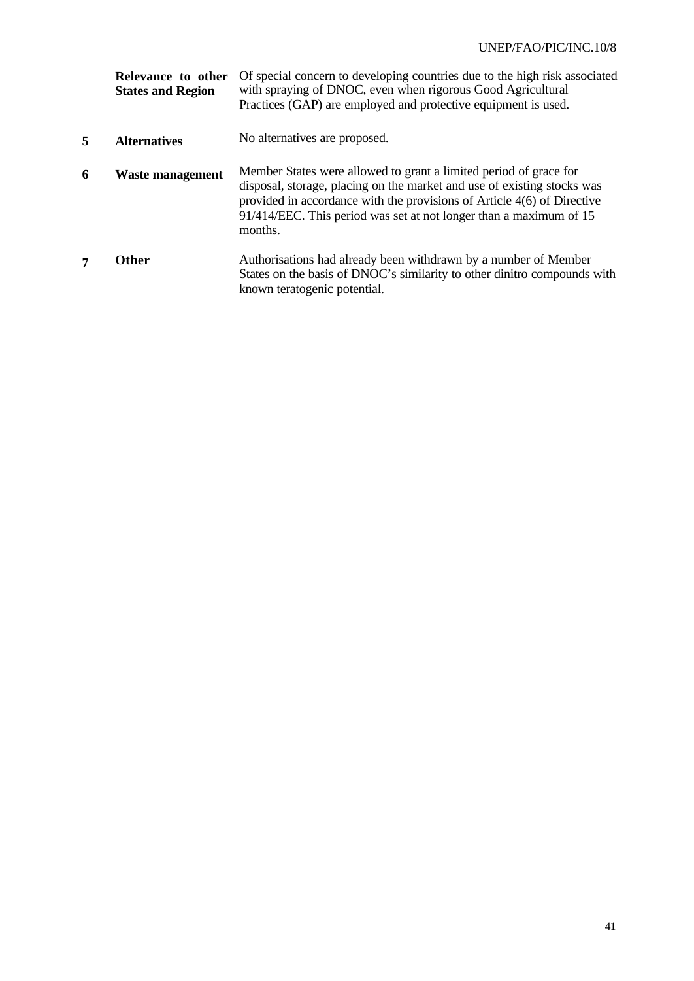|   | Relevance to other<br><b>States and Region</b> | Of special concern to developing countries due to the high risk associated<br>with spraying of DNOC, even when rigorous Good Agricultural<br>Practices (GAP) are employed and protective equipment is used.                                                                                              |
|---|------------------------------------------------|----------------------------------------------------------------------------------------------------------------------------------------------------------------------------------------------------------------------------------------------------------------------------------------------------------|
| 5 | <b>Alternatives</b>                            | No alternatives are proposed.                                                                                                                                                                                                                                                                            |
| 6 | <b>Waste management</b>                        | Member States were allowed to grant a limited period of grace for<br>disposal, storage, placing on the market and use of existing stocks was<br>provided in accordance with the provisions of Article 4(6) of Directive<br>91/414/EEC. This period was set at not longer than a maximum of 15<br>months. |
|   | <b>Other</b>                                   | Authorisations had already been withdrawn by a number of Member<br>States on the basis of DNOC's similarity to other dinitro compounds with<br>known teratogenic potential.                                                                                                                              |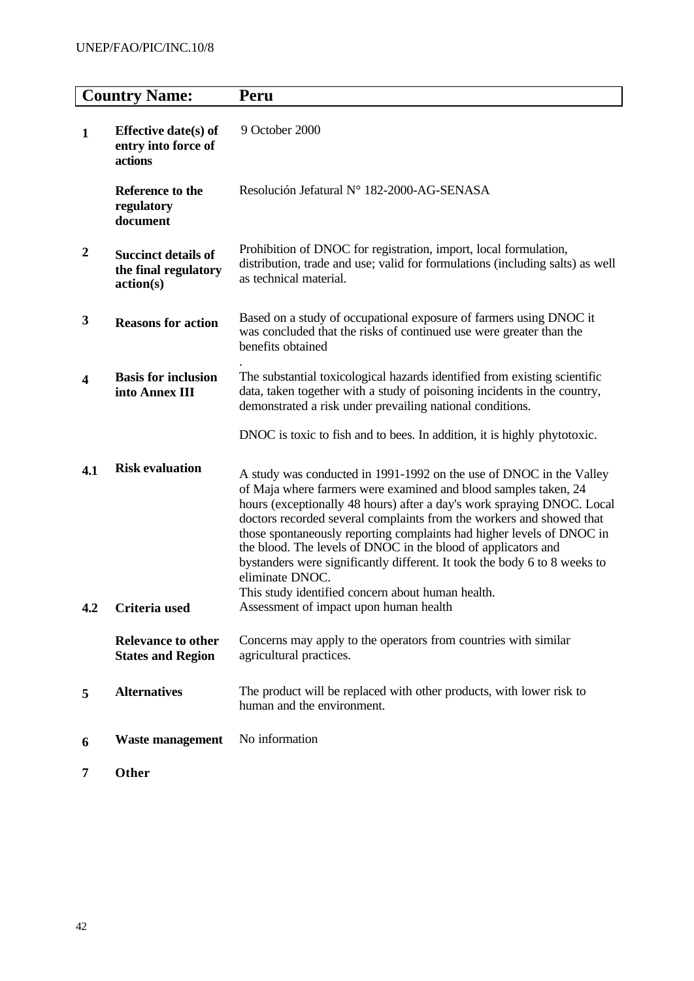| <b>Country Name:</b> |                                                                 | Peru                                                                                                                                                                                                                                                                                                                                                                                                                                                                                                                                                                                    |  |  |
|----------------------|-----------------------------------------------------------------|-----------------------------------------------------------------------------------------------------------------------------------------------------------------------------------------------------------------------------------------------------------------------------------------------------------------------------------------------------------------------------------------------------------------------------------------------------------------------------------------------------------------------------------------------------------------------------------------|--|--|
| $\mathbf{1}$         | <b>Effective date(s) of</b><br>entry into force of<br>actions   | 9 October 2000                                                                                                                                                                                                                                                                                                                                                                                                                                                                                                                                                                          |  |  |
|                      | Reference to the<br>regulatory<br>document                      | Resolución Jefatural Nº 182-2000-AG-SENASA                                                                                                                                                                                                                                                                                                                                                                                                                                                                                                                                              |  |  |
| $\boldsymbol{2}$     | <b>Succinct details of</b><br>the final regulatory<br>action(s) | Prohibition of DNOC for registration, import, local formulation,<br>distribution, trade and use; valid for formulations (including salts) as well<br>as technical material.                                                                                                                                                                                                                                                                                                                                                                                                             |  |  |
| 3                    | <b>Reasons for action</b>                                       | Based on a study of occupational exposure of farmers using DNOC it<br>was concluded that the risks of continued use were greater than the<br>benefits obtained                                                                                                                                                                                                                                                                                                                                                                                                                          |  |  |
| 4                    | <b>Basis for inclusion</b><br>into Annex III                    | The substantial toxicological hazards identified from existing scientific<br>data, taken together with a study of poisoning incidents in the country,<br>demonstrated a risk under prevailing national conditions.                                                                                                                                                                                                                                                                                                                                                                      |  |  |
|                      |                                                                 | DNOC is toxic to fish and to bees. In addition, it is highly phytotoxic.                                                                                                                                                                                                                                                                                                                                                                                                                                                                                                                |  |  |
| 4.1                  | <b>Risk evaluation</b>                                          | A study was conducted in 1991-1992 on the use of DNOC in the Valley<br>of Maja where farmers were examined and blood samples taken, 24<br>hours (exceptionally 48 hours) after a day's work spraying DNOC. Local<br>doctors recorded several complaints from the workers and showed that<br>those spontaneously reporting complaints had higher levels of DNOC in<br>the blood. The levels of DNOC in the blood of applicators and<br>bystanders were significantly different. It took the body 6 to 8 weeks to<br>eliminate DNOC.<br>This study identified concern about human health. |  |  |
| 4.2                  | Criteria used                                                   | Assessment of impact upon human health                                                                                                                                                                                                                                                                                                                                                                                                                                                                                                                                                  |  |  |
|                      | <b>Relevance to other</b><br><b>States and Region</b>           | Concerns may apply to the operators from countries with similar<br>agricultural practices.                                                                                                                                                                                                                                                                                                                                                                                                                                                                                              |  |  |
| 5                    | <b>Alternatives</b>                                             | The product will be replaced with other products, with lower risk to<br>human and the environment.                                                                                                                                                                                                                                                                                                                                                                                                                                                                                      |  |  |
| 6                    | <b>Waste management</b>                                         | No information                                                                                                                                                                                                                                                                                                                                                                                                                                                                                                                                                                          |  |  |
| 7                    | Other                                                           |                                                                                                                                                                                                                                                                                                                                                                                                                                                                                                                                                                                         |  |  |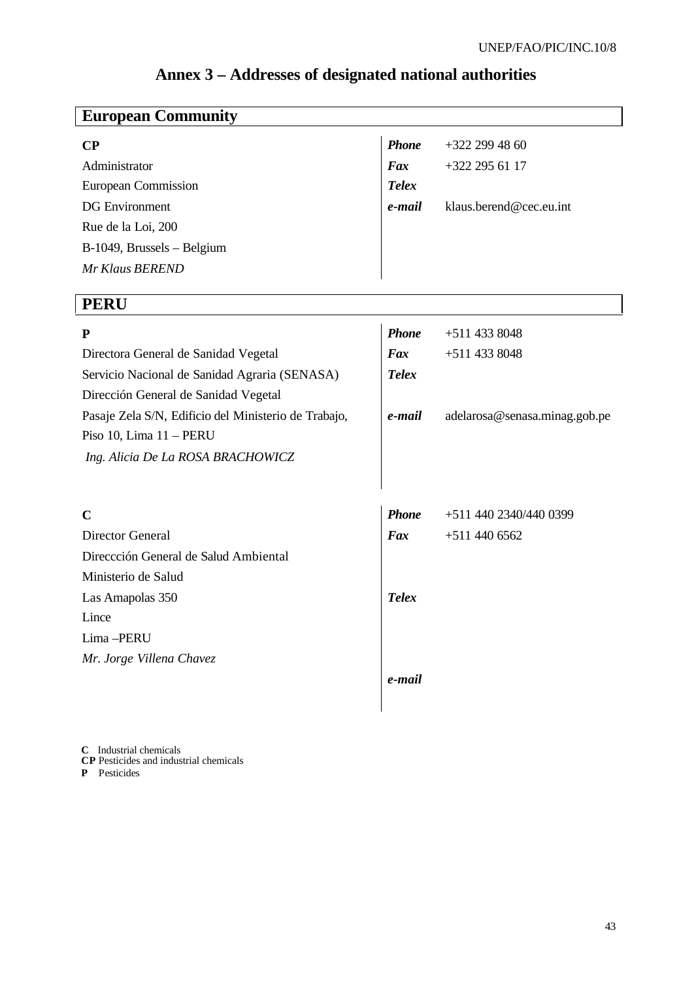| <b>European Community</b>                            |              |                               |  |  |  |
|------------------------------------------------------|--------------|-------------------------------|--|--|--|
| $\bf CP$                                             |              | $+322$ 299 48 60              |  |  |  |
| Administrator                                        | Fax          | +322 295 61 17                |  |  |  |
| <b>European Commission</b>                           | <b>Telex</b> |                               |  |  |  |
| <b>DG</b> Environment                                | e-mail       | klaus.berend@cec.eu.int       |  |  |  |
| Rue de la Loi, 200                                   |              |                               |  |  |  |
| B-1049, Brussels - Belgium                           |              |                               |  |  |  |
| Mr Klaus BEREND                                      |              |                               |  |  |  |
|                                                      |              |                               |  |  |  |
| <b>PERU</b>                                          |              |                               |  |  |  |
| ${\bf P}$                                            | <b>Phone</b> | +511 433 8048                 |  |  |  |
| Directora General de Sanidad Vegetal                 | Fax          | +511 433 8048                 |  |  |  |
| Servicio Nacional de Sanidad Agraria (SENASA)        | <b>Telex</b> |                               |  |  |  |
| Dirección General de Sanidad Vegetal                 |              |                               |  |  |  |
| Pasaje Zela S/N, Edificio del Ministerio de Trabajo, | e-mail       | adelarosa@senasa.minag.gob.pe |  |  |  |
| Piso 10, Lima 11 - PERU                              |              |                               |  |  |  |
| Ing. Alicia De La ROSA BRACHOWICZ                    |              |                               |  |  |  |
|                                                      |              |                               |  |  |  |
| $\mathbf C$                                          | <b>Phone</b> | +511 440 2340/440 0399        |  |  |  |
| Director General                                     |              | $+5114406562$                 |  |  |  |
| Direccción General de Salud Ambiental                | Fax          |                               |  |  |  |
| Ministerio de Salud                                  |              |                               |  |  |  |
|                                                      | <b>Telex</b> |                               |  |  |  |
| Las Amapolas 350<br>Lince                            |              |                               |  |  |  |
| Lima-PERU                                            |              |                               |  |  |  |
| Mr. Jorge Villena Chavez                             |              |                               |  |  |  |
|                                                      | e-mail       |                               |  |  |  |
|                                                      |              |                               |  |  |  |
|                                                      |              |                               |  |  |  |

## **Annex 3 – Addresses of designated national authorities**

**C** Industrial chemicals **CP** Pesticides and industrial chemicals **P** Pesticides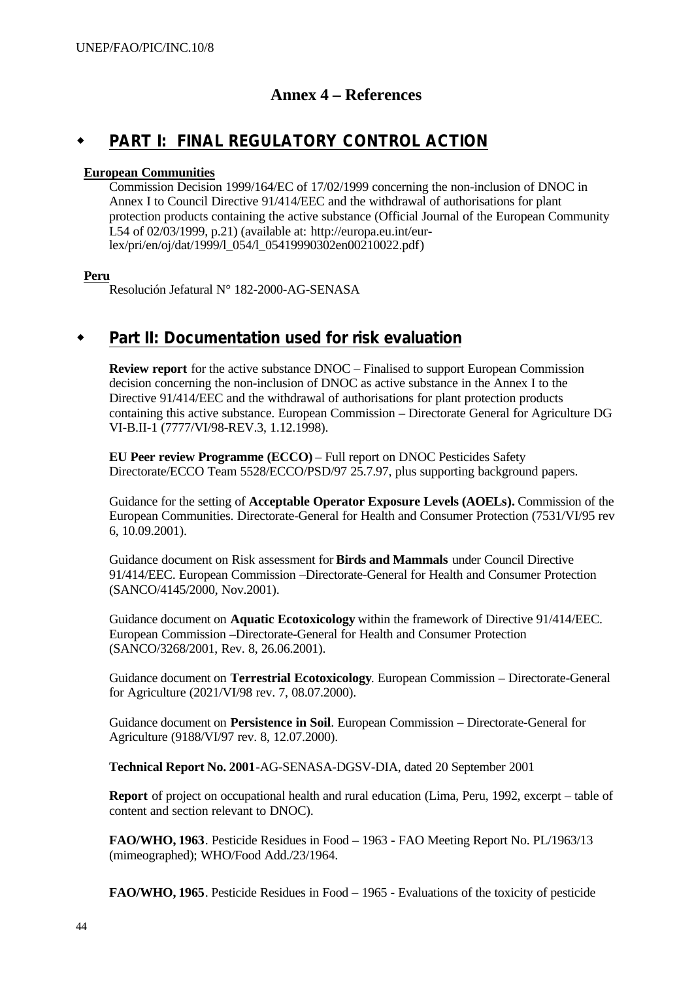## **Annex 4 – References**

## **PART I: FINAL REGULATORY CONTROL ACTION**

#### **European Communities**

Commission Decision 1999/164/EC of 17/02/1999 concerning the non-inclusion of DNOC in Annex I to Council Directive 91/414/EEC and the withdrawal of authorisations for plant protection products containing the active substance (Official Journal of the European Community L54 of 02/03/1999, p.21) (available at: http://europa.eu.int/eurlex/pri/en/oj/dat/1999/l\_054/l\_05419990302en00210022.pdf)

#### **Peru**

Resolución Jefatural N° 182-2000-AG-SENASA

## Part II: Documentation used for risk evaluation

**Review report** for the active substance DNOC – Finalised to support European Commission decision concerning the non-inclusion of DNOC as active substance in the Annex I to the Directive 91/414/EEC and the withdrawal of authorisations for plant protection products containing this active substance. European Commission – Directorate General for Agriculture DG VI-B.II-1 (7777/VI/98-REV.3, 1.12.1998).

**EU Peer review Programme (ECCO)** – Full report on DNOC Pesticides Safety Directorate/ECCO Team 5528/ECCO/PSD/97 25.7.97, plus supporting background papers.

Guidance for the setting of **Acceptable Operator Exposure Levels (AOELs).** Commission of the European Communities. Directorate-General for Health and Consumer Protection (7531/VI/95 rev 6, 10.09.2001).

Guidance document on Risk assessment for **Birds and Mammals** under Council Directive 91/414/EEC. European Commission –Directorate-General for Health and Consumer Protection (SANCO/4145/2000, Nov.2001).

Guidance document on **Aquatic Ecotoxicology** within the framework of Directive 91/414/EEC. European Commission –Directorate-General for Health and Consumer Protection (SANCO/3268/2001, Rev. 8, 26.06.2001).

Guidance document on **Terrestrial Ecotoxicology**. European Commission – Directorate-General for Agriculture (2021/VI/98 rev. 7, 08.07.2000).

Guidance document on **Persistence in Soil**. European Commission – Directorate-General for Agriculture (9188/VI/97 rev. 8, 12.07.2000).

**Technical Report No. 2001**-AG-SENASA-DGSV-DIA, dated 20 September 2001

**Report** of project on occupational health and rural education (Lima, Peru, 1992, excerpt – table of content and section relevant to DNOC).

**FAO/WHO, 1963**. Pesticide Residues in Food – 1963 - FAO Meeting Report No. PL/1963/13 (mimeographed); WHO/Food Add./23/1964.

**FAO/WHO, 1965**. Pesticide Residues in Food – 1965 - Evaluations of the toxicity of pesticide